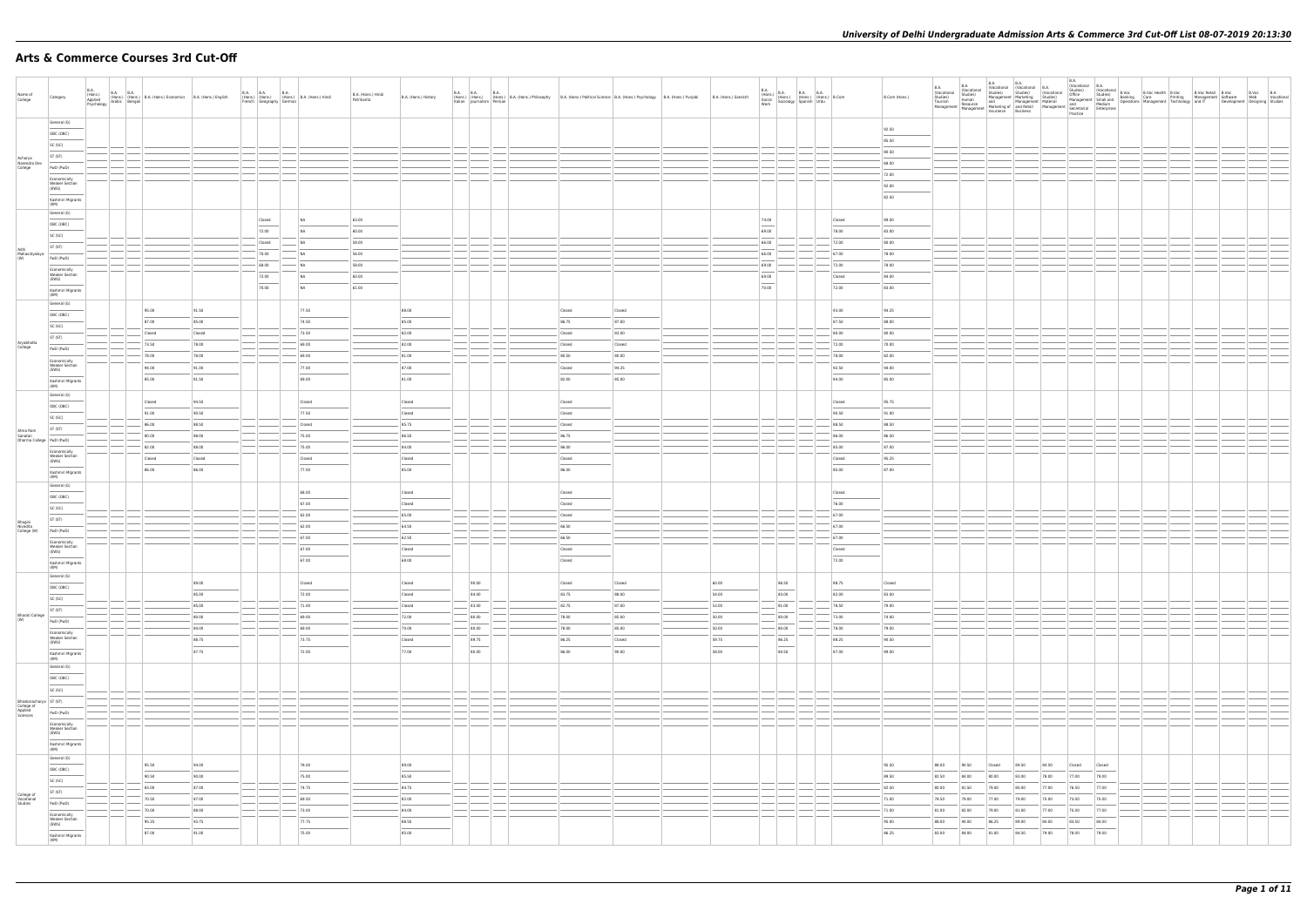#### **Arts & Commerce Courses 3rd Cut-Off**

| Name of<br>College                                          | Category                                                                                   | <b>B.A.</b> | B.A. (Hons.) B.A. B.A. (Hons.) B.A. (Hons.) Economics B.A. (Hons.) English Applied (Hons.) B.A. (Hons.) English Applied Republic (Bengali |                                   | B.A. B.A.<br>(Hons.) (Hons.) | French Geography German            | B.A.<br>(Hons.) B.A. (Hons.) Hindi                  | B.A. (Hons.) Hindi<br>Patrikarita | B.A. (Hons.) History                     |      | B.A. B.A. B.A. B.A. B.A. (Hons.) B.A. (Hons.) Philosophy B.A. (Hons.) Political Science B.A. (Hons.) Psychology B.A. (Hons.) Punjabi<br>Italian Journalism Persian |                                   |                          | B.A. (Hons.) Sanskrit   | <b>B.A.</b><br>$\begin{tabular}{ l c c c c } \hline B.A. & B.A. & B.A. & B.A. & B.A. & (Hons.) & B.Com \\ (Hons.) & (Hons.) & (Hons.) & (Hons.) & B.Com \\ & Society & Spanish & Urdu & \\ Work & Society & Spanish & Urdu & \\ \hline \end{tabular}$                                                                                                                                                                                                                                                 |                                       | B.Com (Hons.)                    |                                  |                                  |                                  |                                  |                                  |                                  |                                  |  | B.Voc B.A<br>Development Designing Studies | Web Vocational |
|-------------------------------------------------------------|--------------------------------------------------------------------------------------------|-------------|-------------------------------------------------------------------------------------------------------------------------------------------|-----------------------------------|------------------------------|------------------------------------|-----------------------------------------------------|-----------------------------------|------------------------------------------|------|--------------------------------------------------------------------------------------------------------------------------------------------------------------------|-----------------------------------|--------------------------|-------------------------|-------------------------------------------------------------------------------------------------------------------------------------------------------------------------------------------------------------------------------------------------------------------------------------------------------------------------------------------------------------------------------------------------------------------------------------------------------------------------------------------------------|---------------------------------------|----------------------------------|----------------------------------|----------------------------------|----------------------------------|----------------------------------|----------------------------------|----------------------------------|----------------------------------|--|--------------------------------------------|----------------|
|                                                             | General (G)<br>OBC (OBC)<br>SC (SC)                                                        |             |                                                                                                                                           |                                   |                              |                                    |                                                     |                                   |                                          |      |                                                                                                                                                                    |                                   |                          |                         |                                                                                                                                                                                                                                                                                                                                                                                                                                                                                                       |                                       | 92.50<br>85.50                   |                                  |                                  |                                  |                                  |                                  |                                  |                                  |  |                                            |                |
| Acharya<br>Narendra Dev<br>College                          | ST (ST)<br>PwD (PwD)<br>Economically<br><b>Weaker Section</b>                              |             |                                                                                                                                           |                                   |                              |                                    |                                                     |                                   |                                          |      |                                                                                                                                                                    |                                   |                          |                         |                                                                                                                                                                                                                                                                                                                                                                                                                                                                                                       |                                       | 80.50<br>68.00<br>$-72.00$       |                                  |                                  |                                  |                                  |                                  |                                  |                                  |  |                                            |                |
|                                                             | (EWS)<br>Kashmiri Migrants<br>(KM)<br>General (G)                                          |             |                                                                                                                                           |                                   |                              |                                    |                                                     |                                   |                                          |      |                                                                                                                                                                    |                                   |                          |                         |                                                                                                                                                                                                                                                                                                                                                                                                                                                                                                       |                                       | 92.00<br>82.50                   |                                  |                                  |                                  |                                  |                                  |                                  |                                  |  |                                            |                |
| Aditi<br>Mahavidyalaya                                      | OBC (OBC)<br>SC (SC)<br>ST (ST)                                                            |             |                                                                                                                                           |                                   |                              | Closed<br>72.00<br>Closed<br>70.00 | NA<br>N <sub>A</sub><br>N <sub>A</sub><br><b>NA</b> | 63.00<br>60.00<br>58.00<br>56.00  |                                          |      |                                                                                                                                                                    |                                   |                          |                         | 74.00<br>69.00<br>66.00<br>66.00                                                                                                                                                                                                                                                                                                                                                                                                                                                                      | Closed<br>78.00<br>$- 72.00$<br>67.00 | 89.00<br>83.00<br>80.00<br>78.00 |                                  |                                  |                                  |                                  |                                  |                                  |                                  |  |                                            |                |
| (W)                                                         | PwD (PwD)<br>Economically<br><b>Weaker Section</b><br>(EWS)<br>Kashmiri Migrants           |             |                                                                                                                                           |                                   |                              | $-68.00$<br>72.00<br>70.00         | <b>NA</b><br><b>NA</b><br><b>NA</b>                 | 58.00<br>60.00<br>61.00           |                                          |      |                                                                                                                                                                    |                                   |                          |                         | 69.00<br>69.00<br>$\frac{1}{2}$<br>70.00                                                                                                                                                                                                                                                                                                                                                                                                                                                              | 72.00<br>Closed<br>72.00              | 78.00<br>84.00<br>83.00          |                                  |                                  |                                  |                                  |                                  |                                  |                                  |  |                                            |                |
|                                                             | (KM)<br>General (G)<br>OBC (OBC)<br>SC (SC)                                                |             | 95.00<br>87.00                                                                                                                            | 91.50<br>85.00                    |                              |                                    | 77.50<br>74.50                                      |                                   | 88.00<br>85.00                           |      |                                                                                                                                                                    | Closed<br>86.75                   | Closed<br>87.00          |                         |                                                                                                                                                                                                                                                                                                                                                                                                                                                                                                       | 93.00<br>87.50                        | 94.25<br>88.00                   |                                  |                                  |                                  |                                  |                                  |                                  |                                  |  |                                            |                |
| Aryabhatta<br>College                                       | ST (ST)<br>PwD (PwD)<br>Economically                                                       |             | Closed<br>73.50<br>78.00                                                                                                                  | Closed<br>78.00<br>78.00          |                              |                                    | 73.50<br>69.00<br>69.00                             |                                   | 82.00<br>82.00<br>81.00                  |      |                                                                                                                                                                    | Closed<br>Closed<br>80.50         | 83.00<br>Closed<br>80.00 |                         |                                                                                                                                                                                                                                                                                                                                                                                                                                                                                                       | 80.00<br>72.00<br>78.00               | 80.00<br>70.00<br>82.00          |                                  |                                  |                                  |                                  |                                  |                                  |                                  |  |                                            |                |
|                                                             | <b>Weaker Section</b><br>(EWS)<br>Kashmiri Migrants<br>(KM)<br>General (G)                 |             | 94.00<br>85.00                                                                                                                            | 91.00<br>81.50                    |                              |                                    | 77.00<br>69.00                                      |                                   | 87.00<br>81.00                           |      |                                                                                                                                                                    | Closed<br>82.00                   | 94.25<br>85.00           |                         |                                                                                                                                                                                                                                                                                                                                                                                                                                                                                                       | 92.50<br>84.00                        | 94.00<br>85.00                   |                                  |                                  |                                  |                                  |                                  |                                  |                                  |  |                                            |                |
| Atma Ram                                                    | OBC (OBC)<br>SC (SC)<br>ST (ST)                                                            |             | Closed<br>91.00<br>86.00                                                                                                                  | 94.50<br>90.50<br>88.50           |                              |                                    | Closed<br>77.50<br>Closed                           |                                   | Closed<br>Closed<br>85.75                |      |                                                                                                                                                                    | Closed<br>Closed<br>Closed        |                          |                         |                                                                                                                                                                                                                                                                                                                                                                                                                                                                                                       | Closed<br>90.50<br>88.50              | 95.75<br>91.00<br>88.50          |                                  |                                  |                                  |                                  |                                  |                                  |                                  |  |                                            |                |
| Sanatan<br>Dharma College   PwD (PwD)                       | Economically<br><b>Weaker Section</b><br>(EWS)<br>$\sim$                                   |             | 80.00<br>82.00<br>Closed<br>86.00                                                                                                         | 88.00<br>88.00<br>Closed<br>86.00 |                              |                                    | 75.00<br>75.00<br>Closed<br>77.00                   |                                   | 86.50<br>84.00<br>Closed<br>85.00        |      |                                                                                                                                                                    | 86.75<br>86.00<br>Closed<br>86.00 |                          |                         |                                                                                                                                                                                                                                                                                                                                                                                                                                                                                                       | 86.00<br>85.00<br>Closed<br>85.00     | 86.50<br>87.00<br>95.25<br>87.00 |                                  |                                  |                                  |                                  |                                  |                                  |                                  |  |                                            |                |
|                                                             | Kashmiri Migrants<br>(KM)<br>General (G)<br>OBC (OBC)                                      |             |                                                                                                                                           |                                   |                              |                                    | 68.00<br>67.00                                      |                                   | Closed<br>Closed                         |      |                                                                                                                                                                    | Closed<br>Closed                  |                          |                         |                                                                                                                                                                                                                                                                                                                                                                                                                                                                                                       | Closed<br>76.00                       |                                  |                                  |                                  |                                  |                                  |                                  |                                  |                                  |  |                                            |                |
| Bhagini<br>Nivedita<br>College (W)                          | SC (SC)<br>ST (ST)<br>PwD (PwD)                                                            |             |                                                                                                                                           |                                   |                              |                                    | 62.00<br>62.00<br>67.00                             |                                   | 65.00<br>64.50<br>62.50                  |      |                                                                                                                                                                    | Closed<br>66.50<br>66.50          |                          |                         |                                                                                                                                                                                                                                                                                                                                                                                                                                                                                                       | $- 67.00$<br>67.00<br>67.00           |                                  |                                  |                                  |                                  |                                  |                                  |                                  |                                  |  |                                            |                |
|                                                             | Economically<br><b>Weaker Section</b><br>(EWS)<br>Kashmiri Migrants<br>(KM)<br>General (G) |             |                                                                                                                                           |                                   |                              |                                    | 67.00<br>67.00                                      |                                   | Closed<br>68.00                          |      |                                                                                                                                                                    | Closed<br>Closed                  |                          |                         |                                                                                                                                                                                                                                                                                                                                                                                                                                                                                                       | Closed<br>72.00                       |                                  |                                  |                                  |                                  |                                  |                                  |                                  |                                  |  |                                            |                |
|                                                             | OBC (OBC)<br>SC (SC)<br>ST (ST)                                                            |             |                                                                                                                                           | 89.00<br>85.00<br>85.00           |                              |                                    | Closed<br>72.00<br>71.00                            |                                   | Closed<br>Closed<br>Closed               |      | 90.00<br>84.00<br>83.00                                                                                                                                            | Closed<br>83.75<br>82.75          | Closed<br>88.00<br>87.00 | 60.00<br>54.00<br>53.00 | 86.50<br>83.00<br>81.00                                                                                                                                                                                                                                                                                                                                                                                                                                                                               | 88.75<br>82.00<br>78.50               | Closed<br>83.00<br>79.00         |                                  |                                  |                                  |                                  |                                  |                                  |                                  |  |                                            |                |
| Bharati College<br>(W)                                      | PwD (PwD)<br>Economically<br>Weaker Section<br>(EWS)                                       |             |                                                                                                                                           | 80.00<br>84.00<br>88.75           |                              |                                    | 69.00<br>69.00<br>73.75                             |                                   | 72.00<br>70.00<br>Closed                 |      | 80.00<br>80.00<br>89.75<br>$\overline{\phantom{a}}$                                                                                                                | 78.00<br>78.00<br>86.25           | 85.00<br>85.00<br>Closed | 50.00<br>50.00<br>59.75 | 80.00<br>80.00<br>86.25<br>$\frac{1}{2} \left( \frac{1}{2} \right) \left( \frac{1}{2} \right) \left( \frac{1}{2} \right) \left( \frac{1}{2} \right) \left( \frac{1}{2} \right) \left( \frac{1}{2} \right) \left( \frac{1}{2} \right) \left( \frac{1}{2} \right) \left( \frac{1}{2} \right) \left( \frac{1}{2} \right) \left( \frac{1}{2} \right) \left( \frac{1}{2} \right) \left( \frac{1}{2} \right) \left( \frac{1}{2} \right) \left( \frac{1}{2} \right) \left( \frac{1}{2} \right) \left( \frac$ | 73.00<br>78.00<br>88.25               | 74.00<br>79.00<br>90.50          |                                  |                                  |                                  |                                  |                                  |                                  |                                  |  |                                            |                |
|                                                             | Kashmiri Migrants<br>(KM)<br>General (G)<br>OBC (OBC)                                      |             |                                                                                                                                           | 87.75                             |                              |                                    | 72.00                                               |                                   | 77.00                                    |      | 80.00                                                                                                                                                              | 86.00                             | 90.00                    | 58.00                   | 84.50                                                                                                                                                                                                                                                                                                                                                                                                                                                                                                 | 87.00                                 | 89.00                            |                                  |                                  |                                  |                                  |                                  |                                  |                                  |  |                                            |                |
| Bhaskaracharya ST (ST)<br>College of<br>Applied<br>Sciences | SC (SC)<br>PwD (PwD)<br>Economically                                                       |             | $\frac{1}{2}$                                                                                                                             |                                   |                              |                                    |                                                     |                                   |                                          | $-1$ | $\frac{1}{2}$                                                                                                                                                      |                                   |                          |                         | ______<br>$\left  \_\right $                                                                                                                                                                                                                                                                                                                                                                                                                                                                          |                                       |                                  |                                  |                                  |                                  |                                  |                                  |                                  |                                  |  |                                            |                |
|                                                             | <b>Weaker Section</b><br>(EWS)<br>Kashmiri Migrants<br>(KM)<br>General (G)                 |             |                                                                                                                                           |                                   |                              |                                    |                                                     |                                   |                                          |      |                                                                                                                                                                    |                                   |                          |                         |                                                                                                                                                                                                                                                                                                                                                                                                                                                                                                       |                                       |                                  |                                  |                                  |                                  |                                  |                                  |                                  |                                  |  |                                            |                |
|                                                             | OBC (OBC)<br>SC (SC)<br>ST (ST)                                                            |             | 95.50<br>90.50<br>83.00                                                                                                                   | 94.00<br>90.00<br>87.00           |                              |                                    | 78.00<br>75.00<br>74.75                             |                                   | 89.00<br>$\frac{1}{2}$<br>85.50<br>84.75 |      |                                                                                                                                                                    |                                   |                          |                         |                                                                                                                                                                                                                                                                                                                                                                                                                                                                                                       |                                       | 95.50<br>89.50<br>82.50          | 88.00<br>82.50<br>80.00          | 90.50<br>84.00<br>81.50          | Closed<br>80.00<br>79.00         | 89.50<br>83.00<br>80.00          | 84.50<br>78.00<br>77.00          | Closed<br>77.00<br>76.50         | Closed<br>79.00<br>77.00         |  |                                            |                |
| College of<br>Vocational<br>Studies                         | PwD (PwD)<br>Economically<br><b>Weaker Section</b><br>(EWS)<br>Kashmiri Migrants           |             | 70.50<br>70.00<br>95.25<br>87.00                                                                                                          | 87.00<br>88.00<br>93.75<br>91.00  |                              |                                    | 69.50<br>73.00<br>77.75<br>75.00                    |                                   | 82.00<br>84.00<br>88.50<br>85.00         |      |                                                                                                                                                                    |                                   |                          |                         |                                                                                                                                                                                                                                                                                                                                                                                                                                                                                                       |                                       | 71.00<br>71.00<br>95.00<br>86.25 | 78.50<br>81.00<br>88.00<br>83.00 | 79.00<br>82.00<br>90.00<br>84.00 | 77.00<br>79.00<br>86.25<br>81.00 | 79.00<br>81.00<br>89.00<br>84.50 | 75.00<br>77.00<br>84.00<br>79.00 | 73.00<br>75.00<br>83.50<br>78.00 | 75.00<br>77.00<br>84.00<br>79.00 |  |                                            |                |
|                                                             | (KM)                                                                                       |             |                                                                                                                                           |                                   |                              |                                    |                                                     |                                   |                                          |      |                                                                                                                                                                    |                                   |                          |                         |                                                                                                                                                                                                                                                                                                                                                                                                                                                                                                       |                                       |                                  |                                  |                                  |                                  |                                  |                                  |                                  |                                  |  |                                            |                |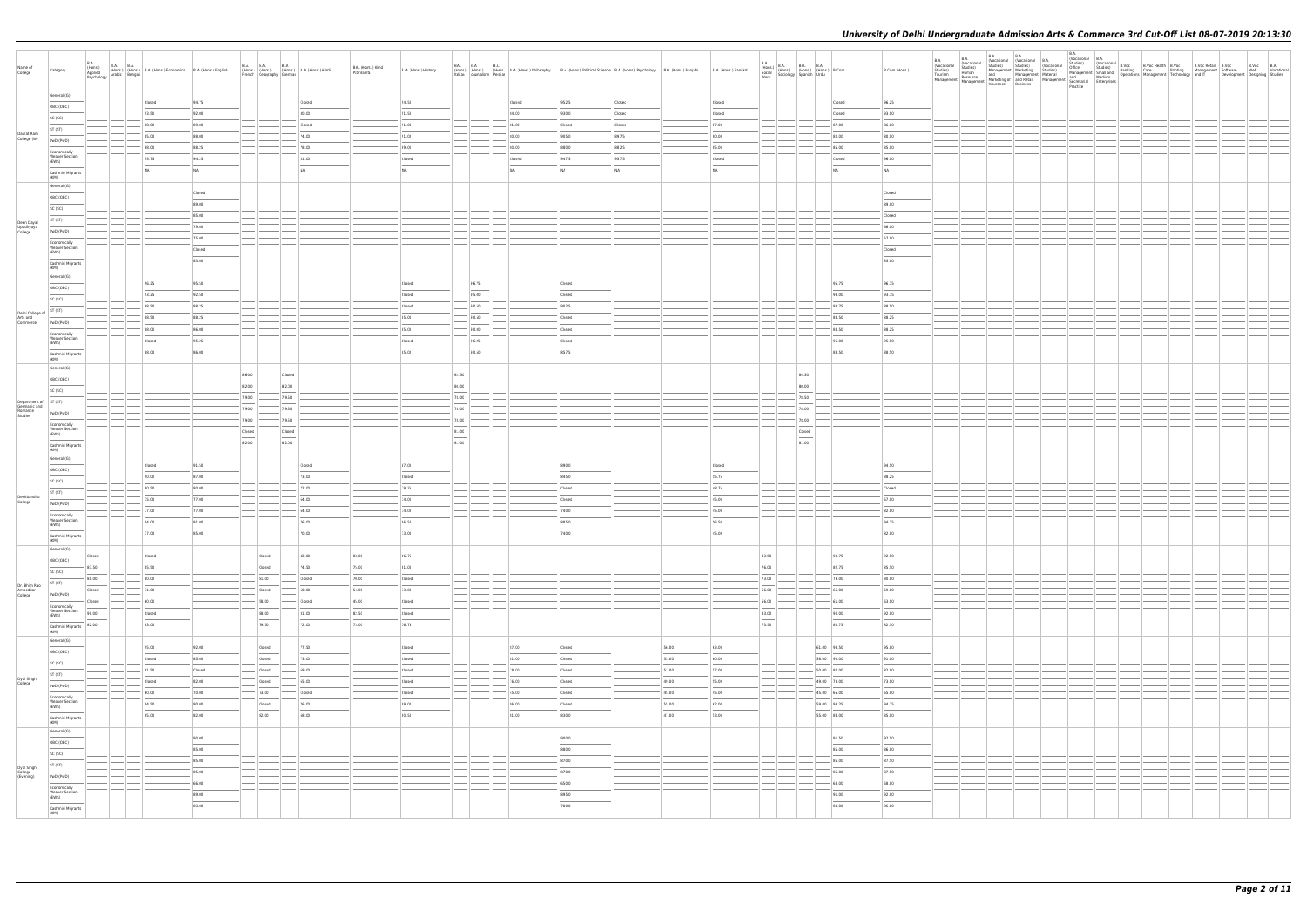| Name of<br>College                 | Category                                                                                                                                                                                                                                                                                                                                                                                                                                                                              | B.A.<br>(Hons.)<br>Applied<br><b>B.A. B.A.</b><br>Psychology | (Hons.) (Hons.) B.A. (Hons.) Economics B.A. (Hons.) English<br>Arabic Bengali                                                                                                                                                                                                                                                                                                                                                                                                        |                | <b>B.A. B.A.</b><br>(Hons.) (Hons.) (Hons.) B.A. (Hons.) Hindi<br>French Geography German | <b>B.A.</b>      |        | B.A. (Hons.) Hindi<br>Patrikarita | B.A. (Hons.) History               |                                   | B.A. B.A. B.A.<br>(Hons.) (Hons.) (Hons.) B.A. (Hons.) Philosophy B.A. (Hons.) Political Science B.A. (Hons.) Psychology B.A. (Hons.) Punjabi<br>Italian Journalism Persian |                                                                                                                                                                                                                                                                                                                                                                                                                                                                            |                | B.A. (Hons.) Sanskrit |                                   | $\begin{tabular}{ c c c c c } \hline B.A. & B.A. & B.A. & B.A. & S. & B.A. \\ \hline (Hons.) & (Hons.) & (Hons.) & (Hons.) & (Hons.) & B. Com & W. & S. & S. & S. \\ \hline \end{tabular}$ | B.Com (Hons.)                              | <b>B.A.</b><br>(Vocational<br>Studies)<br>Tourism<br>Management | <b>B.A.</b> | B.A. (Vocational B.A. (Vocational B.A. Studies) (Vocational B.A. | $B.A.$<br>(Vocational $B.A.$ |  |  | VOLCOMING SUID (VOCAtional B.Voc<br>Office Studies) (Vocational B.Voc Beath B.Voc Beath B.Voc<br>Management Small and Banking Care Printing Management Software<br>Management Technology and IT Developme<br>Development   Designing   Studies | B.Voc B.A | Web Vocational |
|------------------------------------|---------------------------------------------------------------------------------------------------------------------------------------------------------------------------------------------------------------------------------------------------------------------------------------------------------------------------------------------------------------------------------------------------------------------------------------------------------------------------------------|--------------------------------------------------------------|--------------------------------------------------------------------------------------------------------------------------------------------------------------------------------------------------------------------------------------------------------------------------------------------------------------------------------------------------------------------------------------------------------------------------------------------------------------------------------------|----------------|-------------------------------------------------------------------------------------------|------------------|--------|-----------------------------------|------------------------------------|-----------------------------------|-----------------------------------------------------------------------------------------------------------------------------------------------------------------------------|----------------------------------------------------------------------------------------------------------------------------------------------------------------------------------------------------------------------------------------------------------------------------------------------------------------------------------------------------------------------------------------------------------------------------------------------------------------------------|----------------|-----------------------|-----------------------------------|--------------------------------------------------------------------------------------------------------------------------------------------------------------------------------------------|--------------------------------------------|-----------------------------------------------------------------|-------------|------------------------------------------------------------------|------------------------------|--|--|------------------------------------------------------------------------------------------------------------------------------------------------------------------------------------------------------------------------------------------------|-----------|----------------|
|                                    | General (G)                                                                                                                                                                                                                                                                                                                                                                                                                                                                           |                                                              | Closed                                                                                                                                                                                                                                                                                                                                                                                                                                                                               | 94.75          |                                                                                           |                  | Closed |                                   | 94.50                              |                                   | Closed                                                                                                                                                                      | 95.25                                                                                                                                                                                                                                                                                                                                                                                                                                                                      | Closed         | Closed                |                                   |                                                                                                                                                                                            | 96.25<br>Closed                            |                                                                 |             |                                                                  |                              |  |  |                                                                                                                                                                                                                                                |           |                |
|                                    | OBC (OBC)                                                                                                                                                                                                                                                                                                                                                                                                                                                                             |                                                              | 93.50                                                                                                                                                                                                                                                                                                                                                                                                                                                                                | 92.00          |                                                                                           |                  | 80.00  |                                   | 91.50                              |                                   | 84.00                                                                                                                                                                       | 93.00                                                                                                                                                                                                                                                                                                                                                                                                                                                                      | Closed         | Closed                |                                   |                                                                                                                                                                                            | Closed<br>93.00                            |                                                                 |             |                                                                  |                              |  |  |                                                                                                                                                                                                                                                |           |                |
|                                    | SC (SC)                                                                                                                                                                                                                                                                                                                                                                                                                                                                               |                                                              | 88.00                                                                                                                                                                                                                                                                                                                                                                                                                                                                                | 89.00          |                                                                                           |                  | Closed |                                   | 91.00                              |                                   | 81.00                                                                                                                                                                       | Closed                                                                                                                                                                                                                                                                                                                                                                                                                                                                     | Closed         | 87.00                 |                                   |                                                                                                                                                                                            | 87.00<br>86.00                             |                                                                 |             |                                                                  |                              |  |  |                                                                                                                                                                                                                                                |           |                |
| Daulat Ram                         | ST (ST)                                                                                                                                                                                                                                                                                                                                                                                                                                                                               |                                                              | 85.00                                                                                                                                                                                                                                                                                                                                                                                                                                                                                | 88.00          |                                                                                           |                  | 74.00  |                                   | 91.00                              |                                   | 80.00                                                                                                                                                                       | 90.50                                                                                                                                                                                                                                                                                                                                                                                                                                                                      | 89.75          | 80.00                 |                                   |                                                                                                                                                                                            | 80.00<br>80.00                             |                                                                 |             |                                                                  |                              |  |  |                                                                                                                                                                                                                                                |           |                |
| College (W)                        | PwD (PwD)                                                                                                                                                                                                                                                                                                                                                                                                                                                                             |                                                              |                                                                                                                                                                                                                                                                                                                                                                                                                                                                                      |                |                                                                                           |                  |        |                                   |                                    |                                   |                                                                                                                                                                             |                                                                                                                                                                                                                                                                                                                                                                                                                                                                            |                |                       |                                   |                                                                                                                                                                                            |                                            |                                                                 |             |                                                                  |                              |  |  |                                                                                                                                                                                                                                                |           |                |
|                                    | Economically<br><b>Weaker Section</b>                                                                                                                                                                                                                                                                                                                                                                                                                                                 |                                                              | 88.00                                                                                                                                                                                                                                                                                                                                                                                                                                                                                | 88.25          |                                                                                           |                  | 78.00  |                                   | 89.00                              |                                   | 80.00                                                                                                                                                                       | 88.00                                                                                                                                                                                                                                                                                                                                                                                                                                                                      | 88.25          | 85.00                 |                                   |                                                                                                                                                                                            | 85.00<br>85.00                             |                                                                 |             |                                                                  |                              |  |  |                                                                                                                                                                                                                                                |           |                |
|                                    | (EWS)                                                                                                                                                                                                                                                                                                                                                                                                                                                                                 |                                                              | 95.75                                                                                                                                                                                                                                                                                                                                                                                                                                                                                | 94.25          |                                                                                           |                  | 81.00  |                                   | Closed<br>$\overline{\phantom{a}}$ |                                   | Closed                                                                                                                                                                      | 94.75                                                                                                                                                                                                                                                                                                                                                                                                                                                                      | 95.75          | Closed                |                                   |                                                                                                                                                                                            | Closed<br>96.00                            |                                                                 |             |                                                                  |                              |  |  |                                                                                                                                                                                                                                                |           |                |
|                                    | Kashmiri Migrants<br>(KM)                                                                                                                                                                                                                                                                                                                                                                                                                                                             |                                                              | NA                                                                                                                                                                                                                                                                                                                                                                                                                                                                                   | NA             |                                                                                           |                  | NA     |                                   | <b>NA</b>                          |                                   | NA                                                                                                                                                                          | N <sub>A</sub>                                                                                                                                                                                                                                                                                                                                                                                                                                                             | N <sub>A</sub> | NA                    |                                   |                                                                                                                                                                                            | NA<br>NA                                   |                                                                 |             |                                                                  |                              |  |  |                                                                                                                                                                                                                                                |           |                |
|                                    | General (G)                                                                                                                                                                                                                                                                                                                                                                                                                                                                           |                                                              |                                                                                                                                                                                                                                                                                                                                                                                                                                                                                      |                |                                                                                           |                  |        |                                   |                                    |                                   |                                                                                                                                                                             |                                                                                                                                                                                                                                                                                                                                                                                                                                                                            |                |                       |                                   |                                                                                                                                                                                            |                                            |                                                                 |             |                                                                  |                              |  |  |                                                                                                                                                                                                                                                |           |                |
|                                    | OBC (OBC)                                                                                                                                                                                                                                                                                                                                                                                                                                                                             |                                                              |                                                                                                                                                                                                                                                                                                                                                                                                                                                                                      | Closed         |                                                                                           |                  |        |                                   |                                    |                                   |                                                                                                                                                                             |                                                                                                                                                                                                                                                                                                                                                                                                                                                                            |                |                       |                                   |                                                                                                                                                                                            | Closed                                     |                                                                 |             |                                                                  |                              |  |  |                                                                                                                                                                                                                                                |           |                |
|                                    | SC (SC)                                                                                                                                                                                                                                                                                                                                                                                                                                                                               |                                                              |                                                                                                                                                                                                                                                                                                                                                                                                                                                                                      | 89.00          |                                                                                           |                  |        |                                   |                                    |                                   |                                                                                                                                                                             |                                                                                                                                                                                                                                                                                                                                                                                                                                                                            |                |                       |                                   |                                                                                                                                                                                            | 89.00                                      |                                                                 |             |                                                                  |                              |  |  |                                                                                                                                                                                                                                                |           |                |
|                                    | ST (ST)                                                                                                                                                                                                                                                                                                                                                                                                                                                                               |                                                              |                                                                                                                                                                                                                                                                                                                                                                                                                                                                                      | 85.00          |                                                                                           |                  |        |                                   |                                    |                                   |                                                                                                                                                                             |                                                                                                                                                                                                                                                                                                                                                                                                                                                                            |                |                       |                                   |                                                                                                                                                                                            | Closed                                     |                                                                 |             |                                                                  |                              |  |  |                                                                                                                                                                                                                                                |           |                |
| Deen Dayal<br>Upadhyaya<br>College | PwD (PwD)                                                                                                                                                                                                                                                                                                                                                                                                                                                                             |                                                              |                                                                                                                                                                                                                                                                                                                                                                                                                                                                                      | 79.00          |                                                                                           |                  |        |                                   |                                    |                                   |                                                                                                                                                                             |                                                                                                                                                                                                                                                                                                                                                                                                                                                                            |                |                       |                                   |                                                                                                                                                                                            | 66.00                                      |                                                                 |             |                                                                  |                              |  |  |                                                                                                                                                                                                                                                |           |                |
|                                    | Economically                                                                                                                                                                                                                                                                                                                                                                                                                                                                          |                                                              |                                                                                                                                                                                                                                                                                                                                                                                                                                                                                      | 75.00          |                                                                                           |                  |        |                                   |                                    |                                   |                                                                                                                                                                             |                                                                                                                                                                                                                                                                                                                                                                                                                                                                            |                |                       |                                   |                                                                                                                                                                                            | 67.00                                      |                                                                 |             |                                                                  |                              |  |  |                                                                                                                                                                                                                                                |           |                |
|                                    | <b>Weaker Section</b><br>(EWS)                                                                                                                                                                                                                                                                                                                                                                                                                                                        |                                                              |                                                                                                                                                                                                                                                                                                                                                                                                                                                                                      | Closed         |                                                                                           |                  |        |                                   |                                    |                                   |                                                                                                                                                                             |                                                                                                                                                                                                                                                                                                                                                                                                                                                                            |                |                       |                                   |                                                                                                                                                                                            | Closed                                     |                                                                 |             |                                                                  |                              |  |  |                                                                                                                                                                                                                                                |           |                |
|                                    | Kashmiri Migrants                                                                                                                                                                                                                                                                                                                                                                                                                                                                     |                                                              |                                                                                                                                                                                                                                                                                                                                                                                                                                                                                      | 83.00          |                                                                                           |                  |        |                                   |                                    |                                   |                                                                                                                                                                             |                                                                                                                                                                                                                                                                                                                                                                                                                                                                            |                |                       |                                   |                                                                                                                                                                                            | 85.00                                      |                                                                 |             |                                                                  |                              |  |  |                                                                                                                                                                                                                                                |           |                |
|                                    | (KM)<br>General (G)                                                                                                                                                                                                                                                                                                                                                                                                                                                                   |                                                              |                                                                                                                                                                                                                                                                                                                                                                                                                                                                                      |                |                                                                                           |                  |        |                                   |                                    |                                   |                                                                                                                                                                             |                                                                                                                                                                                                                                                                                                                                                                                                                                                                            |                |                       |                                   |                                                                                                                                                                                            |                                            |                                                                 |             |                                                                  |                              |  |  |                                                                                                                                                                                                                                                |           |                |
|                                    | OBC (OBC)                                                                                                                                                                                                                                                                                                                                                                                                                                                                             |                                                              | 96.25                                                                                                                                                                                                                                                                                                                                                                                                                                                                                | 95.50          |                                                                                           |                  |        |                                   | Closed                             |                                   | 96.75                                                                                                                                                                       | Closed                                                                                                                                                                                                                                                                                                                                                                                                                                                                     |                |                       |                                   |                                                                                                                                                                                            | 95.75<br>96.75                             |                                                                 |             |                                                                  |                              |  |  |                                                                                                                                                                                                                                                |           |                |
|                                    | SC (SC)                                                                                                                                                                                                                                                                                                                                                                                                                                                                               |                                                              | 93.25                                                                                                                                                                                                                                                                                                                                                                                                                                                                                | 92.50          |                                                                                           |                  |        |                                   | Closed                             |                                   | 95.00                                                                                                                                                                       | Closed                                                                                                                                                                                                                                                                                                                                                                                                                                                                     |                |                       |                                   |                                                                                                                                                                                            | 93.75<br>93.00                             |                                                                 |             |                                                                  |                              |  |  |                                                                                                                                                                                                                                                |           |                |
| Delhi College of ST (ST)           |                                                                                                                                                                                                                                                                                                                                                                                                                                                                                       |                                                              | 88.50                                                                                                                                                                                                                                                                                                                                                                                                                                                                                | 88.25          |                                                                                           |                  |        |                                   | Closed                             |                                   | 90.50                                                                                                                                                                       | 90.25                                                                                                                                                                                                                                                                                                                                                                                                                                                                      |                |                       |                                   |                                                                                                                                                                                            | 88.75<br>88.50                             |                                                                 |             |                                                                  |                              |  |  |                                                                                                                                                                                                                                                |           |                |
| Arts and<br>Commerce               | PwD (PwD)                                                                                                                                                                                                                                                                                                                                                                                                                                                                             |                                                              | 88.50                                                                                                                                                                                                                                                                                                                                                                                                                                                                                | 88.25          |                                                                                           |                  |        |                                   | 85.00                              |                                   | 90.50                                                                                                                                                                       | Closed                                                                                                                                                                                                                                                                                                                                                                                                                                                                     |                |                       |                                   |                                                                                                                                                                                            | 88.50<br>88.25                             |                                                                 |             |                                                                  |                              |  |  |                                                                                                                                                                                                                                                |           |                |
|                                    | Economically                                                                                                                                                                                                                                                                                                                                                                                                                                                                          |                                                              | 88.00                                                                                                                                                                                                                                                                                                                                                                                                                                                                                | 86.00          |                                                                                           |                  |        |                                   | 85.00                              |                                   | 90.00                                                                                                                                                                       | Closed                                                                                                                                                                                                                                                                                                                                                                                                                                                                     |                |                       |                                   |                                                                                                                                                                                            | 88.50<br>88.25                             |                                                                 |             |                                                                  |                              |  |  |                                                                                                                                                                                                                                                |           |                |
|                                    | <b>Weaker Section</b><br>(EWS)                                                                                                                                                                                                                                                                                                                                                                                                                                                        |                                                              | Closed                                                                                                                                                                                                                                                                                                                                                                                                                                                                               | 95.25          |                                                                                           |                  |        |                                   | Closed                             |                                   | 96.25                                                                                                                                                                       | Closed                                                                                                                                                                                                                                                                                                                                                                                                                                                                     |                |                       |                                   |                                                                                                                                                                                            | 95.00<br>95.50                             |                                                                 |             |                                                                  |                              |  |  |                                                                                                                                                                                                                                                |           |                |
|                                    | Kashmiri Migrants                                                                                                                                                                                                                                                                                                                                                                                                                                                                     |                                                              | 88.00                                                                                                                                                                                                                                                                                                                                                                                                                                                                                | 86.00          |                                                                                           |                  |        |                                   | 85.00                              |                                   | 90.50                                                                                                                                                                       | 85.75                                                                                                                                                                                                                                                                                                                                                                                                                                                                      |                |                       |                                   |                                                                                                                                                                                            | 88.50<br>88.50                             |                                                                 |             |                                                                  |                              |  |  |                                                                                                                                                                                                                                                |           |                |
|                                    | (KM)<br>General (G)                                                                                                                                                                                                                                                                                                                                                                                                                                                                   |                                                              |                                                                                                                                                                                                                                                                                                                                                                                                                                                                                      |                |                                                                                           |                  |        |                                   |                                    |                                   |                                                                                                                                                                             |                                                                                                                                                                                                                                                                                                                                                                                                                                                                            |                |                       |                                   |                                                                                                                                                                                            |                                            |                                                                 |             |                                                                  |                              |  |  |                                                                                                                                                                                                                                                |           |                |
|                                    | OBC (OBC)                                                                                                                                                                                                                                                                                                                                                                                                                                                                             |                                                              |                                                                                                                                                                                                                                                                                                                                                                                                                                                                                      |                | 86.00                                                                                     | Closed<br>$\sim$ |        |                                   |                                    | 82.50<br>$\cdots$                 |                                                                                                                                                                             |                                                                                                                                                                                                                                                                                                                                                                                                                                                                            |                |                       |                                   | 84.50<br>--                                                                                                                                                                                |                                            |                                                                 |             |                                                                  |                              |  |  |                                                                                                                                                                                                                                                |           |                |
|                                    | SC (SC)                                                                                                                                                                                                                                                                                                                                                                                                                                                                               |                                                              |                                                                                                                                                                                                                                                                                                                                                                                                                                                                                      |                | 82.00                                                                                     | 82.00            |        |                                   |                                    | 80.00                             |                                                                                                                                                                             |                                                                                                                                                                                                                                                                                                                                                                                                                                                                            |                |                       |                                   | 80.00                                                                                                                                                                                      |                                            |                                                                 |             |                                                                  |                              |  |  |                                                                                                                                                                                                                                                |           |                |
| Department of ST (ST)              |                                                                                                                                                                                                                                                                                                                                                                                                                                                                                       |                                                              |                                                                                                                                                                                                                                                                                                                                                                                                                                                                                      |                | 79.00                                                                                     | 79.50            |        |                                   |                                    | 78.00                             |                                                                                                                                                                             |                                                                                                                                                                                                                                                                                                                                                                                                                                                                            |                |                       |                                   | 78.50                                                                                                                                                                                      |                                            |                                                                 |             |                                                                  |                              |  |  |                                                                                                                                                                                                                                                |           |                |
| Germanic and<br>Romance<br>Studies | PwD (PwD)                                                                                                                                                                                                                                                                                                                                                                                                                                                                             |                                                              |                                                                                                                                                                                                                                                                                                                                                                                                                                                                                      |                | 79.00                                                                                     | 79.50            |        |                                   |                                    | 78.00                             |                                                                                                                                                                             |                                                                                                                                                                                                                                                                                                                                                                                                                                                                            |                |                       |                                   | 78.00                                                                                                                                                                                      |                                            |                                                                 |             |                                                                  |                              |  |  |                                                                                                                                                                                                                                                |           |                |
|                                    | Economically                                                                                                                                                                                                                                                                                                                                                                                                                                                                          |                                                              |                                                                                                                                                                                                                                                                                                                                                                                                                                                                                      |                | 79.00                                                                                     | 79.50            |        |                                   |                                    | 78.00                             |                                                                                                                                                                             |                                                                                                                                                                                                                                                                                                                                                                                                                                                                            |                |                       |                                   | 78.00                                                                                                                                                                                      |                                            |                                                                 |             |                                                                  |                              |  |  |                                                                                                                                                                                                                                                |           |                |
|                                    | <b>Weaker Section</b><br>(EWS)                                                                                                                                                                                                                                                                                                                                                                                                                                                        |                                                              |                                                                                                                                                                                                                                                                                                                                                                                                                                                                                      |                | Closed                                                                                    | Closed           |        |                                   |                                    | 81.00<br>$\overline{\phantom{a}}$ |                                                                                                                                                                             |                                                                                                                                                                                                                                                                                                                                                                                                                                                                            |                |                       |                                   | Closed                                                                                                                                                                                     |                                            |                                                                 |             |                                                                  |                              |  |  |                                                                                                                                                                                                                                                |           |                |
|                                    | Kashmiri Migrants<br>(KM)                                                                                                                                                                                                                                                                                                                                                                                                                                                             |                                                              |                                                                                                                                                                                                                                                                                                                                                                                                                                                                                      |                | 82.00                                                                                     | 82.00            |        |                                   |                                    | 81.00                             |                                                                                                                                                                             |                                                                                                                                                                                                                                                                                                                                                                                                                                                                            |                |                       |                                   | 81.00                                                                                                                                                                                      |                                            |                                                                 |             |                                                                  |                              |  |  |                                                                                                                                                                                                                                                |           |                |
|                                    | General (G)                                                                                                                                                                                                                                                                                                                                                                                                                                                                           |                                                              |                                                                                                                                                                                                                                                                                                                                                                                                                                                                                      |                |                                                                                           |                  |        |                                   |                                    |                                   |                                                                                                                                                                             |                                                                                                                                                                                                                                                                                                                                                                                                                                                                            |                |                       |                                   |                                                                                                                                                                                            |                                            |                                                                 |             |                                                                  |                              |  |  |                                                                                                                                                                                                                                                |           |                |
|                                    | OBC (OBC)                                                                                                                                                                                                                                                                                                                                                                                                                                                                             |                                                              | Closed                                                                                                                                                                                                                                                                                                                                                                                                                                                                               | 91.50          |                                                                                           |                  | Closed |                                   | 87.00                              |                                   |                                                                                                                                                                             | 89.00                                                                                                                                                                                                                                                                                                                                                                                                                                                                      |                | Closed                |                                   |                                                                                                                                                                                            | 94.50                                      |                                                                 |             |                                                                  |                              |  |  |                                                                                                                                                                                                                                                |           |                |
|                                    | SC (SC)                                                                                                                                                                                                                                                                                                                                                                                                                                                                               |                                                              | 90.00                                                                                                                                                                                                                                                                                                                                                                                                                                                                                | 87.00          |                                                                                           |                  | 73.00  |                                   | Closed                             |                                   |                                                                                                                                                                             | 84.50                                                                                                                                                                                                                                                                                                                                                                                                                                                                      |                | 55.75                 |                                   |                                                                                                                                                                                            | 88.25                                      |                                                                 |             |                                                                  |                              |  |  |                                                                                                                                                                                                                                                |           |                |
|                                    | ST (ST)                                                                                                                                                                                                                                                                                                                                                                                                                                                                               |                                                              | 80.50                                                                                                                                                                                                                                                                                                                                                                                                                                                                                | 80.00          |                                                                                           |                  | 72.00  |                                   | 79.25                              |                                   |                                                                                                                                                                             | Closed                                                                                                                                                                                                                                                                                                                                                                                                                                                                     |                | 48.75                 |                                   |                                                                                                                                                                                            | Closed                                     |                                                                 |             |                                                                  |                              |  |  |                                                                                                                                                                                                                                                |           |                |
| Deshbandhu<br>College              | PwD (PwD)                                                                                                                                                                                                                                                                                                                                                                                                                                                                             |                                                              | 75.00                                                                                                                                                                                                                                                                                                                                                                                                                                                                                | 77.00          |                                                                                           |                  | 64.00  |                                   | 74.00                              |                                   |                                                                                                                                                                             | Closed                                                                                                                                                                                                                                                                                                                                                                                                                                                                     |                | 45.00                 |                                   |                                                                                                                                                                                            | 67.00                                      |                                                                 |             |                                                                  |                              |  |  |                                                                                                                                                                                                                                                |           |                |
|                                    | Economically                                                                                                                                                                                                                                                                                                                                                                                                                                                                          |                                                              | 77.00                                                                                                                                                                                                                                                                                                                                                                                                                                                                                | 77.00          |                                                                                           |                  | 64.00  |                                   | 74.00                              |                                   |                                                                                                                                                                             | 74.00                                                                                                                                                                                                                                                                                                                                                                                                                                                                      |                | 45.00                 |                                   |                                                                                                                                                                                            | 82.00                                      |                                                                 |             |                                                                  |                              |  |  |                                                                                                                                                                                                                                                |           |                |
|                                    | <b>Weaker Section</b><br>(EWS)                                                                                                                                                                                                                                                                                                                                                                                                                                                        |                                                              | 94.00                                                                                                                                                                                                                                                                                                                                                                                                                                                                                | 91.00          |                                                                                           |                  | 76.00  |                                   | 86.50                              |                                   |                                                                                                                                                                             | 88.50                                                                                                                                                                                                                                                                                                                                                                                                                                                                      |                | 56.50                 |                                   |                                                                                                                                                                                            | 94.25                                      |                                                                 |             |                                                                  |                              |  |  |                                                                                                                                                                                                                                                |           |                |
|                                    | Kashmiri Migrants<br>(KM)                                                                                                                                                                                                                                                                                                                                                                                                                                                             |                                                              | 77.00                                                                                                                                                                                                                                                                                                                                                                                                                                                                                | 85.00          |                                                                                           |                  | 70.00  |                                   | 73.00                              |                                   |                                                                                                                                                                             | 74.00                                                                                                                                                                                                                                                                                                                                                                                                                                                                      |                | 45.00                 |                                   |                                                                                                                                                                                            | 82.00                                      |                                                                 |             |                                                                  |                              |  |  |                                                                                                                                                                                                                                                |           |                |
|                                    | General (G)                                                                                                                                                                                                                                                                                                                                                                                                                                                                           |                                                              |                                                                                                                                                                                                                                                                                                                                                                                                                                                                                      |                |                                                                                           |                  |        |                                   |                                    |                                   |                                                                                                                                                                             |                                                                                                                                                                                                                                                                                                                                                                                                                                                                            |                |                       |                                   |                                                                                                                                                                                            |                                            |                                                                 |             |                                                                  |                              |  |  |                                                                                                                                                                                                                                                |           |                |
|                                    | OBC (OBC)                                                                                                                                                                                                                                                                                                                                                                                                                                                                             | Closed                                                       | Closed<br>$\overline{\phantom{a}}$                                                                                                                                                                                                                                                                                                                                                                                                                                                   |                | Closed                                                                                    |                  | 82.00  | 83.00                             | 86.75                              |                                   |                                                                                                                                                                             |                                                                                                                                                                                                                                                                                                                                                                                                                                                                            |                |                       | 83.50<br>$\frac{1}{2}$            |                                                                                                                                                                                            | 90.75<br>92.50                             |                                                                 |             |                                                                  |                              |  |  |                                                                                                                                                                                                                                                |           |                |
|                                    | $\frac{1}{2} \left( \frac{1}{2} \right) \left( \frac{1}{2} \right) \left( \frac{1}{2} \right) \left( \frac{1}{2} \right) \left( \frac{1}{2} \right) \left( \frac{1}{2} \right) \left( \frac{1}{2} \right) \left( \frac{1}{2} \right) \left( \frac{1}{2} \right) \left( \frac{1}{2} \right) \left( \frac{1}{2} \right) \left( \frac{1}{2} \right) \left( \frac{1}{2} \right) \left( \frac{1}{2} \right) \left( \frac{1}{2} \right) \left( \frac{1}{2} \right) \left( \frac$<br>SC (SC) | 83.50                                                        | 85.50                                                                                                                                                                                                                                                                                                                                                                                                                                                                                |                | Closed                                                                                    |                  | 74.50  | 75.00                             | 81.00                              |                                   |                                                                                                                                                                             |                                                                                                                                                                                                                                                                                                                                                                                                                                                                            |                |                       | 76.00                             |                                                                                                                                                                                            | 82.75<br>85.50                             |                                                                 |             |                                                                  |                              |  |  |                                                                                                                                                                                                                                                |           |                |
| Dr. Bhim Rao                       | ST (ST)                                                                                                                                                                                                                                                                                                                                                                                                                                                                               | 80.00                                                        | 80.00                                                                                                                                                                                                                                                                                                                                                                                                                                                                                |                | 81.00                                                                                     |                  | Closed | 70.00                             | Closed                             |                                   |                                                                                                                                                                             |                                                                                                                                                                                                                                                                                                                                                                                                                                                                            |                |                       | 73.00                             |                                                                                                                                                                                            | 79.00<br>80.00                             |                                                                 |             |                                                                  |                              |  |  |                                                                                                                                                                                                                                                |           |                |
| Ambedkar<br>College                | PwD (PwD)                                                                                                                                                                                                                                                                                                                                                                                                                                                                             | Closed                                                       | 71.00                                                                                                                                                                                                                                                                                                                                                                                                                                                                                |                | Closed                                                                                    |                  | 58.00  | 54.00                             | 73.00                              |                                   |                                                                                                                                                                             |                                                                                                                                                                                                                                                                                                                                                                                                                                                                            |                |                       | 66.00                             |                                                                                                                                                                                            | 66.00<br>69.00                             |                                                                 |             |                                                                  |                              |  |  |                                                                                                                                                                                                                                                |           |                |
|                                    | Economically<br><b>Weaker Section</b>                                                                                                                                                                                                                                                                                                                                                                                                                                                 | Closed                                                       | 60.00                                                                                                                                                                                                                                                                                                                                                                                                                                                                                |                | 58.00                                                                                     |                  | Closed | 45.00                             | Closed                             | $\frac{1}{2}$                     |                                                                                                                                                                             |                                                                                                                                                                                                                                                                                                                                                                                                                                                                            |                |                       | 56.00                             |                                                                                                                                                                                            | 61.00<br>63.00                             |                                                                 |             |                                                                  |                              |  |  |                                                                                                                                                                                                                                                |           |                |
|                                    | (EWS)                                                                                                                                                                                                                                                                                                                                                                                                                                                                                 | 90.00                                                        | Closed<br>$\frac{1}{2} \left( \frac{1}{2} \right) \left( \frac{1}{2} \right) \left( \frac{1}{2} \right) \left( \frac{1}{2} \right) \left( \frac{1}{2} \right) \left( \frac{1}{2} \right) \left( \frac{1}{2} \right) \left( \frac{1}{2} \right) \left( \frac{1}{2} \right) \left( \frac{1}{2} \right) \left( \frac{1}{2} \right) \left( \frac{1}{2} \right) \left( \frac{1}{2} \right) \left( \frac{1}{2} \right) \left( \frac{1}{2} \right) \left( \frac{1}{2} \right) \left( \frac$ |                | 88.00<br>$\frac{1}{2}$                                                                    |                  | 81.00  | 82.50                             | Closed                             |                                   |                                                                                                                                                                             |                                                                                                                                                                                                                                                                                                                                                                                                                                                                            |                |                       | 83.00<br>$\overline{\phantom{a}}$ |                                                                                                                                                                                            | 90.00<br>92.00<br>$\overline{\phantom{a}}$ |                                                                 |             |                                                                  |                              |  |  |                                                                                                                                                                                                                                                |           |                |
|                                    | Kashmiri Migrants<br>(KM)                                                                                                                                                                                                                                                                                                                                                                                                                                                             | 82.00                                                        | 83.00                                                                                                                                                                                                                                                                                                                                                                                                                                                                                |                | 79.50                                                                                     |                  | 72.00  | 73.00                             | 76.75                              |                                   |                                                                                                                                                                             |                                                                                                                                                                                                                                                                                                                                                                                                                                                                            |                |                       | 73.50                             |                                                                                                                                                                                            | 80.75<br>82.50                             |                                                                 |             |                                                                  |                              |  |  |                                                                                                                                                                                                                                                |           |                |
|                                    | General (G)                                                                                                                                                                                                                                                                                                                                                                                                                                                                           |                                                              |                                                                                                                                                                                                                                                                                                                                                                                                                                                                                      |                |                                                                                           |                  |        |                                   |                                    |                                   |                                                                                                                                                                             |                                                                                                                                                                                                                                                                                                                                                                                                                                                                            |                |                       |                                   |                                                                                                                                                                                            |                                            |                                                                 |             |                                                                  |                              |  |  |                                                                                                                                                                                                                                                |           |                |
|                                    | OBC (OBC)                                                                                                                                                                                                                                                                                                                                                                                                                                                                             |                                                              | 95.00                                                                                                                                                                                                                                                                                                                                                                                                                                                                                | 92.00          | Closed<br>$\sim$                                                                          |                  | 77.50  |                                   | Closed                             |                                   | 87.00                                                                                                                                                                       | Closed                                                                                                                                                                                                                                                                                                                                                                                                                                                                     | 56.00          | 63.00                 |                                   |                                                                                                                                                                                            | 61.00 93.50<br>95.00                       |                                                                 |             |                                                                  |                              |  |  |                                                                                                                                                                                                                                                |           |                |
|                                    | SC (SC)                                                                                                                                                                                                                                                                                                                                                                                                                                                                               |                                                              | Closed                                                                                                                                                                                                                                                                                                                                                                                                                                                                               | 85.00          | Closed                                                                                    |                  | 73.00  |                                   | Closed                             |                                   | 81.00                                                                                                                                                                       | Closed                                                                                                                                                                                                                                                                                                                                                                                                                                                                     | 53.00          | 60.00                 |                                   |                                                                                                                                                                                            | 58.00 90.00<br>91.00                       |                                                                 |             |                                                                  |                              |  |  |                                                                                                                                                                                                                                                |           |                |
| Dyal Singh                         | ST (ST)                                                                                                                                                                                                                                                                                                                                                                                                                                                                               |                                                              | 81.50                                                                                                                                                                                                                                                                                                                                                                                                                                                                                | Closed         | Closed                                                                                    |                  | 69.00  |                                   | Closed                             |                                   | 78.00                                                                                                                                                                       | Closed                                                                                                                                                                                                                                                                                                                                                                                                                                                                     | 51.00          | 57.00                 |                                   |                                                                                                                                                                                            | 82.00<br>50.00 82.00                       |                                                                 |             |                                                                  |                              |  |  |                                                                                                                                                                                                                                                |           |                |
| College                            | PwD (PwD)                                                                                                                                                                                                                                                                                                                                                                                                                                                                             |                                                              | Closed                                                                                                                                                                                                                                                                                                                                                                                                                                                                               | 82.00          | Closed                                                                                    |                  | 65.00  |                                   | Closed                             |                                   | 76.00                                                                                                                                                                       | Closed                                                                                                                                                                                                                                                                                                                                                                                                                                                                     | 49.00          | 55.00                 |                                   |                                                                                                                                                                                            | 49.00 73.00<br>73.00                       |                                                                 |             |                                                                  |                              |  |  |                                                                                                                                                                                                                                                |           |                |
|                                    | Economically<br><b>Weaker Section</b>                                                                                                                                                                                                                                                                                                                                                                                                                                                 |                                                              | 60.00                                                                                                                                                                                                                                                                                                                                                                                                                                                                                | 70.00          | 73.00                                                                                     |                  | Closed |                                   | Closed                             | $\sim$                            | 45.00                                                                                                                                                                       | Closed                                                                                                                                                                                                                                                                                                                                                                                                                                                                     | 45.00          | 45.00                 | $-\cdot$ :                        |                                                                                                                                                                                            | 45.00 65.00<br>65.00                       |                                                                 |             |                                                                  |                              |  |  |                                                                                                                                                                                                                                                |           |                |
|                                    | (EWS)                                                                                                                                                                                                                                                                                                                                                                                                                                                                                 |                                                              | 94.50                                                                                                                                                                                                                                                                                                                                                                                                                                                                                | 90.00          | Closed<br>$\sim$                                                                          |                  | 76.00  |                                   | 89.00                              |                                   | 86.00                                                                                                                                                                       | Closed                                                                                                                                                                                                                                                                                                                                                                                                                                                                     | 55.00          | 62.00                 |                                   |                                                                                                                                                                                            | 59.00 93.25<br>94.75                       |                                                                 |             |                                                                  |                              |  |  |                                                                                                                                                                                                                                                |           |                |
|                                    | Kashmiri Migrants<br>(KM)                                                                                                                                                                                                                                                                                                                                                                                                                                                             |                                                              | 85.00                                                                                                                                                                                                                                                                                                                                                                                                                                                                                | 82.00          | 82.00                                                                                     |                  | 68.00  |                                   | 80.50                              |                                   | 81.00                                                                                                                                                                       | 83.00                                                                                                                                                                                                                                                                                                                                                                                                                                                                      | 47.00          | 53.00                 |                                   |                                                                                                                                                                                            | 55.00 84.00<br>85.00                       |                                                                 |             |                                                                  |                              |  |  |                                                                                                                                                                                                                                                |           |                |
|                                    | General (G)                                                                                                                                                                                                                                                                                                                                                                                                                                                                           |                                                              |                                                                                                                                                                                                                                                                                                                                                                                                                                                                                      | 90.00          |                                                                                           |                  |        |                                   |                                    |                                   |                                                                                                                                                                             | 90.00                                                                                                                                                                                                                                                                                                                                                                                                                                                                      |                |                       |                                   |                                                                                                                                                                                            | 91.50<br>92.50                             |                                                                 |             |                                                                  |                              |  |  |                                                                                                                                                                                                                                                |           |                |
|                                    | OBC (OBC)                                                                                                                                                                                                                                                                                                                                                                                                                                                                             |                                                              |                                                                                                                                                                                                                                                                                                                                                                                                                                                                                      | $\frac{1}{2}$  |                                                                                           |                  |        |                                   |                                    |                                   |                                                                                                                                                                             | $\frac{1}{2} \left( \frac{1}{2} \right) \left( \frac{1}{2} \right) \left( \frac{1}{2} \right) \left( \frac{1}{2} \right) \left( \frac{1}{2} \right) \left( \frac{1}{2} \right) \left( \frac{1}{2} \right) \left( \frac{1}{2} \right) \left( \frac{1}{2} \right) \left( \frac{1}{2} \right) \left( \frac{1}{2} \right) \left( \frac{1}{2} \right) \left( \frac{1}{2} \right) \left( \frac{1}{2} \right) \left( \frac{1}{2} \right) \left( \frac{1}{2} \right) \left( \frac$ |                |                       |                                   |                                                                                                                                                                                            |                                            |                                                                 |             |                                                                  |                              |  |  |                                                                                                                                                                                                                                                |           |                |
|                                    | SC (SC)                                                                                                                                                                                                                                                                                                                                                                                                                                                                               |                                                              |                                                                                                                                                                                                                                                                                                                                                                                                                                                                                      | 85.00          |                                                                                           |                  |        |                                   |                                    |                                   |                                                                                                                                                                             | 88.00                                                                                                                                                                                                                                                                                                                                                                                                                                                                      |                |                       |                                   |                                                                                                                                                                                            | 85.00<br>86.00                             |                                                                 |             |                                                                  |                              |  |  |                                                                                                                                                                                                                                                |           |                |
| Dyal Singh                         | ST (ST)                                                                                                                                                                                                                                                                                                                                                                                                                                                                               |                                                              |                                                                                                                                                                                                                                                                                                                                                                                                                                                                                      | 85.00<br>85.00 |                                                                                           |                  |        |                                   |                                    |                                   |                                                                                                                                                                             | 87.00                                                                                                                                                                                                                                                                                                                                                                                                                                                                      |                |                       |                                   |                                                                                                                                                                                            | 87.50<br>86.00<br>86.00<br>87.50           |                                                                 |             |                                                                  |                              |  |  |                                                                                                                                                                                                                                                |           |                |
| College<br>(Evening)               | PwD (PwD)                                                                                                                                                                                                                                                                                                                                                                                                                                                                             |                                                              |                                                                                                                                                                                                                                                                                                                                                                                                                                                                                      |                |                                                                                           |                  |        |                                   |                                    |                                   |                                                                                                                                                                             | 87.00<br>65.00                                                                                                                                                                                                                                                                                                                                                                                                                                                             |                |                       |                                   |                                                                                                                                                                                            |                                            |                                                                 |             |                                                                  |                              |  |  |                                                                                                                                                                                                                                                |           |                |
|                                    | Economically<br><b>Weaker Section</b>                                                                                                                                                                                                                                                                                                                                                                                                                                                 |                                                              |                                                                                                                                                                                                                                                                                                                                                                                                                                                                                      | 66.00<br>89.00 |                                                                                           |                  |        |                                   |                                    |                                   |                                                                                                                                                                             | 89.50                                                                                                                                                                                                                                                                                                                                                                                                                                                                      |                |                       |                                   |                                                                                                                                                                                            | 68.00<br>68.00<br>91.00<br>92.00           |                                                                 |             |                                                                  |                              |  |  |                                                                                                                                                                                                                                                |           |                |
|                                    | (EWS)                                                                                                                                                                                                                                                                                                                                                                                                                                                                                 |                                                              |                                                                                                                                                                                                                                                                                                                                                                                                                                                                                      | 83.00          |                                                                                           |                  |        |                                   |                                    |                                   |                                                                                                                                                                             | 78.00                                                                                                                                                                                                                                                                                                                                                                                                                                                                      |                |                       |                                   |                                                                                                                                                                                            | 83.00<br>85.00                             |                                                                 |             |                                                                  |                              |  |  |                                                                                                                                                                                                                                                |           |                |
|                                    | Kashmiri Migrants<br>(KM)                                                                                                                                                                                                                                                                                                                                                                                                                                                             |                                                              |                                                                                                                                                                                                                                                                                                                                                                                                                                                                                      |                |                                                                                           |                  |        |                                   |                                    |                                   |                                                                                                                                                                             |                                                                                                                                                                                                                                                                                                                                                                                                                                                                            |                |                       |                                   |                                                                                                                                                                                            |                                            |                                                                 |             |                                                                  |                              |  |  |                                                                                                                                                                                                                                                |           |                |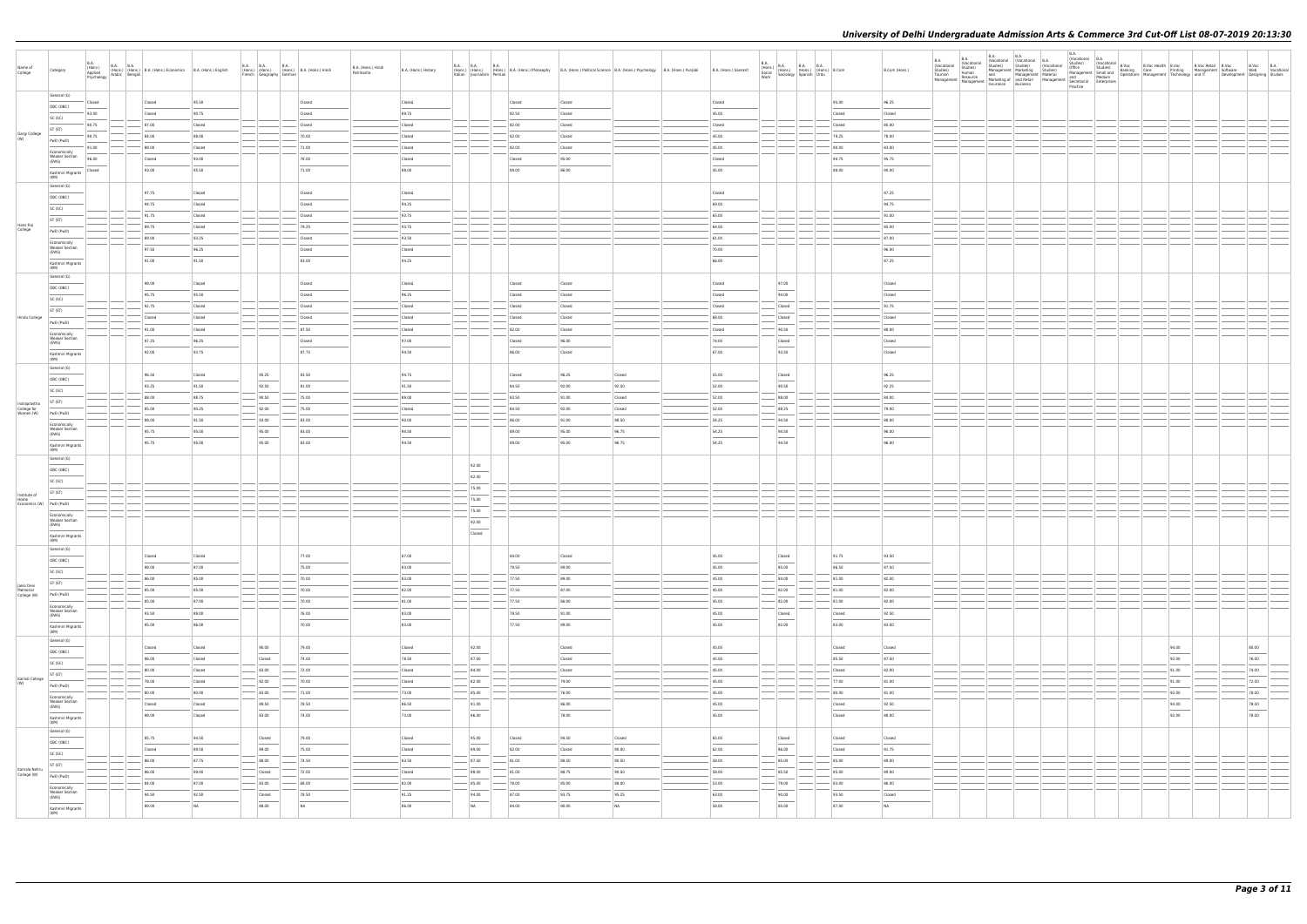| Name of<br>College                       | Category                                       | <b>B.A.</b><br>(Hons.)<br>Applied<br>Psychology | B.A. (Hons.) (Hons.) B.A. (Hons.) Economics B.A. (Hons.) English<br><sub>IV</sub> Arabic Bengali |                  | <b>B.A. B.A.</b><br><b>B.A.</b><br>(Hons.) (Hons.) (Hons.) B.A. (Hons.) Hindi<br>French Geography German |                | B.A. (Hons.) Hindi<br>Patrikarita | B.A. (Hons.) History | <b>B.A. B.A. B.A.</b><br>Italian Journalism Persian |        |                | (Hons.) (Hons.) (Hons.) B.A. (Hons.) B.A. (Hons.) Philosophy B.A. (Hons.) Political Science B.A. (Hons.) Psychology B.A. (Hons.) Punjabi | B.A. (Hons.) Sanskrit | $\begin{array}{ l l } \hline \text{B.A.} \\ \text{(Hons.)} \\ \text{Social} \\ \text{Social} \\ \text{Work} \end{array} \hspace{1mm} \begin{array}{ l } \hline \text{B.A.} \\ \text{(Hons.)} \\ \text{(Hons.)} \\ \text{[Hons.)} \end{array} \hspace{1mm} \begin{array}{ l } \hline \text{B.A.} \\ \text{(Hons.)} \\ \text{(Hons.)} \\ \text{Urdu} \end{array} \hspace{1mm} \begin{array}{ l } \hline \text{B.A.} \\ \text{B.Com} \\ \text{Ic.} \\ \text{Ic.} \\ \text{I$ |        | B.Com (Hons.)            | B.A. | <b>B.A.</b><br>(Vocational Vocational<br>Studies)<br>Tourism<br>Management | <b>B.A.</b><br>Studies)<br>Human | B.A.<br>(Vocational (Vocational B.A.<br>Studies) Studies) (Vocat<br>Studies)<br>Human and Management Marketing Studies)<br>Human and Management Marketing Management Marketing Management Marketing Management Marketing Marketing Marketing Marketing Marketing Marketing Marketing Marketing Marketi | (Vocational | B.A.<br>(Vocational B.A.<br>Practice |  |                | VOcausurian Land<br>Containe Studies (Nocational B.Voc B.Voc Realth B.Voc B.Voc Retail B.Voc<br>Management Smull and Banking Care Printing Management Software<br>Management Software (November 1999) and IT Developmer<br>Development Designing Studies | B.Voc B.A<br>Web Vocational |  |
|------------------------------------------|------------------------------------------------|-------------------------------------------------|--------------------------------------------------------------------------------------------------|------------------|----------------------------------------------------------------------------------------------------------|----------------|-----------------------------------|----------------------|-----------------------------------------------------|--------|----------------|------------------------------------------------------------------------------------------------------------------------------------------|-----------------------|---------------------------------------------------------------------------------------------------------------------------------------------------------------------------------------------------------------------------------------------------------------------------------------------------------------------------------------------------------------------------------------------------------------------------------------------------------------------------|--------|--------------------------|------|----------------------------------------------------------------------------|----------------------------------|--------------------------------------------------------------------------------------------------------------------------------------------------------------------------------------------------------------------------------------------------------------------------------------------------------|-------------|--------------------------------------|--|----------------|----------------------------------------------------------------------------------------------------------------------------------------------------------------------------------------------------------------------------------------------------------|-----------------------------|--|
|                                          | General (G)                                    | Closed                                          | Closed                                                                                           | 95.50            |                                                                                                          | Closed         |                                   | Closed               |                                                     | Closed | Closed         |                                                                                                                                          | Closed                |                                                                                                                                                                                                                                                                                                                                                                                                                                                                           | 95.00  | 96.25                    |      |                                                                            |                                  |                                                                                                                                                                                                                                                                                                        |             |                                      |  |                |                                                                                                                                                                                                                                                          |                             |  |
|                                          | OBC (OBC)<br>SC (SC)                           | 93.00                                           | Closed                                                                                           | 90.75            |                                                                                                          | Closed         |                                   | 89.75                |                                                     | 82.50  | Closed         |                                                                                                                                          | 45.00                 |                                                                                                                                                                                                                                                                                                                                                                                                                                                                           | Closed | Closed                   |      |                                                                            |                                  |                                                                                                                                                                                                                                                                                                        |             |                                      |  |                |                                                                                                                                                                                                                                                          |                             |  |
|                                          | ST (ST)                                        | 90.75                                           | 87.00                                                                                            | Closed           |                                                                                                          | Closed         |                                   | Closed               |                                                     | 82.00  | Closed         |                                                                                                                                          | Closed                |                                                                                                                                                                                                                                                                                                                                                                                                                                                                           |        | Closed<br>85.00          |      |                                                                            |                                  |                                                                                                                                                                                                                                                                                                        |             |                                      |  |                |                                                                                                                                                                                                                                                          |                             |  |
| Gargi College<br>(W)                     | PwD (PwD)                                      | 90.75                                           | 84.00                                                                                            | 88.00            |                                                                                                          | 70.00          |                                   | Closed               |                                                     | 82.00  | Closed         |                                                                                                                                          | 45.00                 |                                                                                                                                                                                                                                                                                                                                                                                                                                                                           | 79.25  | 78.00                    |      |                                                                            |                                  |                                                                                                                                                                                                                                                                                                        |             |                                      |  |                |                                                                                                                                                                                                                                                          |                             |  |
|                                          | Economically                                   | 91.00                                           | 88.00                                                                                            | Closed           |                                                                                                          | 71.00          |                                   | Closed               |                                                     | 82.00  | Closed         |                                                                                                                                          | 45.00                 |                                                                                                                                                                                                                                                                                                                                                                                                                                                                           | 80.00  | 83.00                    |      |                                                                            |                                  |                                                                                                                                                                                                                                                                                                        |             |                                      |  |                |                                                                                                                                                                                                                                                          |                             |  |
|                                          | <b>Weaker Section</b><br>(EWS)                 | 96.00                                           | Closed                                                                                           | 93.00            |                                                                                                          | 78.00          |                                   | Closed               |                                                     | Closed | 95.00          |                                                                                                                                          | Closed                |                                                                                                                                                                                                                                                                                                                                                                                                                                                                           | 94.75  | 95.75                    |      |                                                                            |                                  |                                                                                                                                                                                                                                                                                                        |             |                                      |  |                |                                                                                                                                                                                                                                                          |                             |  |
|                                          | Kashmiri Migrants<br>(KM)                      | Closed                                          | 93.00                                                                                            | 95.50            |                                                                                                          | 71.00          |                                   | 88.00                |                                                     | 89.00  | 86.00          |                                                                                                                                          | 45.00                 |                                                                                                                                                                                                                                                                                                                                                                                                                                                                           | 88.00  | 90.00                    |      |                                                                            |                                  |                                                                                                                                                                                                                                                                                                        |             |                                      |  |                |                                                                                                                                                                                                                                                          |                             |  |
|                                          | General (G)                                    |                                                 | 97.75                                                                                            |                  |                                                                                                          | Closed         |                                   | Closed               |                                                     |        |                |                                                                                                                                          | Closed                |                                                                                                                                                                                                                                                                                                                                                                                                                                                                           |        | 97.25                    |      |                                                                            |                                  |                                                                                                                                                                                                                                                                                                        |             |                                      |  |                |                                                                                                                                                                                                                                                          |                             |  |
|                                          | OBC (OBC)                                      |                                                 | 94.75                                                                                            | Closed<br>Closed |                                                                                                          | Closed         |                                   | 94.25                |                                                     |        |                |                                                                                                                                          | 69.00                 |                                                                                                                                                                                                                                                                                                                                                                                                                                                                           |        | 94.75                    |      |                                                                            |                                  |                                                                                                                                                                                                                                                                                                        |             |                                      |  |                |                                                                                                                                                                                                                                                          |                             |  |
|                                          | SC (SC)                                        |                                                 | 91.75                                                                                            | Closed           |                                                                                                          | Closed         |                                   | 93.75                |                                                     |        |                |                                                                                                                                          | 65.00                 |                                                                                                                                                                                                                                                                                                                                                                                                                                                                           |        | 91.00                    |      |                                                                            |                                  |                                                                                                                                                                                                                                                                                                        |             |                                      |  |                |                                                                                                                                                                                                                                                          |                             |  |
| Hans Raj<br>College                      | ST (ST)                                        |                                                 | 89.75                                                                                            | Closed           |                                                                                                          | 79.25          |                                   | 93.75                |                                                     |        |                |                                                                                                                                          | 64.00                 |                                                                                                                                                                                                                                                                                                                                                                                                                                                                           |        | 85.00                    |      |                                                                            |                                  |                                                                                                                                                                                                                                                                                                        |             |                                      |  |                |                                                                                                                                                                                                                                                          |                             |  |
|                                          | PwD (PwD)                                      |                                                 | 89.00                                                                                            | 93.25            |                                                                                                          | Closed         |                                   | 93.50                |                                                     |        |                |                                                                                                                                          | 61.00                 |                                                                                                                                                                                                                                                                                                                                                                                                                                                                           |        | 87.00                    |      |                                                                            |                                  |                                                                                                                                                                                                                                                                                                        |             |                                      |  |                |                                                                                                                                                                                                                                                          |                             |  |
|                                          | Economically<br><b>Weaker Section</b><br>(EWS) |                                                 | 97.50                                                                                            | 96.25            |                                                                                                          | Closed         |                                   | Closed               |                                                     |        |                |                                                                                                                                          | 70.00                 |                                                                                                                                                                                                                                                                                                                                                                                                                                                                           |        | 96.00                    |      |                                                                            |                                  |                                                                                                                                                                                                                                                                                                        |             |                                      |  |                |                                                                                                                                                                                                                                                          |                             |  |
|                                          | Kashmiri Migrants                              |                                                 | 91.00                                                                                            | 91.50            |                                                                                                          | 83.00          |                                   | 94.25                |                                                     |        |                |                                                                                                                                          | 66.00                 |                                                                                                                                                                                                                                                                                                                                                                                                                                                                           |        | 87.25                    |      |                                                                            |                                  |                                                                                                                                                                                                                                                                                                        |             |                                      |  |                |                                                                                                                                                                                                                                                          |                             |  |
|                                          | (KM)<br>General (G)                            |                                                 |                                                                                                  |                  |                                                                                                          |                |                                   |                      |                                                     |        |                |                                                                                                                                          |                       |                                                                                                                                                                                                                                                                                                                                                                                                                                                                           |        |                          |      |                                                                            |                                  |                                                                                                                                                                                                                                                                                                        |             |                                      |  |                |                                                                                                                                                                                                                                                          |                             |  |
|                                          | OBC (OBC)                                      |                                                 | 98.00                                                                                            | Closed           |                                                                                                          | Closed         |                                   | Closed               |                                                     | Closed | Closed         |                                                                                                                                          | Closed                | 97.00                                                                                                                                                                                                                                                                                                                                                                                                                                                                     |        | Closed                   |      |                                                                            |                                  |                                                                                                                                                                                                                                                                                                        |             |                                      |  |                |                                                                                                                                                                                                                                                          |                             |  |
|                                          | SC (SC)                                        |                                                 | 95.75                                                                                            | 95.50            |                                                                                                          | Closed         |                                   | 96.25                |                                                     | Closed | Closed         |                                                                                                                                          | Closed                | 94.00                                                                                                                                                                                                                                                                                                                                                                                                                                                                     |        | Closed                   |      |                                                                            |                                  |                                                                                                                                                                                                                                                                                                        |             |                                      |  |                |                                                                                                                                                                                                                                                          |                             |  |
|                                          | ST (ST)                                        |                                                 | 92.75                                                                                            | Closed           |                                                                                                          | Closed         |                                   | Closed               |                                                     | Closed | Closed         |                                                                                                                                          | Closed                | Closed                                                                                                                                                                                                                                                                                                                                                                                                                                                                    |        | 91.75                    |      |                                                                            |                                  |                                                                                                                                                                                                                                                                                                        |             |                                      |  |                |                                                                                                                                                                                                                                                          |                             |  |
| Hindu College                            | PwD (PwD)                                      |                                                 | Closed                                                                                           | Closed           |                                                                                                          | Closed         |                                   | Closed               |                                                     | Closed | Closed         |                                                                                                                                          | 68.00                 | Closed                                                                                                                                                                                                                                                                                                                                                                                                                                                                    |        | Closed                   |      |                                                                            |                                  |                                                                                                                                                                                                                                                                                                        |             |                                      |  |                |                                                                                                                                                                                                                                                          |                             |  |
|                                          | Economically                                   |                                                 | 91.00                                                                                            | Closed           |                                                                                                          | 87.50          |                                   | Closed               |                                                     | 82.00  | Closed         |                                                                                                                                          | Closed                | 90.50                                                                                                                                                                                                                                                                                                                                                                                                                                                                     |        | 88.00                    |      |                                                                            |                                  |                                                                                                                                                                                                                                                                                                        |             |                                      |  |                |                                                                                                                                                                                                                                                          |                             |  |
|                                          | <b>Weaker Section</b><br>(EWS)                 |                                                 | 97.25                                                                                            | 96.25            |                                                                                                          | Closed         |                                   | 97.00                |                                                     | Closed | 96.00          |                                                                                                                                          | 74.00                 | Closed                                                                                                                                                                                                                                                                                                                                                                                                                                                                    |        | Closed                   |      |                                                                            |                                  |                                                                                                                                                                                                                                                                                                        |             |                                      |  |                |                                                                                                                                                                                                                                                          |                             |  |
|                                          | Kashmiri Migrants<br>(KM)                      |                                                 | 92.00                                                                                            | 93.75            |                                                                                                          | 87.75          |                                   | 94.50                |                                                     | 86.00  | Closed         |                                                                                                                                          | 67.00                 | 93.50                                                                                                                                                                                                                                                                                                                                                                                                                                                                     |        | Closed                   |      |                                                                            |                                  |                                                                                                                                                                                                                                                                                                        |             |                                      |  |                |                                                                                                                                                                                                                                                          |                             |  |
|                                          | General (G)                                    |                                                 | 96.50                                                                                            |                  |                                                                                                          | 83.50          |                                   | 94.75                |                                                     | Closed | 96.25          |                                                                                                                                          | 55.00                 |                                                                                                                                                                                                                                                                                                                                                                                                                                                                           |        | 96.25                    |      |                                                                            |                                  |                                                                                                                                                                                                                                                                                                        |             |                                      |  |                |                                                                                                                                                                                                                                                          |                             |  |
|                                          | OBC (OBC)                                      |                                                 | 93.25                                                                                            | Closed<br>91.50  | 95.25<br>92.50                                                                                           | 81.00          |                                   | 91.50                |                                                     | 84.50  | 92.00          | Closed<br>92.50                                                                                                                          | 52.00                 | Closed<br>90.50                                                                                                                                                                                                                                                                                                                                                                                                                                                           |        | 92.25                    |      |                                                                            |                                  |                                                                                                                                                                                                                                                                                                        |             |                                      |  |                |                                                                                                                                                                                                                                                          |                             |  |
|                                          | SC (SC)                                        |                                                 | 88.00                                                                                            | 88.75            | 90.50                                                                                                    | 75.00          |                                   | 89.00                |                                                     | 83.50  | 91.00          | Closed                                                                                                                                   | 52.00                 | 88.00                                                                                                                                                                                                                                                                                                                                                                                                                                                                     |        | 84.00                    |      |                                                                            |                                  |                                                                                                                                                                                                                                                                                                        |             |                                      |  |                |                                                                                                                                                                                                                                                          |                             |  |
| Indraprastha<br>College for<br>Women (W) | ST (ST)                                        |                                                 | 85.00                                                                                            | 90.25            | 92.00                                                                                                    | 75.00          |                                   | Closed               |                                                     | 84.50  | 92.00          | Closed                                                                                                                                   | 52.00                 | 89.25                                                                                                                                                                                                                                                                                                                                                                                                                                                                     |        | 79.00                    |      |                                                                            |                                  |                                                                                                                                                                                                                                                                                                        |             |                                      |  |                |                                                                                                                                                                                                                                                          |                             |  |
|                                          | PwD (PwD)                                      |                                                 | 88.00                                                                                            | 91.50            | $-93.00$                                                                                                 | 83.00          |                                   | 90.00                |                                                     | 86.00  | 91.00          | 88.50                                                                                                                                    | 54.25                 | 94.50                                                                                                                                                                                                                                                                                                                                                                                                                                                                     |        | 88.00                    |      |                                                                            |                                  |                                                                                                                                                                                                                                                                                                        |             |                                      |  |                |                                                                                                                                                                                                                                                          |                             |  |
|                                          | Economically<br><b>Weaker Section</b><br>(EWS) |                                                 | 95.75                                                                                            | 95.00            | 95.00                                                                                                    | 83.00          |                                   | 94.50                |                                                     | 89.00  | 95.00          | 96.75                                                                                                                                    | 54.25                 | 94.50                                                                                                                                                                                                                                                                                                                                                                                                                                                                     |        | 96.00                    |      |                                                                            |                                  |                                                                                                                                                                                                                                                                                                        |             |                                      |  |                |                                                                                                                                                                                                                                                          |                             |  |
|                                          | Kashmiri Migrants                              |                                                 | 95.75                                                                                            | 95.00            | 95.00                                                                                                    | 83.00          |                                   | 94.50                |                                                     | 89.00  | 95.00          | 96.75                                                                                                                                    | 54.25                 | 94.50                                                                                                                                                                                                                                                                                                                                                                                                                                                                     |        | 96.00                    |      |                                                                            |                                  |                                                                                                                                                                                                                                                                                                        |             |                                      |  |                |                                                                                                                                                                                                                                                          |                             |  |
|                                          | (KM)<br>General (G)                            |                                                 |                                                                                                  |                  |                                                                                                          |                |                                   |                      |                                                     |        |                |                                                                                                                                          |                       |                                                                                                                                                                                                                                                                                                                                                                                                                                                                           |        |                          |      |                                                                            |                                  |                                                                                                                                                                                                                                                                                                        |             |                                      |  |                |                                                                                                                                                                                                                                                          |                             |  |
|                                          | OBC (OBC)                                      |                                                 |                                                                                                  |                  |                                                                                                          |                |                                   |                      | 92.00                                               |        |                |                                                                                                                                          |                       |                                                                                                                                                                                                                                                                                                                                                                                                                                                                           |        |                          |      |                                                                            |                                  |                                                                                                                                                                                                                                                                                                        |             |                                      |  |                |                                                                                                                                                                                                                                                          |                             |  |
|                                          | SC (SC)                                        |                                                 |                                                                                                  |                  |                                                                                                          |                |                                   |                      | 82.00                                               |        |                |                                                                                                                                          |                       |                                                                                                                                                                                                                                                                                                                                                                                                                                                                           |        |                          |      |                                                                            |                                  |                                                                                                                                                                                                                                                                                                        |             |                                      |  |                |                                                                                                                                                                                                                                                          |                             |  |
| Institute of                             | ST (ST)                                        |                                                 |                                                                                                  |                  |                                                                                                          |                |                                   |                      | 75.00                                               |        |                |                                                                                                                                          |                       |                                                                                                                                                                                                                                                                                                                                                                                                                                                                           |        |                          |      |                                                                            |                                  |                                                                                                                                                                                                                                                                                                        |             |                                      |  |                |                                                                                                                                                                                                                                                          |                             |  |
| Home                                     | Economics (W) PwD (PwD)                        |                                                 |                                                                                                  |                  |                                                                                                          |                |                                   |                      | 75.00                                               |        |                |                                                                                                                                          |                       |                                                                                                                                                                                                                                                                                                                                                                                                                                                                           |        |                          |      |                                                                            |                                  |                                                                                                                                                                                                                                                                                                        |             |                                      |  |                |                                                                                                                                                                                                                                                          |                             |  |
|                                          | Economically<br><b>Weaker Section</b>          |                                                 |                                                                                                  |                  |                                                                                                          |                |                                   |                      | 75.00                                               |        |                |                                                                                                                                          |                       |                                                                                                                                                                                                                                                                                                                                                                                                                                                                           |        |                          |      |                                                                            |                                  |                                                                                                                                                                                                                                                                                                        |             |                                      |  |                |                                                                                                                                                                                                                                                          |                             |  |
|                                          | (EWS)                                          |                                                 |                                                                                                  |                  |                                                                                                          |                |                                   |                      | 92.00                                               |        |                |                                                                                                                                          |                       |                                                                                                                                                                                                                                                                                                                                                                                                                                                                           |        |                          |      |                                                                            |                                  |                                                                                                                                                                                                                                                                                                        |             |                                      |  |                |                                                                                                                                                                                                                                                          |                             |  |
|                                          | Kashmiri Migrants<br>(KM)                      |                                                 |                                                                                                  |                  |                                                                                                          |                |                                   |                      | Closed                                              |        |                |                                                                                                                                          |                       |                                                                                                                                                                                                                                                                                                                                                                                                                                                                           |        |                          |      |                                                                            |                                  |                                                                                                                                                                                                                                                                                                        |             |                                      |  |                |                                                                                                                                                                                                                                                          |                             |  |
|                                          | General (G)                                    |                                                 | Closed                                                                                           | Closed           |                                                                                                          | 77.00          |                                   | 87.00                |                                                     | 84.00  | Closed         |                                                                                                                                          | 45.00                 | Closed                                                                                                                                                                                                                                                                                                                                                                                                                                                                    | 91.75  | 93.50                    |      |                                                                            |                                  |                                                                                                                                                                                                                                                                                                        |             |                                      |  |                |                                                                                                                                                                                                                                                          |                             |  |
|                                          | OBC (OBC)                                      |                                                 | 88.00                                                                                            | 87.00            |                                                                                                          | 75.00          |                                   | 83.00                |                                                     | 79.50  | 89.00          |                                                                                                                                          | 45.00                 | 85.00                                                                                                                                                                                                                                                                                                                                                                                                                                                                     | 86.50  | 87.50                    |      |                                                                            |                                  |                                                                                                                                                                                                                                                                                                        |             |                                      |  |                |                                                                                                                                                                                                                                                          |                             |  |
|                                          | SC (SC)                                        |                                                 | 86.00                                                                                            | 85.00            |                                                                                                          | 70.00          |                                   | 83.00                |                                                     | 77.50  | 89.00          |                                                                                                                                          | 45.00                 | 84.00                                                                                                                                                                                                                                                                                                                                                                                                                                                                     | 81.00  | 82.00                    |      |                                                                            |                                  |                                                                                                                                                                                                                                                                                                        |             |                                      |  |                |                                                                                                                                                                                                                                                          |                             |  |
| Janki Devi<br>Memorial<br>College (W)    | ST (ST)                                        |                                                 | 85.00                                                                                            | 85.00            |                                                                                                          | 70.00          |                                   | 82.00                |                                                     | 77.50  | 87.00          |                                                                                                                                          | 45.00                 | 82.00                                                                                                                                                                                                                                                                                                                                                                                                                                                                     | 81.00  | 82.00                    |      |                                                                            |                                  |                                                                                                                                                                                                                                                                                                        |             |                                      |  |                |                                                                                                                                                                                                                                                          |                             |  |
|                                          | PwD (PwD)<br>Economically                      |                                                 | 85.00                                                                                            | 87.00            |                                                                                                          | 70.00          |                                   | 81.00                |                                                     | 77.50  | 86.00          |                                                                                                                                          | 45.00                 | $-82.00$                                                                                                                                                                                                                                                                                                                                                                                                                                                                  | 81.00  | 82.00                    |      |                                                                            |                                  |                                                                                                                                                                                                                                                                                                        |             |                                      |  |                |                                                                                                                                                                                                                                                          |                             |  |
|                                          | <b>Weaker Section</b><br>(EWS)                 |                                                 | 93.50                                                                                            | 89.00            |                                                                                                          | 76.00          |                                   | 83.00                |                                                     | 79.50  | 91.00          |                                                                                                                                          | 45.00                 | Closed                                                                                                                                                                                                                                                                                                                                                                                                                                                                    | Closed | 92.50                    |      |                                                                            |                                  |                                                                                                                                                                                                                                                                                                        |             |                                      |  |                |                                                                                                                                                                                                                                                          |                             |  |
|                                          | Kashmiri Migrants                              |                                                 | 85.00                                                                                            | 86.00            |                                                                                                          | 70.00          |                                   | 83.00                |                                                     | 77.50  | 89.00          |                                                                                                                                          | 45.00                 | 82.00                                                                                                                                                                                                                                                                                                                                                                                                                                                                     | 83.00  | 83.00                    |      |                                                                            |                                  |                                                                                                                                                                                                                                                                                                        |             |                                      |  |                |                                                                                                                                                                                                                                                          |                             |  |
|                                          | (KM)<br>General (G)                            |                                                 |                                                                                                  |                  |                                                                                                          |                |                                   |                      |                                                     |        |                |                                                                                                                                          |                       |                                                                                                                                                                                                                                                                                                                                                                                                                                                                           |        |                          |      |                                                                            |                                  |                                                                                                                                                                                                                                                                                                        |             |                                      |  |                |                                                                                                                                                                                                                                                          |                             |  |
|                                          | OBC (OBC)                                      |                                                 | Closed                                                                                           | Closed           | 90.00<br>$\overline{\phantom{a}}$                                                                        | 79.00          |                                   | Closed               | 92.00                                               |        | Closed         |                                                                                                                                          | 45.00                 |                                                                                                                                                                                                                                                                                                                                                                                                                                                                           | Closed | Closed                   |      |                                                                            |                                  |                                                                                                                                                                                                                                                                                                        |             |                                      |  | 94.00          |                                                                                                                                                                                                                                                          | 80.00                       |  |
|                                          | SC (SC)                                        |                                                 | 86.00                                                                                            | Closed           | Closed                                                                                                   | 74.00          |                                   | 78.50                | 87.00                                               |        | Closed         |                                                                                                                                          | 45.00                 |                                                                                                                                                                                                                                                                                                                                                                                                                                                                           | 85.50  | 87.50                    |      |                                                                            |                                  |                                                                                                                                                                                                                                                                                                        |             |                                      |  | 92.00          |                                                                                                                                                                                                                                                          | 76.00                       |  |
| Kalindi College                          | ST (ST)                                        |                                                 | 80.00                                                                                            | Closed           | 83.00                                                                                                    | 72.00          |                                   | Closed               | 84.00                                               |        | Closed         |                                                                                                                                          | 45.00                 |                                                                                                                                                                                                                                                                                                                                                                                                                                                                           | Closed | 82.00                    |      |                                                                            |                                  |                                                                                                                                                                                                                                                                                                        |             |                                      |  | 91.00          |                                                                                                                                                                                                                                                          | 74.00                       |  |
| (W)                                      | PwD (PwD)                                      |                                                 | 78.00                                                                                            | Closed           | 82.00<br>$-$ 83.00                                                                                       | 70.00          |                                   | Closed<br>73.00      | 82.00<br>85.00                                      |        | 79.00<br>76.00 |                                                                                                                                          | 45.00                 |                                                                                                                                                                                                                                                                                                                                                                                                                                                                           | 77.00  | 81.00                    |      |                                                                            |                                  |                                                                                                                                                                                                                                                                                                        |             |                                      |  | 91.00          |                                                                                                                                                                                                                                                          | 72.00<br>78.00              |  |
|                                          | Economically<br><b>Weaker Section</b>          |                                                 | 80.00<br>Closed                                                                                  | 80.00<br>Closed  | 89.50                                                                                                    | 71.00<br>78.50 |                                   | 86.50                | 91.00                                               |        | 86.00          |                                                                                                                                          | 45.00<br>45.00        |                                                                                                                                                                                                                                                                                                                                                                                                                                                                           | 80.00  | 81.00<br>Closed<br>92.50 |      |                                                                            |                                  |                                                                                                                                                                                                                                                                                                        |             |                                      |  | 92.00<br>94.00 |                                                                                                                                                                                                                                                          | 78.00                       |  |
|                                          | (EWS)                                          |                                                 | 88.00                                                                                            | Closed           | 83.00                                                                                                    | 74.00          |                                   | 73.00                | 86.00                                               |        | 78.00          |                                                                                                                                          | 45.00                 |                                                                                                                                                                                                                                                                                                                                                                                                                                                                           | Closed | 88.00                    |      |                                                                            |                                  |                                                                                                                                                                                                                                                                                                        |             |                                      |  | 92.00          |                                                                                                                                                                                                                                                          | 78.00                       |  |
|                                          | Kashmiri Migrants<br>(KM)                      |                                                 |                                                                                                  |                  |                                                                                                          |                |                                   |                      |                                                     |        |                |                                                                                                                                          |                       |                                                                                                                                                                                                                                                                                                                                                                                                                                                                           |        |                          |      |                                                                            |                                  |                                                                                                                                                                                                                                                                                                        |             |                                      |  |                |                                                                                                                                                                                                                                                          |                             |  |
|                                          | General (G)                                    |                                                 | 95.75                                                                                            | 94.50            | Closed                                                                                                   | 79.00          |                                   | Closed               | 95.00                                               | Closed | 94.50          | Closed                                                                                                                                   | 65.00                 | Closed                                                                                                                                                                                                                                                                                                                                                                                                                                                                    | Closed | Closed                   |      |                                                                            |                                  |                                                                                                                                                                                                                                                                                                        |             |                                      |  |                |                                                                                                                                                                                                                                                          |                             |  |
|                                          | OBC (OBC)                                      |                                                 | Closed                                                                                           | 89.50            | 89.00                                                                                                    | 75.00          |                                   | Closed               | 89.00                                               | 82.00  | Closed         | 90.00                                                                                                                                    | 62.00                 | 86.00                                                                                                                                                                                                                                                                                                                                                                                                                                                                     | Closed | 91.75                    |      |                                                                            |                                  |                                                                                                                                                                                                                                                                                                        |             |                                      |  |                |                                                                                                                                                                                                                                                          |                             |  |
|                                          | SC (SC)<br>ST (ST)                             |                                                 | 86.00                                                                                            | 87.75            | 88.00                                                                                                    | 74.50          |                                   | 83.50                | 87.50                                               | 81.00  | 88.50          | 90.50                                                                                                                                    | 58.00                 | 85.00                                                                                                                                                                                                                                                                                                                                                                                                                                                                     | 85.00  | 89.00                    |      |                                                                            |                                  |                                                                                                                                                                                                                                                                                                        |             |                                      |  |                |                                                                                                                                                                                                                                                          |                             |  |
| Kamala Nehru<br>College (W)              | PwD (PwD)                                      |                                                 | 86.00                                                                                            | 89.00            | Closed                                                                                                   | 72.00          |                                   | Closed               | 88.00                                               | 81.00  | 88.75          | 90.50                                                                                                                                    | 58.00                 | 85.50                                                                                                                                                                                                                                                                                                                                                                                                                                                                     | 85.00  | 89.00                    |      |                                                                            |                                  |                                                                                                                                                                                                                                                                                                        |             |                                      |  |                |                                                                                                                                                                                                                                                          |                             |  |
|                                          | Economically                                   |                                                 | 84.00                                                                                            | 87.00            | $-83.00$                                                                                                 | 68.00          |                                   | 82.00                | 85.00                                               | 78.00  | 85.00          | 88.00                                                                                                                                    | 53.00                 | 79.00                                                                                                                                                                                                                                                                                                                                                                                                                                                                     | 83.00  | 86.00                    |      |                                                                            |                                  |                                                                                                                                                                                                                                                                                                        |             |                                      |  |                |                                                                                                                                                                                                                                                          |                             |  |
|                                          | <b>Weaker Section</b><br>(EWS)                 |                                                 | 94.50                                                                                            | 92.50            | Closed                                                                                                   | 78.50          |                                   | 91.25                | 94.00                                               | 87.00  | 93.75          | 95.25                                                                                                                                    | 63.00                 | 90.00                                                                                                                                                                                                                                                                                                                                                                                                                                                                     | 93.50  | Closed                   |      |                                                                            |                                  |                                                                                                                                                                                                                                                                                                        |             |                                      |  |                |                                                                                                                                                                                                                                                          |                             |  |
|                                          | Kashmiri Migrants<br>(KM)                      |                                                 | 89.00                                                                                            | NA               | 88.00                                                                                                    | NA             |                                   | 86.00                | $\overline{NA}$                                     | 84.00  | 90.00          | NA                                                                                                                                       | 58.00                 | 85.00                                                                                                                                                                                                                                                                                                                                                                                                                                                                     | 87.00  | <b>NA</b>                |      |                                                                            |                                  |                                                                                                                                                                                                                                                                                                        |             |                                      |  |                |                                                                                                                                                                                                                                                          |                             |  |
|                                          |                                                |                                                 |                                                                                                  |                  |                                                                                                          |                |                                   |                      |                                                     |        |                |                                                                                                                                          |                       |                                                                                                                                                                                                                                                                                                                                                                                                                                                                           |        |                          |      |                                                                            |                                  |                                                                                                                                                                                                                                                                                                        |             |                                      |  |                |                                                                                                                                                                                                                                                          |                             |  |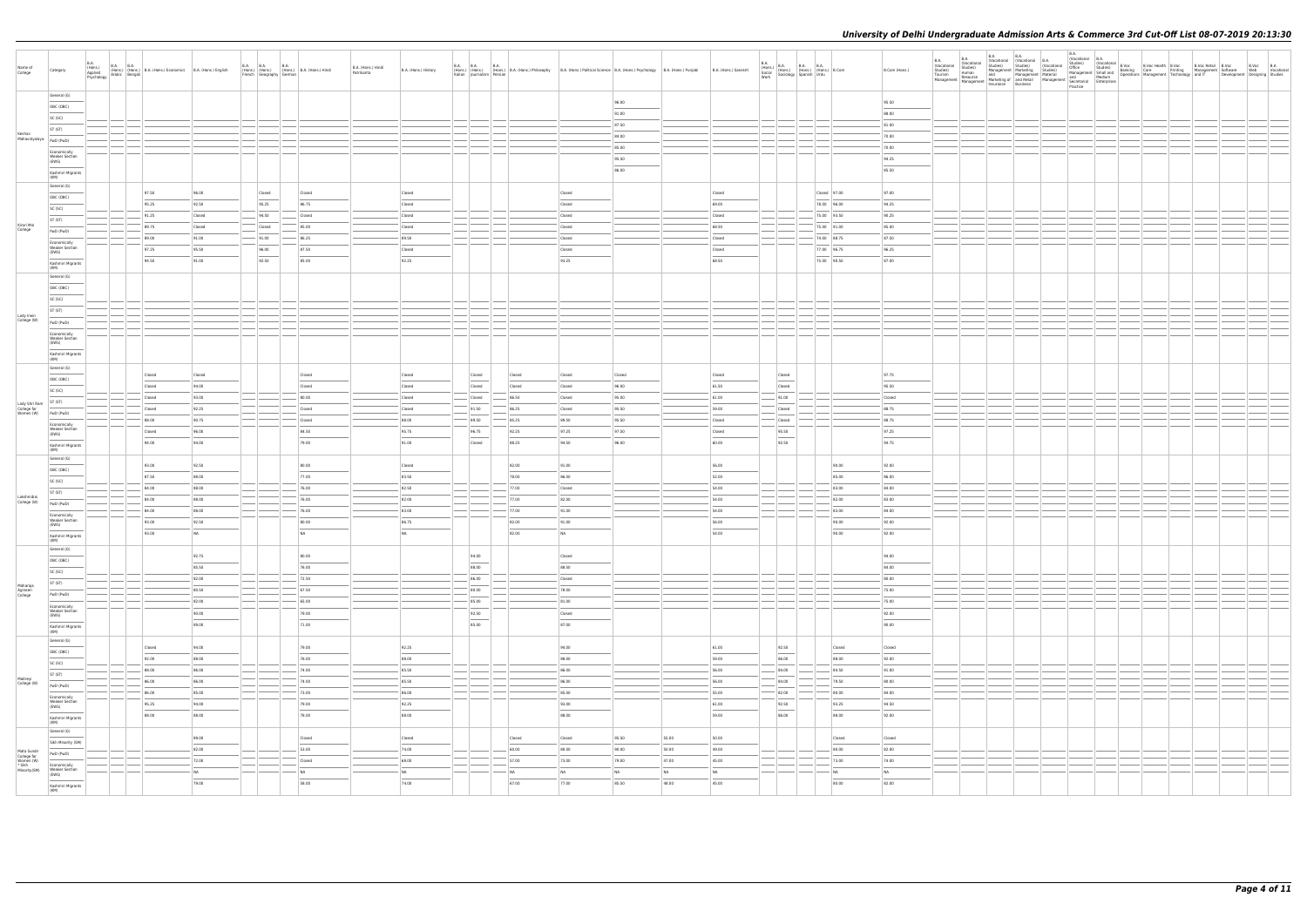| Name of<br>College                                 | Category                                       | <b>B.A.</b> | (19015.)<br>Applied (Hons.) (Hons.) B.A. (Hons.) Economics B.A. (Hons.) English<br>Psychology Arabic Bengali |           | <b>B.A. B.A.</b><br>French Geography German | <b>B.A.</b> | (Hons.) (Hons.) (Hons.) B.A. (Hons.) Hindi | B.A. (Hons.) Hindi<br>Patrikarita | B.A. (Hons.) History | <b>B.A. B.A.</b> | Italian Iournalism Persian        | B.A.     | (Hons.) (Hons.) (Hons.) B.A. (Hons.) Brilosophy B.A. (Hons.) Political Science B.A. (Hons.) Psychology B.A. (Hons.) Punjabi |        |       | B.A. (Hons.) Sanskrit | $\begin{array}{ll} \text{B.A.} \\ \text{(Hons.)} \\ \text{Social} \\ \text{Social} \\ \text{Work} \end{array} \hspace{1mm} \begin{array}{ll} \text{B.A.} \\ \text{(Hons.)} \\ \text{(Hons.)} \\ \text{(Hons.)} \\ \text{Sprains} \\ \text{Sprains} \\ \text{Urdu} \end{array} \hspace{1mm} \begin{array}{ll} \text{B.A.} \\ \text{B.A.} \\ \text{(Hons.)} \\ \text{Urdu} \end{array} \hspace{1mm} \begin{array}{ll} \text{B.A.} \\ \text{B. Comm.} \\ \text{B. Comm.} \\ \text{C.} \\ \text{$ |              | B.Com (Hons.) | B.A.<br>(Vocational<br><b>B.A.</b><br>(Vocational<br>Vocational Studies)<br>Studies) Hanagement Marketing Studies) Office Studies<br>Tourism Human and Management Marketing Studies) Management Studies<br>Management Marketing Studies<br>Management Management Marketing Studies<br>Managem | <b>B.A.</b><br><b>B.A.</b><br>(Vocational Vocational B.A.<br>Studies) Studies (Vocational Studies) | (Vocational | B.A.<br>(Vocational B.A. |  |  | Studies) (Vocational B.Voc B.Voc Health B.Voc B.Voc Retail B.Voc B.Voc B.Voc B.Voc B.Voc B.Voc B.Voc B.Voc B.Voc B.Voc B.Voc B.Voc B.Voc B.Voc B.Voc B.Voc B.Voc B.Voc B.Vocational Banking Care Printing The Uncare Press, an |  |
|----------------------------------------------------|------------------------------------------------|-------------|--------------------------------------------------------------------------------------------------------------|-----------|---------------------------------------------|-------------|--------------------------------------------|-----------------------------------|----------------------|------------------|-----------------------------------|----------|-----------------------------------------------------------------------------------------------------------------------------|--------|-------|-----------------------|-----------------------------------------------------------------------------------------------------------------------------------------------------------------------------------------------------------------------------------------------------------------------------------------------------------------------------------------------------------------------------------------------------------------------------------------------------------------------------------------------|--------------|---------------|-----------------------------------------------------------------------------------------------------------------------------------------------------------------------------------------------------------------------------------------------------------------------------------------------|----------------------------------------------------------------------------------------------------|-------------|--------------------------|--|--|--------------------------------------------------------------------------------------------------------------------------------------------------------------------------------------------------------------------------------|--|
|                                                    | General (G)                                    |             |                                                                                                              |           |                                             |             |                                            |                                   |                      |                  |                                   |          |                                                                                                                             | 96.00  |       |                       |                                                                                                                                                                                                                                                                                                                                                                                                                                                                                               |              | 95.50         |                                                                                                                                                                                                                                                                                               |                                                                                                    |             |                          |  |  |                                                                                                                                                                                                                                |  |
|                                                    | OBC (OBC)                                      |             |                                                                                                              |           |                                             |             |                                            |                                   |                      |                  |                                   |          |                                                                                                                             | 91.00  |       |                       |                                                                                                                                                                                                                                                                                                                                                                                                                                                                                               |              | 88.00         |                                                                                                                                                                                                                                                                                               |                                                                                                    |             |                          |  |  |                                                                                                                                                                                                                                |  |
|                                                    | SC (SC)                                        |             |                                                                                                              |           |                                             |             |                                            |                                   |                      |                  |                                   |          |                                                                                                                             |        |       |                       |                                                                                                                                                                                                                                                                                                                                                                                                                                                                                               |              |               |                                                                                                                                                                                                                                                                                               |                                                                                                    |             |                          |  |  |                                                                                                                                                                                                                                |  |
|                                                    | ST (ST)                                        |             |                                                                                                              |           |                                             |             |                                            |                                   |                      |                  |                                   |          |                                                                                                                             | 87.50  |       |                       |                                                                                                                                                                                                                                                                                                                                                                                                                                                                                               |              | 81.00         |                                                                                                                                                                                                                                                                                               |                                                                                                    |             |                          |  |  |                                                                                                                                                                                                                                |  |
| Keshav<br>Mahavidyalaya                            | PwD (PwD)                                      |             |                                                                                                              |           |                                             |             |                                            |                                   |                      |                  |                                   |          |                                                                                                                             | 84.00  |       |                       |                                                                                                                                                                                                                                                                                                                                                                                                                                                                                               |              | 70.00         |                                                                                                                                                                                                                                                                                               |                                                                                                    |             |                          |  |  |                                                                                                                                                                                                                                |  |
|                                                    | Economically                                   |             |                                                                                                              |           |                                             |             |                                            |                                   |                      |                  |                                   |          |                                                                                                                             | 85.00  |       |                       |                                                                                                                                                                                                                                                                                                                                                                                                                                                                                               |              | 70.00         |                                                                                                                                                                                                                                                                                               |                                                                                                    |             |                          |  |  |                                                                                                                                                                                                                                |  |
|                                                    | <b>Weaker Section</b><br>(EWS)                 |             |                                                                                                              |           |                                             |             |                                            |                                   |                      |                  |                                   |          |                                                                                                                             | 95.50  |       |                       |                                                                                                                                                                                                                                                                                                                                                                                                                                                                                               |              | 94.25         |                                                                                                                                                                                                                                                                                               |                                                                                                    |             |                          |  |  |                                                                                                                                                                                                                                |  |
|                                                    | Kashmiri Migrants                              |             |                                                                                                              |           |                                             |             |                                            |                                   |                      |                  |                                   |          |                                                                                                                             | 86.00  |       |                       |                                                                                                                                                                                                                                                                                                                                                                                                                                                                                               |              | 85.50         |                                                                                                                                                                                                                                                                                               |                                                                                                    |             |                          |  |  |                                                                                                                                                                                                                                |  |
|                                                    | (KM)                                           |             |                                                                                                              |           |                                             |             |                                            |                                   |                      |                  |                                   |          |                                                                                                                             |        |       |                       |                                                                                                                                                                                                                                                                                                                                                                                                                                                                                               |              |               |                                                                                                                                                                                                                                                                                               |                                                                                                    |             |                          |  |  |                                                                                                                                                                                                                                |  |
|                                                    | General (G)                                    |             | 97.50                                                                                                        | 96.00     | Closed                                      |             | Closed                                     |                                   | Closed               |                  |                                   |          | Closed                                                                                                                      |        |       | Closed                |                                                                                                                                                                                                                                                                                                                                                                                                                                                                                               | Closed 97.00 | 97.00         |                                                                                                                                                                                                                                                                                               |                                                                                                    |             |                          |  |  |                                                                                                                                                                                                                                |  |
|                                                    | OBC (OBC)                                      |             | 95.25                                                                                                        | 92.50     | 95.25                                       |             | 86.75                                      |                                   | Closed               |                  |                                   |          | Closed                                                                                                                      |        |       | 69.00                 |                                                                                                                                                                                                                                                                                                                                                                                                                                                                                               | 78.00 96.00  | 94.25         |                                                                                                                                                                                                                                                                                               |                                                                                                    |             |                          |  |  |                                                                                                                                                                                                                                |  |
|                                                    | SC (SC)                                        |             | 91.25                                                                                                        | Closed    | 94.50                                       |             | Closed                                     |                                   | Closed               |                  |                                   |          | Closed                                                                                                                      |        |       | Closed                |                                                                                                                                                                                                                                                                                                                                                                                                                                                                                               | 75.00 93.50  | 90.25         |                                                                                                                                                                                                                                                                                               |                                                                                                    |             |                          |  |  |                                                                                                                                                                                                                                |  |
| Kirori Mal                                         | ST (ST)                                        |             | 89.75                                                                                                        | Closed    | Closed                                      |             | 85.00                                      |                                   | Closed               |                  |                                   |          | Closed                                                                                                                      |        |       | 68.50                 |                                                                                                                                                                                                                                                                                                                                                                                                                                                                                               | 75.00 91.00  | 85.00         |                                                                                                                                                                                                                                                                                               |                                                                                                    |             |                          |  |  |                                                                                                                                                                                                                                |  |
| College                                            | PwD (PwD)                                      |             | 89.00                                                                                                        |           |                                             |             |                                            |                                   |                      |                  |                                   |          |                                                                                                                             |        |       |                       |                                                                                                                                                                                                                                                                                                                                                                                                                                                                                               |              |               |                                                                                                                                                                                                                                                                                               |                                                                                                    |             |                          |  |  |                                                                                                                                                                                                                                |  |
|                                                    | Economically<br><b>Weaker Section</b>          |             |                                                                                                              | 91.00     | $-91.00$                                    |             | 86.25                                      |                                   | 89.50                |                  |                                   |          | Closed                                                                                                                      |        |       | Closed                |                                                                                                                                                                                                                                                                                                                                                                                                                                                                                               | 74.00 88.75  | 87.50         |                                                                                                                                                                                                                                                                                               |                                                                                                    |             |                          |  |  |                                                                                                                                                                                                                                |  |
|                                                    | (EWS)                                          |             | 97.25                                                                                                        | 95.50     | 96.00                                       |             | 87.50                                      |                                   | Closed               |                  |                                   |          | Closed                                                                                                                      |        |       | Closed                |                                                                                                                                                                                                                                                                                                                                                                                                                                                                                               | 77.00 96.75  | 96.25         |                                                                                                                                                                                                                                                                                               |                                                                                                    |             |                          |  |  |                                                                                                                                                                                                                                |  |
|                                                    | Kashmiri Migrants<br>(KM)                      |             | 94.50                                                                                                        | 91.00     | 92.50                                       |             | 85.00                                      |                                   | 92.25                |                  |                                   |          | 93.25                                                                                                                       |        |       | 68.50                 |                                                                                                                                                                                                                                                                                                                                                                                                                                                                                               | 75.00 90.50  | 87.00         |                                                                                                                                                                                                                                                                                               |                                                                                                    |             |                          |  |  |                                                                                                                                                                                                                                |  |
|                                                    | General (G)                                    |             |                                                                                                              |           |                                             |             |                                            |                                   |                      |                  |                                   |          |                                                                                                                             |        |       |                       |                                                                                                                                                                                                                                                                                                                                                                                                                                                                                               |              |               |                                                                                                                                                                                                                                                                                               |                                                                                                    |             |                          |  |  |                                                                                                                                                                                                                                |  |
|                                                    | OBC (OBC)                                      |             |                                                                                                              |           |                                             |             |                                            |                                   |                      |                  |                                   |          |                                                                                                                             |        |       |                       |                                                                                                                                                                                                                                                                                                                                                                                                                                                                                               |              |               |                                                                                                                                                                                                                                                                                               |                                                                                                    |             |                          |  |  |                                                                                                                                                                                                                                |  |
|                                                    | SC (SC)                                        |             |                                                                                                              |           |                                             |             |                                            |                                   |                      |                  |                                   |          |                                                                                                                             |        |       |                       |                                                                                                                                                                                                                                                                                                                                                                                                                                                                                               |              |               |                                                                                                                                                                                                                                                                                               |                                                                                                    |             |                          |  |  |                                                                                                                                                                                                                                |  |
|                                                    | ST (ST)                                        |             |                                                                                                              |           |                                             |             |                                            |                                   |                      |                  |                                   |          |                                                                                                                             |        |       |                       |                                                                                                                                                                                                                                                                                                                                                                                                                                                                                               |              |               |                                                                                                                                                                                                                                                                                               |                                                                                                    |             |                          |  |  |                                                                                                                                                                                                                                |  |
| Lady Irwin<br>College (W)                          | PwD (PwD)                                      |             |                                                                                                              |           |                                             |             |                                            |                                   |                      |                  |                                   |          |                                                                                                                             |        |       |                       |                                                                                                                                                                                                                                                                                                                                                                                                                                                                                               |              |               |                                                                                                                                                                                                                                                                                               |                                                                                                    |             |                          |  |  |                                                                                                                                                                                                                                |  |
|                                                    | Economically                                   |             |                                                                                                              |           |                                             |             |                                            |                                   |                      | $\sim$           |                                   |          |                                                                                                                             |        |       |                       |                                                                                                                                                                                                                                                                                                                                                                                                                                                                                               |              |               |                                                                                                                                                                                                                                                                                               |                                                                                                    |             |                          |  |  |                                                                                                                                                                                                                                |  |
|                                                    | <b>Weaker Section</b><br>(EWS)                 |             |                                                                                                              |           |                                             |             |                                            |                                   |                      |                  |                                   |          |                                                                                                                             |        |       |                       |                                                                                                                                                                                                                                                                                                                                                                                                                                                                                               |              |               |                                                                                                                                                                                                                                                                                               |                                                                                                    |             |                          |  |  |                                                                                                                                                                                                                                |  |
|                                                    | Kashmiri Migrants                              |             |                                                                                                              |           |                                             |             |                                            |                                   |                      |                  |                                   |          |                                                                                                                             |        |       |                       |                                                                                                                                                                                                                                                                                                                                                                                                                                                                                               |              |               |                                                                                                                                                                                                                                                                                               |                                                                                                    |             |                          |  |  |                                                                                                                                                                                                                                |  |
|                                                    | (KM)                                           |             |                                                                                                              |           |                                             |             |                                            |                                   |                      |                  |                                   |          |                                                                                                                             |        |       |                       |                                                                                                                                                                                                                                                                                                                                                                                                                                                                                               |              |               |                                                                                                                                                                                                                                                                                               |                                                                                                    |             |                          |  |  |                                                                                                                                                                                                                                |  |
|                                                    | General (G)                                    |             | Closed                                                                                                       | Closed    |                                             |             | Closed                                     |                                   | Closed               |                  | Closed                            | Closed   | Closed                                                                                                                      | Closed |       | Closed                | Closed                                                                                                                                                                                                                                                                                                                                                                                                                                                                                        |              | 97.75         |                                                                                                                                                                                                                                                                                               |                                                                                                    |             |                          |  |  |                                                                                                                                                                                                                                |  |
|                                                    | OBC (OBC)                                      |             | Closed                                                                                                       | 94.00     |                                             |             | Closed                                     |                                   | Closed               |                  | the control of the con-<br>Closed | Closed   | Closed                                                                                                                      | 96.00  |       | 61.50                 | Closed                                                                                                                                                                                                                                                                                                                                                                                                                                                                                        |              | 95.50         |                                                                                                                                                                                                                                                                                               |                                                                                                    |             |                          |  |  |                                                                                                                                                                                                                                |  |
|                                                    | SC (SC)                                        |             |                                                                                                              | 93.00     |                                             |             | 80.00                                      |                                   | Closed               |                  |                                   | 86.50    |                                                                                                                             | 95.00  |       | 61.00                 |                                                                                                                                                                                                                                                                                                                                                                                                                                                                                               |              | Closed        |                                                                                                                                                                                                                                                                                               |                                                                                                    |             |                          |  |  |                                                                                                                                                                                                                                |  |
| Lady Shri Ram                                      | ST (ST)                                        |             | Closed                                                                                                       |           |                                             |             |                                            |                                   |                      |                  | Closed                            |          | Closed                                                                                                                      |        |       |                       | 91.00                                                                                                                                                                                                                                                                                                                                                                                                                                                                                         |              |               |                                                                                                                                                                                                                                                                                               |                                                                                                    |             |                          |  |  |                                                                                                                                                                                                                                |  |
| College for<br>Women (W)                           | PwD (PwD)                                      |             | Closed                                                                                                       | 92.25     |                                             |             | Closed                                     |                                   | Closed               |                  | 91.50                             | 86.25    | Closed                                                                                                                      | 95.50  |       | 59.00                 | Closed                                                                                                                                                                                                                                                                                                                                                                                                                                                                                        |              | 88.75         |                                                                                                                                                                                                                                                                                               |                                                                                                    |             |                          |  |  |                                                                                                                                                                                                                                |  |
|                                                    | Economically                                   |             | 88.00                                                                                                        | 90.75     |                                             |             | Closed                                     |                                   | 88.00                |                  | 89.50                             | 85.25    | 89.50                                                                                                                       | 95.50  |       | Closed                | Closed                                                                                                                                                                                                                                                                                                                                                                                                                                                                                        |              | 88.75         |                                                                                                                                                                                                                                                                                               |                                                                                                    |             |                          |  |  |                                                                                                                                                                                                                                |  |
|                                                    | <b>Weaker Section</b><br>(EWS)                 |             | Closed                                                                                                       | 96.00     |                                             |             | 84.50                                      |                                   | 95.75                |                  | 96.75                             | 92.25    | 97.25                                                                                                                       | 97.50  |       | Closed                | 95.50                                                                                                                                                                                                                                                                                                                                                                                                                                                                                         |              | 97.25         |                                                                                                                                                                                                                                                                                               |                                                                                                    |             |                          |  |  |                                                                                                                                                                                                                                |  |
|                                                    | Kashmiri Migrants<br>(KM)                      |             | 94.00                                                                                                        | 94.00     |                                             |             | 79.00                                      |                                   | 91.00                |                  | Closed                            | 88.25    | 94.50                                                                                                                       | 96.00  |       | 60.00                 | 92.50                                                                                                                                                                                                                                                                                                                                                                                                                                                                                         |              | 94.75         |                                                                                                                                                                                                                                                                                               |                                                                                                    |             |                          |  |  |                                                                                                                                                                                                                                |  |
|                                                    | General (G)                                    |             |                                                                                                              |           |                                             |             |                                            |                                   |                      |                  |                                   |          |                                                                                                                             |        |       |                       |                                                                                                                                                                                                                                                                                                                                                                                                                                                                                               |              |               |                                                                                                                                                                                                                                                                                               |                                                                                                    |             |                          |  |  |                                                                                                                                                                                                                                |  |
|                                                    | OBC (OBC)                                      |             | 93.00                                                                                                        | 92.50     |                                             |             | 80.00                                      |                                   | Closed               |                  |                                   | 82.00    | 91.00                                                                                                                       |        |       | 56.00                 |                                                                                                                                                                                                                                                                                                                                                                                                                                                                                               | 90.00        | 92.00         |                                                                                                                                                                                                                                                                                               |                                                                                                    |             |                          |  |  |                                                                                                                                                                                                                                |  |
|                                                    | SC (SC)                                        |             | 87.50                                                                                                        | 88.00     |                                             |             | 77.00                                      |                                   | 83.50                |                  |                                   | 78.00    | 86.00                                                                                                                       |        |       | 52.00                 |                                                                                                                                                                                                                                                                                                                                                                                                                                                                                               | 85.00        | 86.00         |                                                                                                                                                                                                                                                                                               |                                                                                                    |             |                          |  |  |                                                                                                                                                                                                                                |  |
|                                                    | ST (ST)                                        |             | 84.00                                                                                                        | 88.00     |                                             |             | 76.00                                      |                                   | 82.50                |                  |                                   | 77.00    | Closed                                                                                                                      |        |       | 54.00                 |                                                                                                                                                                                                                                                                                                                                                                                                                                                                                               | 83.00        | 84.00         |                                                                                                                                                                                                                                                                                               |                                                                                                    |             |                          |  |  |                                                                                                                                                                                                                                |  |
| Lakshmibai<br>College (W)                          | PwD (PwD)                                      |             | 84.00                                                                                                        | 88.00     |                                             |             | 76.00                                      |                                   | 82.00                |                  |                                   | 77.00    | 82.00                                                                                                                       |        |       | 54.00                 |                                                                                                                                                                                                                                                                                                                                                                                                                                                                                               | 82.00        | 83.00         |                                                                                                                                                                                                                                                                                               |                                                                                                    |             |                          |  |  |                                                                                                                                                                                                                                |  |
|                                                    |                                                |             | 84.00                                                                                                        | 88.00     |                                             |             | 76.00                                      |                                   | 83.00                |                  |                                   | $-77.00$ | 91.00                                                                                                                       |        |       | 54.00                 |                                                                                                                                                                                                                                                                                                                                                                                                                                                                                               | 83.00        | 84.00         |                                                                                                                                                                                                                                                                                               |                                                                                                    |             |                          |  |  |                                                                                                                                                                                                                                |  |
|                                                    | Economically<br><b>Weaker Section</b><br>(EWS) |             | 93.00                                                                                                        | 92.50     |                                             |             | 80.00                                      |                                   | 86.75                |                  |                                   | 82.00    | 91.00                                                                                                                       |        |       | 56.00                 |                                                                                                                                                                                                                                                                                                                                                                                                                                                                                               | 90.00        | 92.00         |                                                                                                                                                                                                                                                                                               |                                                                                                    |             |                          |  |  |                                                                                                                                                                                                                                |  |
|                                                    |                                                |             | 93.00                                                                                                        | <b>NA</b> |                                             |             | NA                                         |                                   | NA                   |                  |                                   | 82.00    | NA                                                                                                                          |        |       | 54.00                 |                                                                                                                                                                                                                                                                                                                                                                                                                                                                                               | 90.00        | 92.00         |                                                                                                                                                                                                                                                                                               |                                                                                                    |             |                          |  |  |                                                                                                                                                                                                                                |  |
|                                                    | Kashmiri Migrant<br>(KM)                       |             |                                                                                                              |           |                                             |             |                                            |                                   |                      |                  |                                   |          |                                                                                                                             |        |       |                       |                                                                                                                                                                                                                                                                                                                                                                                                                                                                                               |              |               |                                                                                                                                                                                                                                                                                               |                                                                                                    |             |                          |  |  |                                                                                                                                                                                                                                |  |
|                                                    | General (G)                                    |             |                                                                                                              | 92.75     |                                             |             | 80.00                                      |                                   |                      |                  | 94.00                             |          | Closed                                                                                                                      |        |       |                       |                                                                                                                                                                                                                                                                                                                                                                                                                                                                                               |              | 94.00         |                                                                                                                                                                                                                                                                                               |                                                                                                    |             |                          |  |  |                                                                                                                                                                                                                                |  |
|                                                    | OBC (OBC)                                      |             |                                                                                                              | 85.50     |                                             |             | 76.00                                      |                                   |                      |                  | $\sim$<br>88.00                   |          | $\frac{1}{2}$<br>88.50                                                                                                      |        |       |                       |                                                                                                                                                                                                                                                                                                                                                                                                                                                                                               |              | 84.00         |                                                                                                                                                                                                                                                                                               |                                                                                                    |             |                          |  |  |                                                                                                                                                                                                                                |  |
|                                                    | SC (SC)                                        |             |                                                                                                              | 82.00     |                                             |             | 72.50                                      |                                   |                      |                  | 86.00                             |          |                                                                                                                             |        |       |                       |                                                                                                                                                                                                                                                                                                                                                                                                                                                                                               |              | 80.00         |                                                                                                                                                                                                                                                                                               |                                                                                                    |             |                          |  |  |                                                                                                                                                                                                                                |  |
| Maharaja                                           | ST (ST)                                        |             |                                                                                                              |           |                                             |             |                                            |                                   |                      |                  |                                   |          | Closed                                                                                                                      |        |       |                       |                                                                                                                                                                                                                                                                                                                                                                                                                                                                                               |              |               |                                                                                                                                                                                                                                                                                               |                                                                                                    |             |                          |  |  |                                                                                                                                                                                                                                |  |
| Agrasen<br>College                                 | PwD (PwD)                                      |             |                                                                                                              | 80.50     |                                             |             | 67.50                                      |                                   |                      |                  | 80.00                             |          | 78.00                                                                                                                       |        |       |                       |                                                                                                                                                                                                                                                                                                                                                                                                                                                                                               |              | 75.00         |                                                                                                                                                                                                                                                                                               |                                                                                                    |             |                          |  |  |                                                                                                                                                                                                                                |  |
|                                                    | Economically<br><b>Weaker Section</b>          |             |                                                                                                              | 82.00     |                                             |             | $-65.00$                                   |                                   |                      |                  | 85.00                             |          | 81.00                                                                                                                       |        |       |                       |                                                                                                                                                                                                                                                                                                                                                                                                                                                                                               |              | 75.00         |                                                                                                                                                                                                                                                                                               |                                                                                                    |             |                          |  |  |                                                                                                                                                                                                                                |  |
|                                                    | (EWS)<br>$\frac{1}{2}$                         |             |                                                                                                              | 90.00     |                                             |             | 79.00                                      |                                   |                      |                  | 92.50<br>the control of           |          | Closed                                                                                                                      |        |       |                       |                                                                                                                                                                                                                                                                                                                                                                                                                                                                                               |              | 92.00         |                                                                                                                                                                                                                                                                                               |                                                                                                    |             |                          |  |  |                                                                                                                                                                                                                                |  |
|                                                    | Kashmiri Migrants<br>(KM)                      |             |                                                                                                              | 89.00     |                                             |             | 71.00                                      |                                   |                      |                  | 85.00                             |          | 87.00                                                                                                                       |        |       |                       |                                                                                                                                                                                                                                                                                                                                                                                                                                                                                               |              | 90.00         |                                                                                                                                                                                                                                                                                               |                                                                                                    |             |                          |  |  |                                                                                                                                                                                                                                |  |
|                                                    | General (G)                                    |             |                                                                                                              |           |                                             |             |                                            |                                   |                      |                  |                                   |          |                                                                                                                             |        |       |                       |                                                                                                                                                                                                                                                                                                                                                                                                                                                                                               |              |               |                                                                                                                                                                                                                                                                                               |                                                                                                    |             |                          |  |  |                                                                                                                                                                                                                                |  |
|                                                    | OBC (OBC)                                      |             | Closed                                                                                                       | 94.00     |                                             |             | 79.00                                      |                                   | 92.25                |                  |                                   |          | 94.00                                                                                                                       |        |       | 61.00                 | 92.50                                                                                                                                                                                                                                                                                                                                                                                                                                                                                         | Closed       | Closed        |                                                                                                                                                                                                                                                                                               |                                                                                                    |             |                          |  |  |                                                                                                                                                                                                                                |  |
|                                                    | SC (SC)                                        |             | 92.00                                                                                                        | 88.00     |                                             |             | 78.00                                      |                                   | 88.00                |                  |                                   |          | 88.00                                                                                                                       |        |       | 59.00                 | 86.00                                                                                                                                                                                                                                                                                                                                                                                                                                                                                         | 88.00        | 92.00         |                                                                                                                                                                                                                                                                                               |                                                                                                    |             |                          |  |  |                                                                                                                                                                                                                                |  |
|                                                    | ST (ST)                                        |             | 88.00                                                                                                        | 86.00     |                                             |             | 74.00                                      |                                   | 85.50                |                  |                                   |          | 86.00                                                                                                                       |        |       | 56.00                 | 84.00                                                                                                                                                                                                                                                                                                                                                                                                                                                                                         | 84.50        | 91.00         |                                                                                                                                                                                                                                                                                               |                                                                                                    |             |                          |  |  |                                                                                                                                                                                                                                |  |
| Maitreyi<br>College (W)                            |                                                |             | 86.00                                                                                                        | 86.00     |                                             |             | 74.00                                      |                                   | 85.50                |                  |                                   |          | 86.00                                                                                                                       |        |       | 56.00                 | 84.00                                                                                                                                                                                                                                                                                                                                                                                                                                                                                         | 79.50        | 80.00         |                                                                                                                                                                                                                                                                                               |                                                                                                    |             |                          |  |  |                                                                                                                                                                                                                                |  |
|                                                    | PwD (PwD)                                      |             | 86.00                                                                                                        | 85.00     |                                             |             | 73.00                                      |                                   | 86.00                |                  |                                   |          | $\frac{1}{2}$<br>85.00                                                                                                      |        |       | 55.00                 | 82.00                                                                                                                                                                                                                                                                                                                                                                                                                                                                                         | 80.00        | 84.00         |                                                                                                                                                                                                                                                                                               |                                                                                                    |             |                          |  |  |                                                                                                                                                                                                                                |  |
|                                                    | Economically<br><b>Weaker Section</b>          |             | 95.25                                                                                                        | 94.00     |                                             |             | 79.00                                      |                                   | 92.25                |                  |                                   |          | 93.00                                                                                                                       |        |       | 61.00                 | 92.50                                                                                                                                                                                                                                                                                                                                                                                                                                                                                         | 93.25        | 94.50         |                                                                                                                                                                                                                                                                                               |                                                                                                    |             |                          |  |  |                                                                                                                                                                                                                                |  |
|                                                    | (EWS)                                          |             | 88.00                                                                                                        | 88.00     |                                             |             | 78.00                                      |                                   | 88.00                |                  |                                   |          | 88.00                                                                                                                       |        |       | 59.00                 | $\frac{1}{2}$<br>86.00                                                                                                                                                                                                                                                                                                                                                                                                                                                                        | 88.00        | 92.00         |                                                                                                                                                                                                                                                                                               |                                                                                                    |             |                          |  |  |                                                                                                                                                                                                                                |  |
|                                                    | Kashmiri Migrants<br>(KM)                      |             |                                                                                                              |           |                                             |             |                                            |                                   |                      |                  |                                   |          |                                                                                                                             |        |       |                       |                                                                                                                                                                                                                                                                                                                                                                                                                                                                                               |              |               |                                                                                                                                                                                                                                                                                               |                                                                                                    |             |                          |  |  |                                                                                                                                                                                                                                |  |
|                                                    | General (G)                                    |             |                                                                                                              | 89.00     |                                             |             |                                            |                                   |                      |                  |                                   | Closed   |                                                                                                                             | 95.50  | 55.00 | 50.00                 |                                                                                                                                                                                                                                                                                                                                                                                                                                                                                               | Closed       | Closed        |                                                                                                                                                                                                                                                                                               |                                                                                                    |             |                          |  |  |                                                                                                                                                                                                                                |  |
|                                                    | Sikh Minority (SM)                             |             |                                                                                                              |           |                                             |             | Closed                                     |                                   | Closed               |                  |                                   |          | Closed                                                                                                                      |        |       |                       |                                                                                                                                                                                                                                                                                                                                                                                                                                                                                               |              |               |                                                                                                                                                                                                                                                                                               |                                                                                                    |             |                          |  |  |                                                                                                                                                                                                                                |  |
| Mata Sundri                                        | PwD (PwD)                                      |             |                                                                                                              | 82.00     |                                             |             | 53.00                                      |                                   | 74.00                |                  |                                   | 60.00    | 80.00                                                                                                                       | 90.00  | 50.00 | 49.00                 |                                                                                                                                                                                                                                                                                                                                                                                                                                                                                               | 80.00        | 82.00         |                                                                                                                                                                                                                                                                                               |                                                                                                    |             |                          |  |  |                                                                                                                                                                                                                                |  |
| College for<br>Women (W)<br>* Sikh<br>Minority(SM) | Economically                                   |             |                                                                                                              | 72.00     |                                             |             | Closed                                     |                                   | 68.00                |                  |                                   | 57.00    | 73.00                                                                                                                       | 79.00  | 47.00 | 45.00                 |                                                                                                                                                                                                                                                                                                                                                                                                                                                                                               | 73.00        | 74.00         |                                                                                                                                                                                                                                                                                               |                                                                                                    |             |                          |  |  |                                                                                                                                                                                                                                |  |
|                                                    | Weaker Section<br>(EWS)                        |             |                                                                                                              | NA        |                                             |             | NA                                         |                                   | NA                   |                  |                                   | NA       | NA                                                                                                                          | NA     | NA    | NA                    |                                                                                                                                                                                                                                                                                                                                                                                                                                                                                               | <b>NA</b>    | NA            |                                                                                                                                                                                                                                                                                               |                                                                                                    |             |                          |  |  |                                                                                                                                                                                                                                |  |
|                                                    | Kashmiri Migrants<br>(KM)                      |             |                                                                                                              | 79.00     |                                             |             | 58.00                                      |                                   | 74.00                |                  |                                   | 67.00    | 77.00                                                                                                                       | 85.50  | 48.00 | 45.00                 |                                                                                                                                                                                                                                                                                                                                                                                                                                                                                               | 80.00        | 82.00         |                                                                                                                                                                                                                                                                                               |                                                                                                    |             |                          |  |  |                                                                                                                                                                                                                                |  |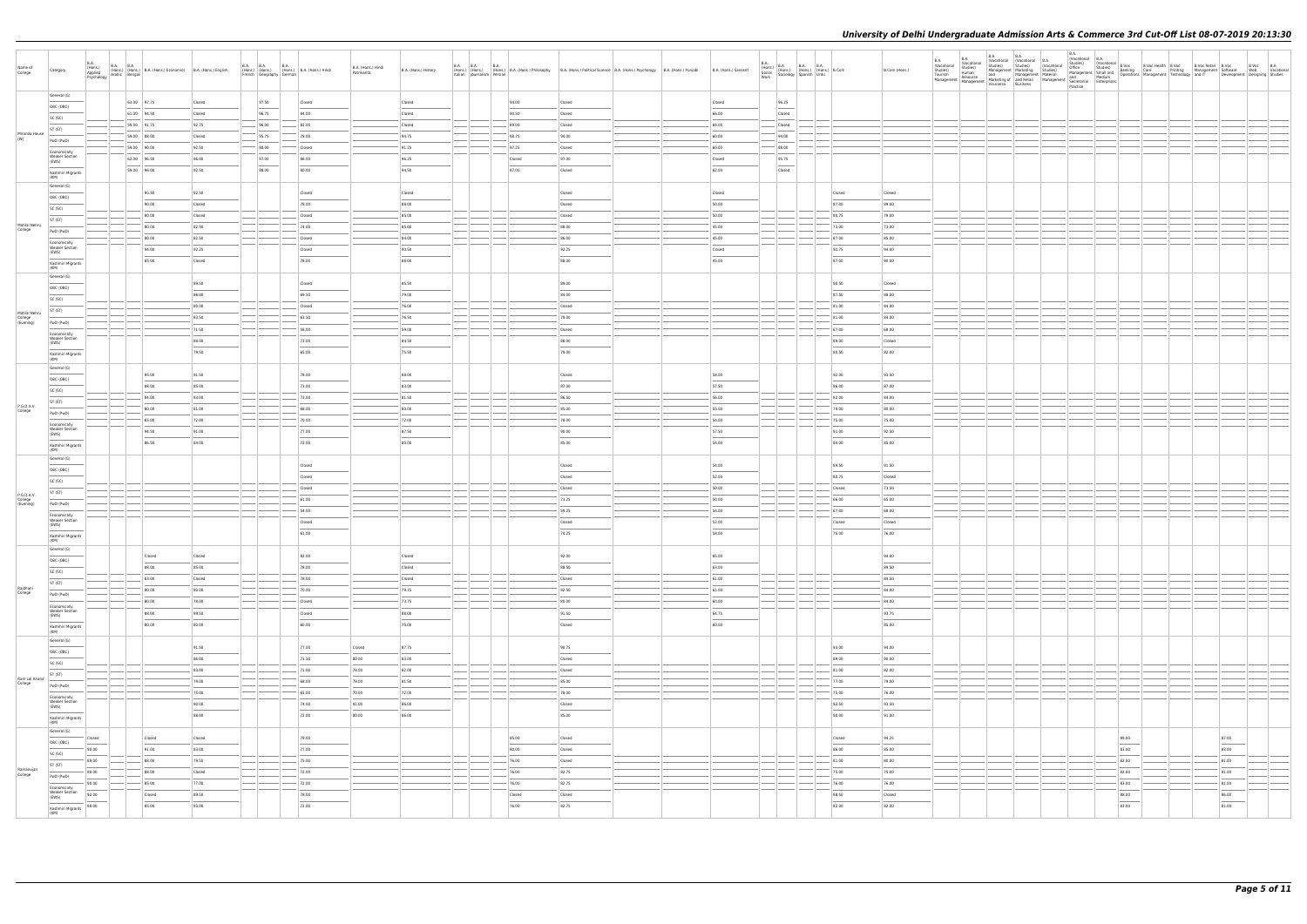| Name of<br>College                    | Category                                                                                                                                                                                                                                                                                                                                                                                                                                                                                | <b>B.A.</b><br>(Hons.)<br>Applied<br>Psychology | B.A. B.A. (Hons.) B.A. (Hons.) Economics B.A. (Hons.) English<br>v Arabic Bengali |                | <b>B.A. B.A.</b><br><b>B.A.</b><br>(Hons.) (Hons.) (Hons.) B.A. (Hons.) Hindi<br>French Geography German |                 | B.A. (Hons.) Hindi<br>Patrikarita | B.A. (Hons.) History | <b>B.A. B.A. B.A.</b> |        | (Hons.) (Hons.) B.A. (Hons.) Philosophy B.A. (Hons.) Philosophy B.A. (Hons.) Political Science B.A. (Hons.) Psychology B.A. (Hons.) Punjabi<br>Italian Journalism Persian                                                                                                                                                                                                                                                                                                           | B.A. (Hons.) Sanskrit | $\begin{array}{ l l } \hline \text{B.A.} \\ \text{(Hons.)} \\ \text{Social} \\ \text{Social} \\ \text{Work} \end{array} \hspace{1mm} \begin{array}{ l } \hline \text{B.A.} \\ \text{(Hons.)} \\ \text{(Hons.)} \\ \text{[Hons.)} \end{array} \hspace{1mm} \begin{array}{ l } \hline \text{B.A.} \\ \text{(Hons.)} \\ \text{(Hons.)} \\ \text{Urdu} \end{array} \hspace{1mm} \begin{array}{ l } \hline \text{B.A.} \\ \text{B.Com} \\ \text{Ic.} \\ \text{Ic.} \\ \text{I$ |                 | B.Com (Hons.)   | B.A.<br>(Vocational<br>Studies)<br>Tourism<br>Management | <b>B.A.</b><br>B.A.<br><b>B.A.</b><br>(Vocational (Vocational B.A.<br>Studies) Studies) (Vocat |                                                                                                                                                                                                                                                                                                                                                                                                                                                                                     | B.A.<br>I (Vocational B.A.<br>I Studies) (Vocational B.Voc<br>Studies) Banking Care<br>Management Smalland Dependions Management Technology and IT<br>Management Medium<br>Medium Development Technology and IT<br>Development<br>Medium | Development Designing Studies | B.Voc B.A<br>Web Vocational |
|---------------------------------------|-----------------------------------------------------------------------------------------------------------------------------------------------------------------------------------------------------------------------------------------------------------------------------------------------------------------------------------------------------------------------------------------------------------------------------------------------------------------------------------------|-------------------------------------------------|-----------------------------------------------------------------------------------|----------------|----------------------------------------------------------------------------------------------------------|-----------------|-----------------------------------|----------------------|-----------------------|--------|-------------------------------------------------------------------------------------------------------------------------------------------------------------------------------------------------------------------------------------------------------------------------------------------------------------------------------------------------------------------------------------------------------------------------------------------------------------------------------------|-----------------------|---------------------------------------------------------------------------------------------------------------------------------------------------------------------------------------------------------------------------------------------------------------------------------------------------------------------------------------------------------------------------------------------------------------------------------------------------------------------------|-----------------|-----------------|----------------------------------------------------------|------------------------------------------------------------------------------------------------|-------------------------------------------------------------------------------------------------------------------------------------------------------------------------------------------------------------------------------------------------------------------------------------------------------------------------------------------------------------------------------------------------------------------------------------------------------------------------------------|------------------------------------------------------------------------------------------------------------------------------------------------------------------------------------------------------------------------------------------|-------------------------------|-----------------------------|
|                                       | General (G)<br>OBC (OBC)                                                                                                                                                                                                                                                                                                                                                                                                                                                                |                                                 | 63.00 97.75                                                                       | Closed         | 97.50                                                                                                    | Closed          |                                   | Closed               |                       | 94.00  | Closed                                                                                                                                                                                                                                                                                                                                                                                                                                                                              | Closed                | 96.25                                                                                                                                                                                                                                                                                                                                                                                                                                                                     |                 |                 |                                                          |                                                                                                |                                                                                                                                                                                                                                                                                                                                                                                                                                                                                     |                                                                                                                                                                                                                                          |                               |                             |
|                                       | SC (SC)                                                                                                                                                                                                                                                                                                                                                                                                                                                                                 |                                                 | 61.00 94.50                                                                       | Closed         | 96.75                                                                                                    | 84.00           |                                   | Closed               |                       | 90.50  | Closed                                                                                                                                                                                                                                                                                                                                                                                                                                                                              | 66.00                 | Closed                                                                                                                                                                                                                                                                                                                                                                                                                                                                    |                 |                 |                                                          |                                                                                                |                                                                                                                                                                                                                                                                                                                                                                                                                                                                                     |                                                                                                                                                                                                                                          |                               |                             |
|                                       | ST (ST)                                                                                                                                                                                                                                                                                                                                                                                                                                                                                 |                                                 | 59.00 91.75                                                                       | 92.75          | 96.00                                                                                                    | 82.00           |                                   | Closed               |                       | 89.00  | Closed                                                                                                                                                                                                                                                                                                                                                                                                                                                                              | 64.00                 | Closed                                                                                                                                                                                                                                                                                                                                                                                                                                                                    |                 |                 |                                                          |                                                                                                |                                                                                                                                                                                                                                                                                                                                                                                                                                                                                     |                                                                                                                                                                                                                                          |                               |                             |
| Miranda House<br>(W)                  | PwD (PwD)                                                                                                                                                                                                                                                                                                                                                                                                                                                                               |                                                 | 59.00 88.00                                                                       | Closed         | 95.75                                                                                                    | 78.00           |                                   | 94.75                |                       | 88.75  | 94.00                                                                                                                                                                                                                                                                                                                                                                                                                                                                               | 60.00                 | 94.00                                                                                                                                                                                                                                                                                                                                                                                                                                                                     |                 |                 |                                                          |                                                                                                |                                                                                                                                                                                                                                                                                                                                                                                                                                                                                     |                                                                                                                                                                                                                                          |                               |                             |
|                                       | Economically                                                                                                                                                                                                                                                                                                                                                                                                                                                                            |                                                 | 59.00 90.00                                                                       | 92.50          | $-$ 88.00                                                                                                | Closed          |                                   | 91.25                |                       | 87.25  | Closed                                                                                                                                                                                                                                                                                                                                                                                                                                                                              | 60.00                 | 88.00                                                                                                                                                                                                                                                                                                                                                                                                                                                                     |                 |                 |                                                          |                                                                                                |                                                                                                                                                                                                                                                                                                                                                                                                                                                                                     |                                                                                                                                                                                                                                          |                               |                             |
|                                       | <b>Weaker Section</b><br>(EWS)                                                                                                                                                                                                                                                                                                                                                                                                                                                          |                                                 | 62.00 96.50                                                                       | 96.00          | 97.00                                                                                                    | 86.00           |                                   | 96.25                |                       | Closed | 97.00                                                                                                                                                                                                                                                                                                                                                                                                                                                                               | Closed                | 95.75                                                                                                                                                                                                                                                                                                                                                                                                                                                                     |                 |                 |                                                          |                                                                                                |                                                                                                                                                                                                                                                                                                                                                                                                                                                                                     |                                                                                                                                                                                                                                          |                               |                             |
|                                       | Kashmiri Migrants<br>(KM)                                                                                                                                                                                                                                                                                                                                                                                                                                                               |                                                 | 59.00 96.00                                                                       | 92.50          | 88.00                                                                                                    | 80.00           |                                   | 94.50                |                       | 87.00  | Closed                                                                                                                                                                                                                                                                                                                                                                                                                                                                              | 62.00                 | Closed                                                                                                                                                                                                                                                                                                                                                                                                                                                                    |                 |                 |                                                          |                                                                                                |                                                                                                                                                                                                                                                                                                                                                                                                                                                                                     |                                                                                                                                                                                                                                          |                               |                             |
|                                       | General (G)                                                                                                                                                                                                                                                                                                                                                                                                                                                                             |                                                 | 95.50                                                                             | 92.50          |                                                                                                          |                 |                                   |                      |                       |        |                                                                                                                                                                                                                                                                                                                                                                                                                                                                                     |                       |                                                                                                                                                                                                                                                                                                                                                                                                                                                                           |                 |                 |                                                          |                                                                                                |                                                                                                                                                                                                                                                                                                                                                                                                                                                                                     |                                                                                                                                                                                                                                          |                               |                             |
|                                       | OBC (OBC)                                                                                                                                                                                                                                                                                                                                                                                                                                                                               |                                                 | 90.00                                                                             | Closed         |                                                                                                          | Closed<br>78.00 |                                   | Closed<br>88.00      |                       |        | Closed<br>Closed                                                                                                                                                                                                                                                                                                                                                                                                                                                                    | Closed<br>50.00       |                                                                                                                                                                                                                                                                                                                                                                                                                                                                           | Closed<br>87.00 | Closed<br>89.00 |                                                          |                                                                                                |                                                                                                                                                                                                                                                                                                                                                                                                                                                                                     |                                                                                                                                                                                                                                          |                               |                             |
|                                       | SC (SC)                                                                                                                                                                                                                                                                                                                                                                                                                                                                                 |                                                 | 80.00                                                                             | Closed         |                                                                                                          | Closed          |                                   | 85.00                |                       |        | Closed                                                                                                                                                                                                                                                                                                                                                                                                                                                                              | 50.00                 |                                                                                                                                                                                                                                                                                                                                                                                                                                                                           | 80.75           | 79.00           |                                                          |                                                                                                |                                                                                                                                                                                                                                                                                                                                                                                                                                                                                     |                                                                                                                                                                                                                                          |                               |                             |
| Motilal Nehru                         | ST (ST)                                                                                                                                                                                                                                                                                                                                                                                                                                                                                 |                                                 | 80.00                                                                             | 82.50          |                                                                                                          | 74.00           |                                   | 85.00                |                       |        | 88.00                                                                                                                                                                                                                                                                                                                                                                                                                                                                               | 45.00                 |                                                                                                                                                                                                                                                                                                                                                                                                                                                                           | 73.00           | 73.00           |                                                          |                                                                                                |                                                                                                                                                                                                                                                                                                                                                                                                                                                                                     |                                                                                                                                                                                                                                          |                               |                             |
| College                               | PwD (PwD)                                                                                                                                                                                                                                                                                                                                                                                                                                                                               |                                                 | 80.00                                                                             | 82.50          |                                                                                                          | Closed          |                                   | 84.00                |                       |        | 86.00                                                                                                                                                                                                                                                                                                                                                                                                                                                                               | 45.00                 |                                                                                                                                                                                                                                                                                                                                                                                                                                                                           | 87.00           | 85.00           |                                                          |                                                                                                |                                                                                                                                                                                                                                                                                                                                                                                                                                                                                     |                                                                                                                                                                                                                                          |                               |                             |
|                                       | Economically<br><b>Weaker Section</b><br>(EWS)                                                                                                                                                                                                                                                                                                                                                                                                                                          |                                                 | 94.00                                                                             | 92.25          |                                                                                                          | Closed          |                                   | 90.50                |                       |        | 92.25                                                                                                                                                                                                                                                                                                                                                                                                                                                                               | Closed                |                                                                                                                                                                                                                                                                                                                                                                                                                                                                           | 92.75           | 94.00           |                                                          |                                                                                                |                                                                                                                                                                                                                                                                                                                                                                                                                                                                                     |                                                                                                                                                                                                                                          |                               |                             |
|                                       | Kashmiri Migrants                                                                                                                                                                                                                                                                                                                                                                                                                                                                       |                                                 | 85.00                                                                             | Closed         |                                                                                                          | 78.00           |                                   | 88.00                |                       |        | 88.00                                                                                                                                                                                                                                                                                                                                                                                                                                                                               | 45.00                 |                                                                                                                                                                                                                                                                                                                                                                                                                                                                           | 87.00           | 90.00           |                                                          |                                                                                                |                                                                                                                                                                                                                                                                                                                                                                                                                                                                                     |                                                                                                                                                                                                                                          |                               |                             |
|                                       | (KM)<br>General (G)                                                                                                                                                                                                                                                                                                                                                                                                                                                                     |                                                 |                                                                                   |                |                                                                                                          |                 |                                   |                      |                       |        |                                                                                                                                                                                                                                                                                                                                                                                                                                                                                     |                       |                                                                                                                                                                                                                                                                                                                                                                                                                                                                           |                 |                 |                                                          |                                                                                                |                                                                                                                                                                                                                                                                                                                                                                                                                                                                                     |                                                                                                                                                                                                                                          |                               |                             |
|                                       | OBC (OBC)                                                                                                                                                                                                                                                                                                                                                                                                                                                                               |                                                 |                                                                                   | 89.50          |                                                                                                          | Closed          |                                   | 85.50                |                       |        | 89.00                                                                                                                                                                                                                                                                                                                                                                                                                                                                               |                       |                                                                                                                                                                                                                                                                                                                                                                                                                                                                           | 90.50           | Closed          |                                                          |                                                                                                |                                                                                                                                                                                                                                                                                                                                                                                                                                                                                     |                                                                                                                                                                                                                                          |                               |                             |
|                                       | SC (SC)                                                                                                                                                                                                                                                                                                                                                                                                                                                                                 |                                                 |                                                                                   | 86.00          |                                                                                                          | 69.50           |                                   | 79.00                |                       |        | 84.00                                                                                                                                                                                                                                                                                                                                                                                                                                                                               |                       |                                                                                                                                                                                                                                                                                                                                                                                                                                                                           | 87.50           | 88.00           |                                                          |                                                                                                |                                                                                                                                                                                                                                                                                                                                                                                                                                                                                     |                                                                                                                                                                                                                                          |                               |                             |
|                                       | ST (ST)                                                                                                                                                                                                                                                                                                                                                                                                                                                                                 |                                                 |                                                                                   | 80.00          |                                                                                                          | Closed          |                                   | 76.00                |                       |        | Closed                                                                                                                                                                                                                                                                                                                                                                                                                                                                              |                       |                                                                                                                                                                                                                                                                                                                                                                                                                                                                           | 81.00           | 84.00           |                                                          |                                                                                                |                                                                                                                                                                                                                                                                                                                                                                                                                                                                                     |                                                                                                                                                                                                                                          |                               |                             |
| Motilal Nehru<br>College<br>(Evening) | PwD (PwD)                                                                                                                                                                                                                                                                                                                                                                                                                                                                               |                                                 |                                                                                   | 83.50          |                                                                                                          | 63.50           |                                   | 76.50                |                       |        | 79.00                                                                                                                                                                                                                                                                                                                                                                                                                                                                               |                       |                                                                                                                                                                                                                                                                                                                                                                                                                                                                           | 81.00           | 84.00           |                                                          |                                                                                                |                                                                                                                                                                                                                                                                                                                                                                                                                                                                                     |                                                                                                                                                                                                                                          |                               |                             |
|                                       | Economically                                                                                                                                                                                                                                                                                                                                                                                                                                                                            |                                                 |                                                                                   | 71.50          |                                                                                                          | 58.00           |                                   | 59.00                |                       |        | Closed                                                                                                                                                                                                                                                                                                                                                                                                                                                                              |                       |                                                                                                                                                                                                                                                                                                                                                                                                                                                                           | 67.00           | 68.00           |                                                          |                                                                                                |                                                                                                                                                                                                                                                                                                                                                                                                                                                                                     |                                                                                                                                                                                                                                          |                               |                             |
|                                       | <b>Weaker Section</b><br>(EWS)                                                                                                                                                                                                                                                                                                                                                                                                                                                          |                                                 |                                                                                   | 89.00          |                                                                                                          | 73.00           |                                   | 84.50                |                       |        | 88.00                                                                                                                                                                                                                                                                                                                                                                                                                                                                               |                       |                                                                                                                                                                                                                                                                                                                                                                                                                                                                           | 89.00           | Closed          |                                                          |                                                                                                |                                                                                                                                                                                                                                                                                                                                                                                                                                                                                     |                                                                                                                                                                                                                                          |                               |                             |
|                                       | Kashmiri Migrants<br>(KM)                                                                                                                                                                                                                                                                                                                                                                                                                                                               |                                                 |                                                                                   | 79.50          |                                                                                                          | 65.00           |                                   | 75.50                |                       |        | 79.00                                                                                                                                                                                                                                                                                                                                                                                                                                                                               |                       |                                                                                                                                                                                                                                                                                                                                                                                                                                                                           | 80.50           | 82.00           |                                                          |                                                                                                |                                                                                                                                                                                                                                                                                                                                                                                                                                                                                     |                                                                                                                                                                                                                                          |                               |                             |
|                                       | General (G)                                                                                                                                                                                                                                                                                                                                                                                                                                                                             |                                                 |                                                                                   |                |                                                                                                          |                 |                                   |                      |                       |        |                                                                                                                                                                                                                                                                                                                                                                                                                                                                                     |                       |                                                                                                                                                                                                                                                                                                                                                                                                                                                                           |                 |                 |                                                          |                                                                                                |                                                                                                                                                                                                                                                                                                                                                                                                                                                                                     |                                                                                                                                                                                                                                          |                               |                             |
|                                       | OBC (OBC)                                                                                                                                                                                                                                                                                                                                                                                                                                                                               |                                                 | 95.00<br>88.00                                                                    | 91.50<br>85.00 |                                                                                                          | 78.00<br>73.00  |                                   | 88.00<br>83.00       |                       |        | Closed<br>87.00                                                                                                                                                                                                                                                                                                                                                                                                                                                                     | 58.00<br>57.50        |                                                                                                                                                                                                                                                                                                                                                                                                                                                                           | 92.00<br>86.00  | 93.50<br>87.00  |                                                          |                                                                                                |                                                                                                                                                                                                                                                                                                                                                                                                                                                                                     |                                                                                                                                                                                                                                          |                               |                             |
|                                       | SC (SC)                                                                                                                                                                                                                                                                                                                                                                                                                                                                                 |                                                 | 84.00                                                                             | 83.00          |                                                                                                          | 73.00           |                                   | 81.50                |                       |        | 86.50                                                                                                                                                                                                                                                                                                                                                                                                                                                                               | 56.00                 |                                                                                                                                                                                                                                                                                                                                                                                                                                                                           | 82.00           | 84.00           |                                                          |                                                                                                |                                                                                                                                                                                                                                                                                                                                                                                                                                                                                     |                                                                                                                                                                                                                                          |                               |                             |
| P.G.D.A.V.                            | ST (ST)                                                                                                                                                                                                                                                                                                                                                                                                                                                                                 |                                                 | 80.00                                                                             | 81.00          |                                                                                                          | 68.00           |                                   | 80.00                |                       |        | 85.00                                                                                                                                                                                                                                                                                                                                                                                                                                                                               | 55.00                 |                                                                                                                                                                                                                                                                                                                                                                                                                                                                           | 79.00           | 80.00           |                                                          |                                                                                                |                                                                                                                                                                                                                                                                                                                                                                                                                                                                                     |                                                                                                                                                                                                                                          |                               |                             |
| College                               | PwD (PwD)                                                                                                                                                                                                                                                                                                                                                                                                                                                                               |                                                 | 65.00                                                                             | 72.00          |                                                                                                          | 70.00           |                                   | 72.00                |                       |        | 78.00                                                                                                                                                                                                                                                                                                                                                                                                                                                                               | 54.00                 |                                                                                                                                                                                                                                                                                                                                                                                                                                                                           | 75.00           | 75.00           |                                                          |                                                                                                |                                                                                                                                                                                                                                                                                                                                                                                                                                                                                     |                                                                                                                                                                                                                                          |                               |                             |
|                                       | Economically<br><b>Weaker Section</b><br>(EWS)                                                                                                                                                                                                                                                                                                                                                                                                                                          |                                                 | 94.50                                                                             | 91.00          |                                                                                                          | 77.00           |                                   | 87.50                |                       |        | 90.00                                                                                                                                                                                                                                                                                                                                                                                                                                                                               | 57.50                 |                                                                                                                                                                                                                                                                                                                                                                                                                                                                           | 91.00           | 92.50           |                                                          |                                                                                                |                                                                                                                                                                                                                                                                                                                                                                                                                                                                                     |                                                                                                                                                                                                                                          |                               |                             |
|                                       | Kashmiri Migrants                                                                                                                                                                                                                                                                                                                                                                                                                                                                       |                                                 | 86.50                                                                             | 84.00          |                                                                                                          | 72.00           |                                   | 80.00                |                       |        | 85.00                                                                                                                                                                                                                                                                                                                                                                                                                                                                               | 54.00                 |                                                                                                                                                                                                                                                                                                                                                                                                                                                                           | 84.00           | 85.00           |                                                          |                                                                                                |                                                                                                                                                                                                                                                                                                                                                                                                                                                                                     |                                                                                                                                                                                                                                          |                               |                             |
|                                       | (KM)<br>General (G)                                                                                                                                                                                                                                                                                                                                                                                                                                                                     |                                                 |                                                                                   |                |                                                                                                          |                 |                                   |                      |                       |        |                                                                                                                                                                                                                                                                                                                                                                                                                                                                                     |                       |                                                                                                                                                                                                                                                                                                                                                                                                                                                                           |                 |                 |                                                          |                                                                                                |                                                                                                                                                                                                                                                                                                                                                                                                                                                                                     |                                                                                                                                                                                                                                          |                               |                             |
|                                       | OBC (OBC)                                                                                                                                                                                                                                                                                                                                                                                                                                                                               |                                                 |                                                                                   |                |                                                                                                          | Closed          |                                   |                      |                       |        | Closed                                                                                                                                                                                                                                                                                                                                                                                                                                                                              | 54.00                 |                                                                                                                                                                                                                                                                                                                                                                                                                                                                           | 89.50           | 91.50           |                                                          |                                                                                                |                                                                                                                                                                                                                                                                                                                                                                                                                                                                                     |                                                                                                                                                                                                                                          |                               |                             |
|                                       | SC (SC)                                                                                                                                                                                                                                                                                                                                                                                                                                                                                 |                                                 |                                                                                   |                |                                                                                                          | Closed          |                                   |                      |                       |        | Closed                                                                                                                                                                                                                                                                                                                                                                                                                                                                              | 52.00                 |                                                                                                                                                                                                                                                                                                                                                                                                                                                                           | 80.75           | Closed          |                                                          |                                                                                                |                                                                                                                                                                                                                                                                                                                                                                                                                                                                                     |                                                                                                                                                                                                                                          |                               |                             |
| P.G.D.A.V.                            | ST (ST)                                                                                                                                                                                                                                                                                                                                                                                                                                                                                 |                                                 |                                                                                   |                |                                                                                                          | Closed          |                                   |                      |                       |        | Closed                                                                                                                                                                                                                                                                                                                                                                                                                                                                              | 50.00                 |                                                                                                                                                                                                                                                                                                                                                                                                                                                                           | Closed          | 73.50           |                                                          |                                                                                                |                                                                                                                                                                                                                                                                                                                                                                                                                                                                                     |                                                                                                                                                                                                                                          |                               |                             |
| College<br>(Evening)                  | PwD (PwD)                                                                                                                                                                                                                                                                                                                                                                                                                                                                               |                                                 |                                                                                   |                |                                                                                                          | 61.00           |                                   |                      |                       |        | 73.25                                                                                                                                                                                                                                                                                                                                                                                                                                                                               | 50.00                 |                                                                                                                                                                                                                                                                                                                                                                                                                                                                           | 66.00           | 65.00           |                                                          |                                                                                                |                                                                                                                                                                                                                                                                                                                                                                                                                                                                                     |                                                                                                                                                                                                                                          |                               |                             |
|                                       | Economically<br><b>Weaker Section</b>                                                                                                                                                                                                                                                                                                                                                                                                                                                   |                                                 |                                                                                   |                |                                                                                                          | 54.00           |                                   |                      |                       |        | 59.25                                                                                                                                                                                                                                                                                                                                                                                                                                                                               | 54.00                 |                                                                                                                                                                                                                                                                                                                                                                                                                                                                           | 67.00           | 68.00           |                                                          |                                                                                                |                                                                                                                                                                                                                                                                                                                                                                                                                                                                                     |                                                                                                                                                                                                                                          |                               |                             |
|                                       | (EWS)                                                                                                                                                                                                                                                                                                                                                                                                                                                                                   |                                                 |                                                                                   |                |                                                                                                          | Closed          |                                   |                      |                       |        | Closed                                                                                                                                                                                                                                                                                                                                                                                                                                                                              | 52.00                 |                                                                                                                                                                                                                                                                                                                                                                                                                                                                           | Closed          | Closed          |                                                          |                                                                                                |                                                                                                                                                                                                                                                                                                                                                                                                                                                                                     |                                                                                                                                                                                                                                          |                               |                             |
|                                       | Kashmiri Migrants<br>(KM)                                                                                                                                                                                                                                                                                                                                                                                                                                                               |                                                 |                                                                                   |                |                                                                                                          | 61.00           |                                   |                      |                       |        | 74.25                                                                                                                                                                                                                                                                                                                                                                                                                                                                               | 58.00                 |                                                                                                                                                                                                                                                                                                                                                                                                                                                                           | 75.00           | 76.00           |                                                          |                                                                                                |                                                                                                                                                                                                                                                                                                                                                                                                                                                                                     |                                                                                                                                                                                                                                          |                               |                             |
|                                       | General (G)                                                                                                                                                                                                                                                                                                                                                                                                                                                                             |                                                 | Closed                                                                            | Closed         |                                                                                                          | 82.00           |                                   | Closed               |                       |        | 92.00                                                                                                                                                                                                                                                                                                                                                                                                                                                                               | 65.00                 |                                                                                                                                                                                                                                                                                                                                                                                                                                                                           |                 | 94.00           |                                                          |                                                                                                |                                                                                                                                                                                                                                                                                                                                                                                                                                                                                     |                                                                                                                                                                                                                                          |                               |                             |
|                                       | OBC (OBC)                                                                                                                                                                                                                                                                                                                                                                                                                                                                               |                                                 | 88.00                                                                             | 85.00          |                                                                                                          | 78.00           |                                   | Closed               |                       |        | 88.50                                                                                                                                                                                                                                                                                                                                                                                                                                                                               | 63.00                 |                                                                                                                                                                                                                                                                                                                                                                                                                                                                           |                 | 89.50           |                                                          |                                                                                                |                                                                                                                                                                                                                                                                                                                                                                                                                                                                                     |                                                                                                                                                                                                                                          |                               |                             |
|                                       | SC (SC)                                                                                                                                                                                                                                                                                                                                                                                                                                                                                 |                                                 | 83.00                                                                             | Closed         |                                                                                                          | 78.00           |                                   | Closed               |                       |        | Closed                                                                                                                                                                                                                                                                                                                                                                                                                                                                              | 61.00                 |                                                                                                                                                                                                                                                                                                                                                                                                                                                                           |                 | 84.50           |                                                          |                                                                                                |                                                                                                                                                                                                                                                                                                                                                                                                                                                                                     |                                                                                                                                                                                                                                          |                               |                             |
| Rajdhani<br>College                   | ST (ST)<br>PwD (PwD)                                                                                                                                                                                                                                                                                                                                                                                                                                                                    |                                                 | 80.00                                                                             | 80.00          |                                                                                                          | 70.00           |                                   | 79.75                |                       |        | 82.50                                                                                                                                                                                                                                                                                                                                                                                                                                                                               | 61.00                 |                                                                                                                                                                                                                                                                                                                                                                                                                                                                           |                 | 84.00           |                                                          |                                                                                                |                                                                                                                                                                                                                                                                                                                                                                                                                                                                                     |                                                                                                                                                                                                                                          |                               |                             |
|                                       | Economically                                                                                                                                                                                                                                                                                                                                                                                                                                                                            |                                                 | 80.00                                                                             | 78.00          |                                                                                                          | Closed          |                                   | 73.75                |                       |        | 80.00                                                                                                                                                                                                                                                                                                                                                                                                                                                                               | $-60.00$              |                                                                                                                                                                                                                                                                                                                                                                                                                                                                           |                 | 84.00           |                                                          |                                                                                                |                                                                                                                                                                                                                                                                                                                                                                                                                                                                                     |                                                                                                                                                                                                                                          |                               |                             |
|                                       | <b>Weaker Section</b><br>(EWS)                                                                                                                                                                                                                                                                                                                                                                                                                                                          |                                                 | 88.00                                                                             | 89.50          |                                                                                                          | Closed          |                                   | 88.00                |                       |        | 91.50<br>$\frac{1}{2} \left( \frac{1}{2} \right) \left( \frac{1}{2} \right) \left( \frac{1}{2} \right) \left( \frac{1}{2} \right) \left( \frac{1}{2} \right) \left( \frac{1}{2} \right) \left( \frac{1}{2} \right) \left( \frac{1}{2} \right) \left( \frac{1}{2} \right) \left( \frac{1}{2} \right) \left( \frac{1}{2} \right) \left( \frac{1}{2} \right) \left( \frac{1}{2} \right) \left( \frac{1}{2} \right) \left( \frac{1}{2} \right) \left( \frac{1}{2} \right) \left( \frac$ | 64.75                 |                                                                                                                                                                                                                                                                                                                                                                                                                                                                           |                 | 93.75           |                                                          |                                                                                                |                                                                                                                                                                                                                                                                                                                                                                                                                                                                                     |                                                                                                                                                                                                                                          |                               |                             |
|                                       | Kashmiri Migrants                                                                                                                                                                                                                                                                                                                                                                                                                                                                       |                                                 | 80.00                                                                             | 80.00          |                                                                                                          | 60.00           |                                   | 75.00                |                       |        | Closed                                                                                                                                                                                                                                                                                                                                                                                                                                                                              | 60.00                 |                                                                                                                                                                                                                                                                                                                                                                                                                                                                           |                 | 85.00           |                                                          |                                                                                                |                                                                                                                                                                                                                                                                                                                                                                                                                                                                                     |                                                                                                                                                                                                                                          |                               |                             |
|                                       | (KM)<br>General (G)                                                                                                                                                                                                                                                                                                                                                                                                                                                                     |                                                 |                                                                                   |                |                                                                                                          |                 |                                   |                      |                       |        |                                                                                                                                                                                                                                                                                                                                                                                                                                                                                     |                       |                                                                                                                                                                                                                                                                                                                                                                                                                                                                           |                 |                 |                                                          |                                                                                                |                                                                                                                                                                                                                                                                                                                                                                                                                                                                                     |                                                                                                                                                                                                                                          |                               |                             |
|                                       | OBC (OBC)                                                                                                                                                                                                                                                                                                                                                                                                                                                                               |                                                 |                                                                                   | 91.50          |                                                                                                          | 77.00           | Closed                            | 87.75                |                       |        | 90.75                                                                                                                                                                                                                                                                                                                                                                                                                                                                               |                       |                                                                                                                                                                                                                                                                                                                                                                                                                                                                           | 93.00           | 94.00           |                                                          |                                                                                                |                                                                                                                                                                                                                                                                                                                                                                                                                                                                                     |                                                                                                                                                                                                                                          |                               |                             |
|                                       | SC (SC)                                                                                                                                                                                                                                                                                                                                                                                                                                                                                 |                                                 |                                                                                   | 86.00          |                                                                                                          | 73.50           | 80.00                             | 83.00                |                       |        | Closed                                                                                                                                                                                                                                                                                                                                                                                                                                                                              |                       |                                                                                                                                                                                                                                                                                                                                                                                                                                                                           | 89.00           | 90.00           |                                                          |                                                                                                |                                                                                                                                                                                                                                                                                                                                                                                                                                                                                     |                                                                                                                                                                                                                                          |                               |                             |
| Ram Lal Anand                         | ST (ST)                                                                                                                                                                                                                                                                                                                                                                                                                                                                                 |                                                 |                                                                                   | 83.00          |                                                                                                          | 71.00           | 78.00                             | 82.00                |                       |        | Closed                                                                                                                                                                                                                                                                                                                                                                                                                                                                              |                       |                                                                                                                                                                                                                                                                                                                                                                                                                                                                           | 81.00           | 82.00           |                                                          |                                                                                                |                                                                                                                                                                                                                                                                                                                                                                                                                                                                                     |                                                                                                                                                                                                                                          |                               |                             |
| College                               | PwD (PwD)                                                                                                                                                                                                                                                                                                                                                                                                                                                                               |                                                 |                                                                                   | 79.00<br>75.00 |                                                                                                          | 68.00           | 78.00                             | 81.50<br>72.00       |                       |        | 85.00<br>78.00                                                                                                                                                                                                                                                                                                                                                                                                                                                                      |                       |                                                                                                                                                                                                                                                                                                                                                                                                                                                                           | 77.00<br>75.00  | 79.00<br>76.00  |                                                          |                                                                                                |                                                                                                                                                                                                                                                                                                                                                                                                                                                                                     |                                                                                                                                                                                                                                          |                               |                             |
|                                       | Economically<br>Weaker Section                                                                                                                                                                                                                                                                                                                                                                                                                                                          |                                                 |                                                                                   | 90.00          |                                                                                                          | 65.00<br>74.00  | 70.00<br>81.00                    | 86.00                |                       |        | Closed                                                                                                                                                                                                                                                                                                                                                                                                                                                                              |                       |                                                                                                                                                                                                                                                                                                                                                                                                                                                                           | 92.50           | 93.50           |                                                          |                                                                                                |                                                                                                                                                                                                                                                                                                                                                                                                                                                                                     |                                                                                                                                                                                                                                          |                               |                             |
|                                       | (EWS)<br>$\overline{\phantom{a}}$                                                                                                                                                                                                                                                                                                                                                                                                                                                       |                                                 |                                                                                   | 88.00          |                                                                                                          | 72.00           | 80.00                             | 86.00                |                       |        | 85.00                                                                                                                                                                                                                                                                                                                                                                                                                                                                               |                       |                                                                                                                                                                                                                                                                                                                                                                                                                                                                           | 90.00           | 91.00           |                                                          |                                                                                                |                                                                                                                                                                                                                                                                                                                                                                                                                                                                                     |                                                                                                                                                                                                                                          |                               |                             |
|                                       | Kashmiri Migrants<br>(KM)                                                                                                                                                                                                                                                                                                                                                                                                                                                               |                                                 |                                                                                   |                |                                                                                                          |                 |                                   |                      |                       |        |                                                                                                                                                                                                                                                                                                                                                                                                                                                                                     |                       |                                                                                                                                                                                                                                                                                                                                                                                                                                                                           |                 |                 |                                                          |                                                                                                |                                                                                                                                                                                                                                                                                                                                                                                                                                                                                     |                                                                                                                                                                                                                                          |                               |                             |
|                                       | General (G)                                                                                                                                                                                                                                                                                                                                                                                                                                                                             | Closed                                          | Closed                                                                            | Closed         |                                                                                                          | 79.00           |                                   |                      |                       | 85.00  | Closed                                                                                                                                                                                                                                                                                                                                                                                                                                                                              |                       |                                                                                                                                                                                                                                                                                                                                                                                                                                                                           | Closed          | 94.25           |                                                          |                                                                                                | 89.00                                                                                                                                                                                                                                                                                                                                                                                                                                                                               |                                                                                                                                                                                                                                          | 87.00                         |                             |
|                                       | OBC (OBC)                                                                                                                                                                                                                                                                                                                                                                                                                                                                               | 90.00                                           | 91.00                                                                             | 83.00          |                                                                                                          | 77.00           |                                   |                      |                       | 80.00  | Closed                                                                                                                                                                                                                                                                                                                                                                                                                                                                              |                       |                                                                                                                                                                                                                                                                                                                                                                                                                                                                           | 86.00           | 85.00           |                                                          |                                                                                                | 83.00                                                                                                                                                                                                                                                                                                                                                                                                                                                                               |                                                                                                                                                                                                                                          | 83.00                         |                             |
|                                       | SC (SC)<br>--<br>ST (ST)                                                                                                                                                                                                                                                                                                                                                                                                                                                                | 89.00                                           | 88.00                                                                             | 79.50          |                                                                                                          | 75.00           |                                   |                      |                       | 76.00  | Closed                                                                                                                                                                                                                                                                                                                                                                                                                                                                              |                       |                                                                                                                                                                                                                                                                                                                                                                                                                                                                           | 81.00           | 80.00           |                                                          |                                                                                                | 82.00                                                                                                                                                                                                                                                                                                                                                                                                                                                                               |                                                                                                                                                                                                                                          | 81.00                         |                             |
| Ramanujan<br>College                  | $\frac{1}{2} \left( \frac{1}{2} \right) \left( \frac{1}{2} \right) \left( \frac{1}{2} \right) \left( \frac{1}{2} \right) \left( \frac{1}{2} \right) \left( \frac{1}{2} \right) \left( \frac{1}{2} \right) \left( \frac{1}{2} \right) \left( \frac{1}{2} \right) \left( \frac{1}{2} \right) \left( \frac{1}{2} \right) \left( \frac{1}{2} \right) \left( \frac{1}{2} \right) \left( \frac{1}{2} \right) \left( \frac{1}{2} \right) \left( \frac{1}{2} \right) \left( \frac$<br>PwD (PwD) | 88.00                                           | 88.00                                                                             | Closed         |                                                                                                          | 72.00           |                                   |                      |                       | 76.00  | 82.75                                                                                                                                                                                                                                                                                                                                                                                                                                                                               |                       |                                                                                                                                                                                                                                                                                                                                                                                                                                                                           | 75.00           | 75.00           |                                                          |                                                                                                | 82.00                                                                                                                                                                                                                                                                                                                                                                                                                                                                               |                                                                                                                                                                                                                                          | 81.00                         |                             |
|                                       | Economically                                                                                                                                                                                                                                                                                                                                                                                                                                                                            | 90.00                                           | 85.00                                                                             | 77.00          |                                                                                                          | 72.00           |                                   |                      |                       | 76.00  | 82.75                                                                                                                                                                                                                                                                                                                                                                                                                                                                               |                       |                                                                                                                                                                                                                                                                                                                                                                                                                                                                           | 76.00           | 76.00           |                                                          |                                                                                                | 83.00                                                                                                                                                                                                                                                                                                                                                                                                                                                                               |                                                                                                                                                                                                                                          | 81.00                         |                             |
|                                       | Weaker Section<br>(EWS)                                                                                                                                                                                                                                                                                                                                                                                                                                                                 | 92.00                                           | Closed<br>$\frac{1}{2}$                                                           | 89.50          |                                                                                                          | 78.00           |                                   |                      |                       | Closed | Closed                                                                                                                                                                                                                                                                                                                                                                                                                                                                              |                       |                                                                                                                                                                                                                                                                                                                                                                                                                                                                           | 88.50           | Closed          |                                                          |                                                                                                | 88.00<br>$\frac{1}{2} \left( \frac{1}{2} \right) \left( \frac{1}{2} \right) \left( \frac{1}{2} \right) \left( \frac{1}{2} \right) \left( \frac{1}{2} \right) \left( \frac{1}{2} \right) \left( \frac{1}{2} \right) \left( \frac{1}{2} \right) \left( \frac{1}{2} \right) \left( \frac{1}{2} \right) \left( \frac{1}{2} \right) \left( \frac{1}{2} \right) \left( \frac{1}{2} \right) \left( \frac{1}{2} \right) \left( \frac{1}{2} \right) \left( \frac{1}{2} \right) \left( \frac$ |                                                                                                                                                                                                                                          | 86.00                         |                             |
|                                       | Kashmiri Migrants<br>(KM)                                                                                                                                                                                                                                                                                                                                                                                                                                                               | 88.00                                           | 85.00                                                                             | 83.00          |                                                                                                          | 72.00           |                                   |                      |                       | 76.00  | 82.75                                                                                                                                                                                                                                                                                                                                                                                                                                                                               |                       |                                                                                                                                                                                                                                                                                                                                                                                                                                                                           | 82.00           | 82.00           |                                                          |                                                                                                | 83.00                                                                                                                                                                                                                                                                                                                                                                                                                                                                               |                                                                                                                                                                                                                                          | 81.00                         |                             |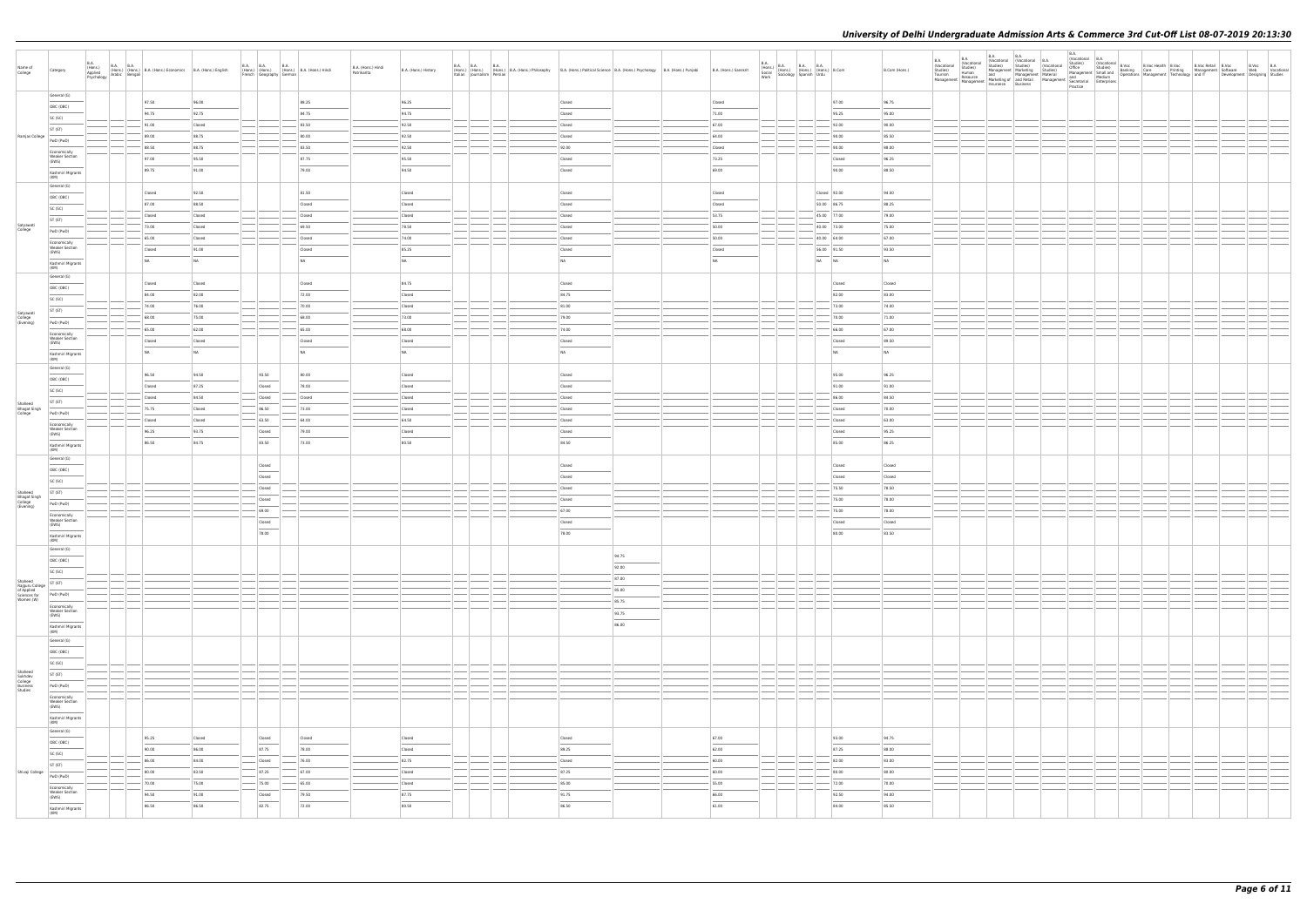| Name of<br>College                                       | Category                                                                                                                                                                                                                                                                                                                                                                                                                                                                                                     | B.A.<br>(Hons.)<br>Applied<br>Psychology | <b>B.A. B.A.</b>                                                                                   | (Hons.) (Hons.) B.A. (Hons.) Economics B.A. (Hons.) English<br>Arabic Bengali |                  | <b>B.A. B.A.</b><br>B.A.<br>(Hons.) (Hons.) (Hons.) B.A. (Hons.) Hindi<br>French Geography German                                                                                                                                                                                                                                                                                                                                                                                   |                 | B.A. (Hons.) Hindi<br>Patrikarita | B.A. (Hons.) History              |                                                   | <b>B.A. B.A. B.A.</b><br>(Hons.) (Hons.) (Hons.) B.A. (Hons.) B.A. (Hons.) Philosophy B.A. (Hons.) Political Science B.A. (Hons.) Psychology B.A. (Hons.) Punjabi<br>Italian Journalism Persian |                                   |                 | B.A. (Hons.) Sanskrit | $\begin{array}{ l l l } \hline \text{B.A.} & \text{B.A.} & \text{B.A.} & \text{B.A.} \\ \hline \text{(Hons.)} & \text{(Hons.)} & \text{(Hons.)} & \text{(Hons.)} & \text{B.Com} \\ \hline \text{Socials} & \text{Sociology} & \text{Spanish} & \text{Urdu} & \text{B.Com} \\ \hline \end{array}$ |       |                            | B.Com (Hons.)  | B.A.<br>(Vocational (Vocational B.A.<br>Studies) Studies) (Vocational<br>$\begin{tabular}{ l l l l } \hline \texttt{BA} & \texttt{BA} & \texttt{[Vccational]} & \texttt{[Vvcan:com-} & \texttt{[Vccational]} & \texttt{[Orrational]} & \texttt{[Orrational]} & \texttt{[Orrational]} & \texttt{[Orrational]} & \texttt{[Orrational]} & \texttt{[Orrational]} & \texttt{[Orrational]} & \texttt{[Orrational]} & \texttt{[Orrational]} & \texttt{[Orrational]} & \texttt{[Orrational]} & \texttt{[Orrational]} & \texttt{[Orrational]} & \texttt{[Orrational]} & \texttt{[Orrational]} & \texttt{$ | B.A.<br>(Vocational B.A. |  | Vocanoires<br>Office Studies) (Vocational B.Voc<br>Office Buddes) Banking Care Printing Management Software<br>Management Small and Banking Care Printing Management Software<br>Management Small Medium Operations Management Technol | Development Designing Studies | B.Voc B.A<br>Web Vocational |
|----------------------------------------------------------|--------------------------------------------------------------------------------------------------------------------------------------------------------------------------------------------------------------------------------------------------------------------------------------------------------------------------------------------------------------------------------------------------------------------------------------------------------------------------------------------------------------|------------------------------------------|----------------------------------------------------------------------------------------------------|-------------------------------------------------------------------------------|------------------|-------------------------------------------------------------------------------------------------------------------------------------------------------------------------------------------------------------------------------------------------------------------------------------------------------------------------------------------------------------------------------------------------------------------------------------------------------------------------------------|-----------------|-----------------------------------|-----------------------------------|---------------------------------------------------|-------------------------------------------------------------------------------------------------------------------------------------------------------------------------------------------------|-----------------------------------|-----------------|-----------------------|--------------------------------------------------------------------------------------------------------------------------------------------------------------------------------------------------------------------------------------------------------------------------------------------------|-------|----------------------------|----------------|--------------------------------------------------------------------------------------------------------------------------------------------------------------------------------------------------------------------------------------------------------------------------------------------------------------------------------------------------------------------------------------------------------------------------------------------------------------------------------------------------------------------------------------------------------------------------------------------------|--------------------------|--|----------------------------------------------------------------------------------------------------------------------------------------------------------------------------------------------------------------------------------------|-------------------------------|-----------------------------|
|                                                          | General (G)<br>OBC (OBC)                                                                                                                                                                                                                                                                                                                                                                                                                                                                                     |                                          |                                                                                                    | 97.50                                                                         | 96.00            |                                                                                                                                                                                                                                                                                                                                                                                                                                                                                     | 88.25           |                                   | 96.25                             |                                                   |                                                                                                                                                                                                 | Closed                            |                 | Closed                |                                                                                                                                                                                                                                                                                                  |       | 97.00                      | 96.75          |                                                                                                                                                                                                                                                                                                                                                                                                                                                                                                                                                                                                  |                          |  |                                                                                                                                                                                                                                        |                               |                             |
|                                                          | SC (SC)                                                                                                                                                                                                                                                                                                                                                                                                                                                                                                      |                                          |                                                                                                    | 94.75                                                                         | 92.75            |                                                                                                                                                                                                                                                                                                                                                                                                                                                                                     | 84.75           |                                   | 94.75                             |                                                   |                                                                                                                                                                                                 | Closed                            |                 | 71.00                 |                                                                                                                                                                                                                                                                                                  |       | 95.25                      | 95.00          |                                                                                                                                                                                                                                                                                                                                                                                                                                                                                                                                                                                                  |                          |  |                                                                                                                                                                                                                                        |                               |                             |
|                                                          | ST (ST)                                                                                                                                                                                                                                                                                                                                                                                                                                                                                                      |                                          |                                                                                                    | 91.00                                                                         | Closed           |                                                                                                                                                                                                                                                                                                                                                                                                                                                                                     | 83.50           |                                   | 92.50                             |                                                   |                                                                                                                                                                                                 | Closed                            |                 | 67.00                 |                                                                                                                                                                                                                                                                                                  |       | 92.00                      | 90.00          |                                                                                                                                                                                                                                                                                                                                                                                                                                                                                                                                                                                                  |                          |  |                                                                                                                                                                                                                                        |                               |                             |
| Ramjas College                                           | PwD (PwD)                                                                                                                                                                                                                                                                                                                                                                                                                                                                                                    |                                          |                                                                                                    | 89.00                                                                         | 88.75            |                                                                                                                                                                                                                                                                                                                                                                                                                                                                                     | 80.00           |                                   | 92.50                             |                                                   |                                                                                                                                                                                                 | Closed                            |                 | 64.00                 |                                                                                                                                                                                                                                                                                                  |       | 90.00                      | 85.50          |                                                                                                                                                                                                                                                                                                                                                                                                                                                                                                                                                                                                  |                          |  |                                                                                                                                                                                                                                        |                               |                             |
|                                                          | Economically                                                                                                                                                                                                                                                                                                                                                                                                                                                                                                 |                                          |                                                                                                    | 88.50                                                                         | 88.75            |                                                                                                                                                                                                                                                                                                                                                                                                                                                                                     | 83.50           |                                   | 92.50                             |                                                   |                                                                                                                                                                                                 | 92.00                             |                 | Closed                |                                                                                                                                                                                                                                                                                                  |       | 90.00                      | 88.00          |                                                                                                                                                                                                                                                                                                                                                                                                                                                                                                                                                                                                  |                          |  |                                                                                                                                                                                                                                        |                               |                             |
|                                                          | <b>Weaker Section</b><br>(EWS)                                                                                                                                                                                                                                                                                                                                                                                                                                                                               |                                          |                                                                                                    | 97.00                                                                         | 95.50            |                                                                                                                                                                                                                                                                                                                                                                                                                                                                                     | 87.75           |                                   | 95.50                             |                                                   |                                                                                                                                                                                                 | Closed                            |                 | 73.25                 |                                                                                                                                                                                                                                                                                                  |       | Closed                     | 96.25          |                                                                                                                                                                                                                                                                                                                                                                                                                                                                                                                                                                                                  |                          |  |                                                                                                                                                                                                                                        |                               |                             |
|                                                          | Kashmiri Migrants<br>(KM)                                                                                                                                                                                                                                                                                                                                                                                                                                                                                    |                                          |                                                                                                    | 89.75                                                                         | 91.00            |                                                                                                                                                                                                                                                                                                                                                                                                                                                                                     | 79.00           |                                   | 94.50                             |                                                   |                                                                                                                                                                                                 | Closed                            |                 | 69.00                 |                                                                                                                                                                                                                                                                                                  |       | 90.00                      | 88.50          |                                                                                                                                                                                                                                                                                                                                                                                                                                                                                                                                                                                                  |                          |  |                                                                                                                                                                                                                                        |                               |                             |
|                                                          | General (G)                                                                                                                                                                                                                                                                                                                                                                                                                                                                                                  |                                          |                                                                                                    |                                                                               |                  |                                                                                                                                                                                                                                                                                                                                                                                                                                                                                     |                 |                                   |                                   |                                                   |                                                                                                                                                                                                 |                                   |                 |                       |                                                                                                                                                                                                                                                                                                  |       |                            |                |                                                                                                                                                                                                                                                                                                                                                                                                                                                                                                                                                                                                  |                          |  |                                                                                                                                                                                                                                        |                               |                             |
|                                                          | OBC (OBC)                                                                                                                                                                                                                                                                                                                                                                                                                                                                                                    |                                          |                                                                                                    | Closed                                                                        | 92.50            |                                                                                                                                                                                                                                                                                                                                                                                                                                                                                     | 81.50           |                                   | Closed                            |                                                   |                                                                                                                                                                                                 | Closed                            |                 | Closed                |                                                                                                                                                                                                                                                                                                  |       | Closed 92.00               | 94.00          |                                                                                                                                                                                                                                                                                                                                                                                                                                                                                                                                                                                                  |                          |  |                                                                                                                                                                                                                                        |                               |                             |
|                                                          | SC (SC)                                                                                                                                                                                                                                                                                                                                                                                                                                                                                                      |                                          |                                                                                                    | 87.00                                                                         | 88.50            |                                                                                                                                                                                                                                                                                                                                                                                                                                                                                     | Closed          |                                   | Closed                            |                                                   |                                                                                                                                                                                                 | Closed                            |                 | Closed<br>$-53.75$    |                                                                                                                                                                                                                                                                                                  |       | 50.00 86.75                | 88.25<br>79.00 |                                                                                                                                                                                                                                                                                                                                                                                                                                                                                                                                                                                                  |                          |  |                                                                                                                                                                                                                                        |                               |                             |
| Satyawati                                                | ST (ST)                                                                                                                                                                                                                                                                                                                                                                                                                                                                                                      |                                          |                                                                                                    | Closed<br>73.00                                                               | Closed<br>Closed |                                                                                                                                                                                                                                                                                                                                                                                                                                                                                     | Closed<br>69.50 |                                   | Closed<br>78.50                   |                                                   |                                                                                                                                                                                                 | Closed<br>Closed                  |                 | 50.00                 |                                                                                                                                                                                                                                                                                                  |       | 45.00 77.00<br>40.00 73.00 | 75.00          |                                                                                                                                                                                                                                                                                                                                                                                                                                                                                                                                                                                                  |                          |  |                                                                                                                                                                                                                                        |                               |                             |
| College                                                  | PwD (PwD)                                                                                                                                                                                                                                                                                                                                                                                                                                                                                                    |                                          |                                                                                                    | 65.00                                                                         | Closed           |                                                                                                                                                                                                                                                                                                                                                                                                                                                                                     | Closed          |                                   | 74.00                             |                                                   |                                                                                                                                                                                                 | Closed                            |                 | 50.00                 |                                                                                                                                                                                                                                                                                                  |       | 40.00 64.00                | 67.00          |                                                                                                                                                                                                                                                                                                                                                                                                                                                                                                                                                                                                  |                          |  |                                                                                                                                                                                                                                        |                               |                             |
|                                                          | Economically<br><b>Weaker Section</b>                                                                                                                                                                                                                                                                                                                                                                                                                                                                        |                                          |                                                                                                    | Closed                                                                        | 91.00            |                                                                                                                                                                                                                                                                                                                                                                                                                                                                                     | Closed          |                                   | 85.25                             |                                                   |                                                                                                                                                                                                 | Closed                            |                 | Closed                |                                                                                                                                                                                                                                                                                                  |       | 56.00 91.50                | 93.50          |                                                                                                                                                                                                                                                                                                                                                                                                                                                                                                                                                                                                  |                          |  |                                                                                                                                                                                                                                        |                               |                             |
|                                                          | (EWS)                                                                                                                                                                                                                                                                                                                                                                                                                                                                                                        |                                          |                                                                                                    | NA                                                                            | NA               |                                                                                                                                                                                                                                                                                                                                                                                                                                                                                     | NA              |                                   | <b>NA</b>                         |                                                   |                                                                                                                                                                                                 | <b>NA</b>                         |                 | NA                    |                                                                                                                                                                                                                                                                                                  | NA NA |                            | NA             |                                                                                                                                                                                                                                                                                                                                                                                                                                                                                                                                                                                                  |                          |  |                                                                                                                                                                                                                                        |                               |                             |
|                                                          | Kashmiri Migrants<br>(KM)                                                                                                                                                                                                                                                                                                                                                                                                                                                                                    |                                          |                                                                                                    |                                                                               |                  |                                                                                                                                                                                                                                                                                                                                                                                                                                                                                     |                 |                                   |                                   |                                                   |                                                                                                                                                                                                 |                                   |                 |                       |                                                                                                                                                                                                                                                                                                  |       |                            |                |                                                                                                                                                                                                                                                                                                                                                                                                                                                                                                                                                                                                  |                          |  |                                                                                                                                                                                                                                        |                               |                             |
|                                                          | General (G)                                                                                                                                                                                                                                                                                                                                                                                                                                                                                                  |                                          |                                                                                                    | Closed                                                                        | Closed           |                                                                                                                                                                                                                                                                                                                                                                                                                                                                                     | Closed          |                                   | 84.75                             |                                                   |                                                                                                                                                                                                 | Closed                            |                 |                       |                                                                                                                                                                                                                                                                                                  |       | Closed                     | Closed         |                                                                                                                                                                                                                                                                                                                                                                                                                                                                                                                                                                                                  |                          |  |                                                                                                                                                                                                                                        |                               |                             |
|                                                          | OBC (OBC)<br>SC (SC)                                                                                                                                                                                                                                                                                                                                                                                                                                                                                         |                                          |                                                                                                    | 84.00                                                                         | 82.00            |                                                                                                                                                                                                                                                                                                                                                                                                                                                                                     | 72.00           |                                   | Closed                            |                                                   |                                                                                                                                                                                                 | 84.75                             |                 |                       |                                                                                                                                                                                                                                                                                                  |       | 82.00                      | 83.00          |                                                                                                                                                                                                                                                                                                                                                                                                                                                                                                                                                                                                  |                          |  |                                                                                                                                                                                                                                        |                               |                             |
|                                                          | ST (ST)                                                                                                                                                                                                                                                                                                                                                                                                                                                                                                      |                                          |                                                                                                    | 74.00                                                                         | 76.00            |                                                                                                                                                                                                                                                                                                                                                                                                                                                                                     | 70.00           |                                   | Closed                            |                                                   |                                                                                                                                                                                                 | 81.00                             |                 |                       |                                                                                                                                                                                                                                                                                                  |       | 73.00                      | 74.00          |                                                                                                                                                                                                                                                                                                                                                                                                                                                                                                                                                                                                  |                          |  |                                                                                                                                                                                                                                        |                               |                             |
| Satyawati<br>College<br>(Evening)                        | PwD (PwD)                                                                                                                                                                                                                                                                                                                                                                                                                                                                                                    |                                          |                                                                                                    | 68.00                                                                         | 75.00            |                                                                                                                                                                                                                                                                                                                                                                                                                                                                                     | 68.00           |                                   | 73.00                             |                                                   |                                                                                                                                                                                                 | 79.00                             |                 |                       |                                                                                                                                                                                                                                                                                                  |       | 70.00                      | 71.00          |                                                                                                                                                                                                                                                                                                                                                                                                                                                                                                                                                                                                  |                          |  |                                                                                                                                                                                                                                        |                               |                             |
|                                                          | Economically                                                                                                                                                                                                                                                                                                                                                                                                                                                                                                 |                                          |                                                                                                    | 65.00                                                                         | 62.00            |                                                                                                                                                                                                                                                                                                                                                                                                                                                                                     | 65.00           |                                   | 68.00                             |                                                   |                                                                                                                                                                                                 | 74.00                             |                 |                       |                                                                                                                                                                                                                                                                                                  |       | 66.00                      | 67.00          |                                                                                                                                                                                                                                                                                                                                                                                                                                                                                                                                                                                                  |                          |  |                                                                                                                                                                                                                                        |                               |                             |
|                                                          | <b>Weaker Section</b><br>(EWS)                                                                                                                                                                                                                                                                                                                                                                                                                                                                               |                                          |                                                                                                    | Closed                                                                        | Closed           |                                                                                                                                                                                                                                                                                                                                                                                                                                                                                     | Closed          |                                   | Closed                            |                                                   |                                                                                                                                                                                                 | Closed                            |                 |                       |                                                                                                                                                                                                                                                                                                  |       | Closed                     | 89.50          |                                                                                                                                                                                                                                                                                                                                                                                                                                                                                                                                                                                                  |                          |  |                                                                                                                                                                                                                                        |                               |                             |
|                                                          | Kashmiri Migrants<br>(KM)                                                                                                                                                                                                                                                                                                                                                                                                                                                                                    |                                          |                                                                                                    | N <sub>A</sub>                                                                | NA               |                                                                                                                                                                                                                                                                                                                                                                                                                                                                                     | NA              |                                   | <b>NA</b>                         |                                                   |                                                                                                                                                                                                 | N <sub>A</sub>                    |                 |                       |                                                                                                                                                                                                                                                                                                  |       | NA                         | N <sub>A</sub> |                                                                                                                                                                                                                                                                                                                                                                                                                                                                                                                                                                                                  |                          |  |                                                                                                                                                                                                                                        |                               |                             |
|                                                          | General (G)                                                                                                                                                                                                                                                                                                                                                                                                                                                                                                  |                                          |                                                                                                    |                                                                               |                  |                                                                                                                                                                                                                                                                                                                                                                                                                                                                                     |                 |                                   |                                   |                                                   |                                                                                                                                                                                                 |                                   |                 |                       |                                                                                                                                                                                                                                                                                                  |       |                            |                |                                                                                                                                                                                                                                                                                                                                                                                                                                                                                                                                                                                                  |                          |  |                                                                                                                                                                                                                                        |                               |                             |
|                                                          | OBC (OBC)                                                                                                                                                                                                                                                                                                                                                                                                                                                                                                    |                                          |                                                                                                    | 96.50                                                                         | 94.50            | 93.50                                                                                                                                                                                                                                                                                                                                                                                                                                                                               | 80.00           |                                   | Closed                            |                                                   |                                                                                                                                                                                                 | Closed                            |                 |                       |                                                                                                                                                                                                                                                                                                  |       | 95.00                      | 96.25          |                                                                                                                                                                                                                                                                                                                                                                                                                                                                                                                                                                                                  |                          |  |                                                                                                                                                                                                                                        |                               |                             |
|                                                          | SC (SC)                                                                                                                                                                                                                                                                                                                                                                                                                                                                                                      |                                          |                                                                                                    | Closed                                                                        | 87.25            | Closed                                                                                                                                                                                                                                                                                                                                                                                                                                                                              | 78.00           |                                   | Closed                            |                                                   |                                                                                                                                                                                                 | Closed                            |                 |                       |                                                                                                                                                                                                                                                                                                  |       | 91.00                      | 91.00          |                                                                                                                                                                                                                                                                                                                                                                                                                                                                                                                                                                                                  |                          |  |                                                                                                                                                                                                                                        |                               |                             |
| Shaheed                                                  | ST (ST)                                                                                                                                                                                                                                                                                                                                                                                                                                                                                                      |                                          |                                                                                                    | Closed                                                                        | 84.50            | Closed                                                                                                                                                                                                                                                                                                                                                                                                                                                                              | Closed          |                                   | Closed                            |                                                   |                                                                                                                                                                                                 | Closed                            |                 |                       |                                                                                                                                                                                                                                                                                                  |       | 86.00                      | 84.50          |                                                                                                                                                                                                                                                                                                                                                                                                                                                                                                                                                                                                  |                          |  |                                                                                                                                                                                                                                        |                               |                             |
| Bhagat Singh<br>College                                  | PwD (PwD)                                                                                                                                                                                                                                                                                                                                                                                                                                                                                                    |                                          |                                                                                                    | 75.75                                                                         | Closed           | 86.50                                                                                                                                                                                                                                                                                                                                                                                                                                                                               | 73.00           |                                   | Closed                            |                                                   |                                                                                                                                                                                                 | Closed                            |                 |                       |                                                                                                                                                                                                                                                                                                  |       | Closed                     | 70.00          |                                                                                                                                                                                                                                                                                                                                                                                                                                                                                                                                                                                                  |                          |  |                                                                                                                                                                                                                                        |                               |                             |
|                                                          | Economically<br><b>Weaker Section</b>                                                                                                                                                                                                                                                                                                                                                                                                                                                                        |                                          |                                                                                                    | Closed<br>96.25                                                               | Closed<br>93.75  | $-63.50$<br>Closed                                                                                                                                                                                                                                                                                                                                                                                                                                                                  | 64.00<br>79.00  |                                   | 64.50<br>Closed                   |                                                   |                                                                                                                                                                                                 | Closed<br>Closed                  |                 |                       |                                                                                                                                                                                                                                                                                                  |       | Closed<br>Closed           | 63.00<br>95.25 |                                                                                                                                                                                                                                                                                                                                                                                                                                                                                                                                                                                                  |                          |  |                                                                                                                                                                                                                                        |                               |                             |
|                                                          | (EWS)                                                                                                                                                                                                                                                                                                                                                                                                                                                                                                        |                                          |                                                                                                    | 86.50                                                                         | 84.75            | $\frac{1}{2} \left( \frac{1}{2} \right) \left( \frac{1}{2} \right) \left( \frac{1}{2} \right) \left( \frac{1}{2} \right) \left( \frac{1}{2} \right) \left( \frac{1}{2} \right) \left( \frac{1}{2} \right) \left( \frac{1}{2} \right) \left( \frac{1}{2} \right) \left( \frac{1}{2} \right) \left( \frac{1}{2} \right) \left( \frac{1}{2} \right) \left( \frac{1}{2} \right) \left( \frac{1}{2} \right) \left( \frac{1}{2} \right) \left( \frac{1}{2} \right) \left( \frac$<br>83.50 | 73.00           |                                   | 80.50                             |                                                   |                                                                                                                                                                                                 | 84.50                             |                 |                       |                                                                                                                                                                                                                                                                                                  |       | 85.00                      | 86.25          |                                                                                                                                                                                                                                                                                                                                                                                                                                                                                                                                                                                                  |                          |  |                                                                                                                                                                                                                                        |                               |                             |
|                                                          | Kashmiri Migrants<br>(KM)                                                                                                                                                                                                                                                                                                                                                                                                                                                                                    |                                          |                                                                                                    |                                                                               |                  |                                                                                                                                                                                                                                                                                                                                                                                                                                                                                     |                 |                                   |                                   |                                                   |                                                                                                                                                                                                 |                                   |                 |                       |                                                                                                                                                                                                                                                                                                  |       |                            |                |                                                                                                                                                                                                                                                                                                                                                                                                                                                                                                                                                                                                  |                          |  |                                                                                                                                                                                                                                        |                               |                             |
|                                                          | General (G)                                                                                                                                                                                                                                                                                                                                                                                                                                                                                                  |                                          |                                                                                                    |                                                                               |                  | Closed                                                                                                                                                                                                                                                                                                                                                                                                                                                                              |                 |                                   |                                   |                                                   |                                                                                                                                                                                                 | Closed                            |                 |                       |                                                                                                                                                                                                                                                                                                  |       | Closed                     | Closed         |                                                                                                                                                                                                                                                                                                                                                                                                                                                                                                                                                                                                  |                          |  |                                                                                                                                                                                                                                        |                               |                             |
|                                                          | OBC (OBC)                                                                                                                                                                                                                                                                                                                                                                                                                                                                                                    |                                          |                                                                                                    |                                                                               |                  | Closed                                                                                                                                                                                                                                                                                                                                                                                                                                                                              |                 |                                   |                                   |                                                   |                                                                                                                                                                                                 | Closed                            |                 |                       |                                                                                                                                                                                                                                                                                                  |       | Closed                     | Closed         |                                                                                                                                                                                                                                                                                                                                                                                                                                                                                                                                                                                                  |                          |  |                                                                                                                                                                                                                                        |                               |                             |
| Shaheed                                                  | SC (SC)<br>ST (ST)                                                                                                                                                                                                                                                                                                                                                                                                                                                                                           |                                          |                                                                                                    |                                                                               |                  | Closed                                                                                                                                                                                                                                                                                                                                                                                                                                                                              |                 |                                   |                                   |                                                   |                                                                                                                                                                                                 | Closed                            |                 |                       |                                                                                                                                                                                                                                                                                                  |       | 75.50                      | 78.50          |                                                                                                                                                                                                                                                                                                                                                                                                                                                                                                                                                                                                  |                          |  |                                                                                                                                                                                                                                        |                               |                             |
| Bhagat Singh<br>College<br>(Evening)                     | PwD (PwD)                                                                                                                                                                                                                                                                                                                                                                                                                                                                                                    |                                          |                                                                                                    |                                                                               |                  | Closed                                                                                                                                                                                                                                                                                                                                                                                                                                                                              |                 |                                   |                                   |                                                   |                                                                                                                                                                                                 | Closed                            |                 |                       |                                                                                                                                                                                                                                                                                                  |       | 75.00                      | 78.00          |                                                                                                                                                                                                                                                                                                                                                                                                                                                                                                                                                                                                  |                          |  |                                                                                                                                                                                                                                        |                               |                             |
|                                                          | Economically                                                                                                                                                                                                                                                                                                                                                                                                                                                                                                 |                                          |                                                                                                    |                                                                               |                  | $-69.00$                                                                                                                                                                                                                                                                                                                                                                                                                                                                            |                 |                                   |                                   |                                                   |                                                                                                                                                                                                 | 67.00                             |                 |                       |                                                                                                                                                                                                                                                                                                  |       | 75.00                      | 78.00          |                                                                                                                                                                                                                                                                                                                                                                                                                                                                                                                                                                                                  |                          |  |                                                                                                                                                                                                                                        |                               |                             |
|                                                          | <b>Weaker Section</b><br>(EWS)                                                                                                                                                                                                                                                                                                                                                                                                                                                                               |                                          |                                                                                                    |                                                                               |                  | Closed<br>$\frac{1}{2}$                                                                                                                                                                                                                                                                                                                                                                                                                                                             |                 |                                   |                                   |                                                   |                                                                                                                                                                                                 | Closed                            |                 |                       |                                                                                                                                                                                                                                                                                                  |       | Closed                     | Closed         |                                                                                                                                                                                                                                                                                                                                                                                                                                                                                                                                                                                                  |                          |  |                                                                                                                                                                                                                                        |                               |                             |
|                                                          | Kashmiri Migrants<br>(KM)                                                                                                                                                                                                                                                                                                                                                                                                                                                                                    |                                          |                                                                                                    |                                                                               |                  | 78.00                                                                                                                                                                                                                                                                                                                                                                                                                                                                               |                 |                                   |                                   |                                                   |                                                                                                                                                                                                 | 78.00                             |                 |                       |                                                                                                                                                                                                                                                                                                  |       | 80.00                      | 83.50          |                                                                                                                                                                                                                                                                                                                                                                                                                                                                                                                                                                                                  |                          |  |                                                                                                                                                                                                                                        |                               |                             |
|                                                          | General (G)                                                                                                                                                                                                                                                                                                                                                                                                                                                                                                  |                                          |                                                                                                    |                                                                               |                  |                                                                                                                                                                                                                                                                                                                                                                                                                                                                                     |                 |                                   |                                   |                                                   |                                                                                                                                                                                                 |                                   |                 |                       |                                                                                                                                                                                                                                                                                                  |       |                            |                |                                                                                                                                                                                                                                                                                                                                                                                                                                                                                                                                                                                                  |                          |  |                                                                                                                                                                                                                                        |                               |                             |
|                                                          | OBC (OBC)                                                                                                                                                                                                                                                                                                                                                                                                                                                                                                    |                                          |                                                                                                    |                                                                               |                  |                                                                                                                                                                                                                                                                                                                                                                                                                                                                                     |                 |                                   |                                   |                                                   |                                                                                                                                                                                                 |                                   | 94.75           |                       |                                                                                                                                                                                                                                                                                                  |       |                            |                |                                                                                                                                                                                                                                                                                                                                                                                                                                                                                                                                                                                                  |                          |  |                                                                                                                                                                                                                                        |                               |                             |
|                                                          | SC (SC)                                                                                                                                                                                                                                                                                                                                                                                                                                                                                                      |                                          |                                                                                                    |                                                                               |                  |                                                                                                                                                                                                                                                                                                                                                                                                                                                                                     |                 |                                   |                                   |                                                   |                                                                                                                                                                                                 |                                   | 92.00           |                       |                                                                                                                                                                                                                                                                                                  |       |                            |                |                                                                                                                                                                                                                                                                                                                                                                                                                                                                                                                                                                                                  |                          |  |                                                                                                                                                                                                                                        |                               |                             |
| Shaheed<br>Rajguru College<br>of Applied<br>Sciences for | ST (ST)                                                                                                                                                                                                                                                                                                                                                                                                                                                                                                      |                                          | $ -$                                                                                               |                                                                               |                  |                                                                                                                                                                                                                                                                                                                                                                                                                                                                                     |                 |                                   |                                   |                                                   |                                                                                                                                                                                                 |                                   | 87.00<br>85.00  |                       | — 1 — 1 — 1 —                                                                                                                                                                                                                                                                                    |       |                            |                |                                                                                                                                                                                                                                                                                                                                                                                                                                                                                                                                                                                                  |                          |  |                                                                                                                                                                                                                                        |                               |                             |
| Women (W)                                                | PwD (PwD)                                                                                                                                                                                                                                                                                                                                                                                                                                                                                                    |                                          |                                                                                                    |                                                                               |                  |                                                                                                                                                                                                                                                                                                                                                                                                                                                                                     |                 |                                   |                                   | $\frac{1}{2}$                                     |                                                                                                                                                                                                 |                                   | 85.75           |                       | $\frac{1}{2}$                                                                                                                                                                                                                                                                                    |       |                            |                |                                                                                                                                                                                                                                                                                                                                                                                                                                                                                                                                                                                                  |                          |  |                                                                                                                                                                                                                                        |                               |                             |
|                                                          | Economically<br><b>Weaker Section</b><br>(EWS)                                                                                                                                                                                                                                                                                                                                                                                                                                                               |                                          |                                                                                                    |                                                                               |                  |                                                                                                                                                                                                                                                                                                                                                                                                                                                                                     |                 |                                   |                                   |                                                   |                                                                                                                                                                                                 |                                   | 93.75           |                       |                                                                                                                                                                                                                                                                                                  |       |                            |                |                                                                                                                                                                                                                                                                                                                                                                                                                                                                                                                                                                                                  |                          |  |                                                                                                                                                                                                                                        |                               |                             |
|                                                          |                                                                                                                                                                                                                                                                                                                                                                                                                                                                                                              |                                          |                                                                                                    |                                                                               |                  |                                                                                                                                                                                                                                                                                                                                                                                                                                                                                     |                 |                                   |                                   |                                                   |                                                                                                                                                                                                 |                                   | $\sim$<br>86.00 |                       |                                                                                                                                                                                                                                                                                                  |       |                            |                |                                                                                                                                                                                                                                                                                                                                                                                                                                                                                                                                                                                                  |                          |  |                                                                                                                                                                                                                                        |                               |                             |
|                                                          | Kashmiri Migrants<br>(KM)<br>General (G)                                                                                                                                                                                                                                                                                                                                                                                                                                                                     |                                          |                                                                                                    |                                                                               |                  |                                                                                                                                                                                                                                                                                                                                                                                                                                                                                     |                 |                                   |                                   |                                                   |                                                                                                                                                                                                 |                                   |                 |                       |                                                                                                                                                                                                                                                                                                  |       |                            |                |                                                                                                                                                                                                                                                                                                                                                                                                                                                                                                                                                                                                  |                          |  |                                                                                                                                                                                                                                        |                               |                             |
|                                                          | OBC (OBC)                                                                                                                                                                                                                                                                                                                                                                                                                                                                                                    |                                          |                                                                                                    |                                                                               |                  |                                                                                                                                                                                                                                                                                                                                                                                                                                                                                     |                 |                                   |                                   |                                                   |                                                                                                                                                                                                 |                                   |                 |                       |                                                                                                                                                                                                                                                                                                  |       |                            |                |                                                                                                                                                                                                                                                                                                                                                                                                                                                                                                                                                                                                  |                          |  |                                                                                                                                                                                                                                        |                               |                             |
|                                                          | SC (SC)                                                                                                                                                                                                                                                                                                                                                                                                                                                                                                      |                                          |                                                                                                    |                                                                               |                  |                                                                                                                                                                                                                                                                                                                                                                                                                                                                                     |                 |                                   |                                   |                                                   |                                                                                                                                                                                                 |                                   |                 |                       |                                                                                                                                                                                                                                                                                                  |       |                            |                |                                                                                                                                                                                                                                                                                                                                                                                                                                                                                                                                                                                                  |                          |  |                                                                                                                                                                                                                                        |                               |                             |
|                                                          | ST (ST)                                                                                                                                                                                                                                                                                                                                                                                                                                                                                                      |                                          | $\left  \begin{array}{cccc} \text{ } \\ \text{ } \\ \text{ } \end{array} \right $<br>$\frac{1}{2}$ |                                                                               |                  |                                                                                                                                                                                                                                                                                                                                                                                                                                                                                     |                 |                                   |                                   | دا دا                                             |                                                                                                                                                                                                 |                                   |                 |                       | والمستدا مستدا المتعار                                                                                                                                                                                                                                                                           |       |                            |                |                                                                                                                                                                                                                                                                                                                                                                                                                                                                                                                                                                                                  |                          |  |                                                                                                                                                                                                                                        |                               |                             |
| Shaheed<br>Sukhdev<br>College<br>Business<br>Studies     | PwD (PwD)                                                                                                                                                                                                                                                                                                                                                                                                                                                                                                    |                                          |                                                                                                    |                                                                               |                  |                                                                                                                                                                                                                                                                                                                                                                                                                                                                                     |                 |                                   |                                   |                                                   |                                                                                                                                                                                                 |                                   |                 |                       | ___                                                                                                                                                                                                                                                                                              |       |                            |                |                                                                                                                                                                                                                                                                                                                                                                                                                                                                                                                                                                                                  |                          |  |                                                                                                                                                                                                                                        |                               |                             |
|                                                          | Economically                                                                                                                                                                                                                                                                                                                                                                                                                                                                                                 |                                          |                                                                                                    |                                                                               |                  |                                                                                                                                                                                                                                                                                                                                                                                                                                                                                     |                 |                                   |                                   | $\overline{\phantom{a}}$ $\overline{\phantom{a}}$ |                                                                                                                                                                                                 |                                   |                 |                       | <b>Contract Contract</b>                                                                                                                                                                                                                                                                         |       |                            |                |                                                                                                                                                                                                                                                                                                                                                                                                                                                                                                                                                                                                  |                          |  |                                                                                                                                                                                                                                        |                               |                             |
|                                                          | <b>Weaker Section</b><br>(EWS)<br>$\frac{1}{2} \left( \frac{1}{2} \right) \left( \frac{1}{2} \right) \left( \frac{1}{2} \right) \left( \frac{1}{2} \right) \left( \frac{1}{2} \right) \left( \frac{1}{2} \right) \left( \frac{1}{2} \right) \left( \frac{1}{2} \right) \left( \frac{1}{2} \right) \left( \frac{1}{2} \right) \left( \frac{1}{2} \right) \left( \frac{1}{2} \right) \left( \frac{1}{2} \right) \left( \frac{1}{2} \right) \left( \frac{1}{2} \right) \left( \frac{1}{2} \right) \left( \frac$ |                                          |                                                                                                    |                                                                               |                  |                                                                                                                                                                                                                                                                                                                                                                                                                                                                                     |                 |                                   |                                   |                                                   |                                                                                                                                                                                                 |                                   |                 |                       |                                                                                                                                                                                                                                                                                                  |       |                            |                |                                                                                                                                                                                                                                                                                                                                                                                                                                                                                                                                                                                                  |                          |  |                                                                                                                                                                                                                                        |                               |                             |
|                                                          | Kashmiri Migrants<br>(KM)                                                                                                                                                                                                                                                                                                                                                                                                                                                                                    |                                          |                                                                                                    |                                                                               |                  |                                                                                                                                                                                                                                                                                                                                                                                                                                                                                     |                 |                                   |                                   |                                                   |                                                                                                                                                                                                 |                                   |                 |                       |                                                                                                                                                                                                                                                                                                  |       |                            |                |                                                                                                                                                                                                                                                                                                                                                                                                                                                                                                                                                                                                  |                          |  |                                                                                                                                                                                                                                        |                               |                             |
|                                                          | General (G)                                                                                                                                                                                                                                                                                                                                                                                                                                                                                                  |                                          |                                                                                                    |                                                                               |                  |                                                                                                                                                                                                                                                                                                                                                                                                                                                                                     |                 |                                   |                                   |                                                   |                                                                                                                                                                                                 |                                   |                 |                       |                                                                                                                                                                                                                                                                                                  |       |                            |                |                                                                                                                                                                                                                                                                                                                                                                                                                                                                                                                                                                                                  |                          |  |                                                                                                                                                                                                                                        |                               |                             |
|                                                          | OBC (OBC)<br><b>STATISTICS</b>                                                                                                                                                                                                                                                                                                                                                                                                                                                                               |                                          |                                                                                                    | 95.25<br>90.00                                                                | Closed<br>86.00  | Closed<br>$\sim$<br>87.75                                                                                                                                                                                                                                                                                                                                                                                                                                                           | Closed<br>78.00 |                                   | Closed<br>$\sim$<br>Closed        |                                                   |                                                                                                                                                                                                 | Closed<br>89.25                   |                 | 67.00<br>62.00        |                                                                                                                                                                                                                                                                                                  |       | 93.00<br>87.25             | 94.75<br>88.00 |                                                                                                                                                                                                                                                                                                                                                                                                                                                                                                                                                                                                  |                          |  |                                                                                                                                                                                                                                        |                               |                             |
|                                                          | SC (SC)                                                                                                                                                                                                                                                                                                                                                                                                                                                                                                      |                                          |                                                                                                    | 86.00                                                                         | 84.00            | _ Closed                                                                                                                                                                                                                                                                                                                                                                                                                                                                            | 76.00           |                                   | 82.75                             |                                                   |                                                                                                                                                                                                 | Closed                            |                 | 60.00                 |                                                                                                                                                                                                                                                                                                  |       | 82.00                      | 83.00          |                                                                                                                                                                                                                                                                                                                                                                                                                                                                                                                                                                                                  |                          |  |                                                                                                                                                                                                                                        |                               |                             |
| Shivaji College                                          | ST (ST)                                                                                                                                                                                                                                                                                                                                                                                                                                                                                                      |                                          |                                                                                                    | 80.00                                                                         | 83.50            | 87.25                                                                                                                                                                                                                                                                                                                                                                                                                                                                               | 67.00           |                                   | Closed                            | $\frac{1}{2}$                                     |                                                                                                                                                                                                 | 87.25                             |                 | 60.00                 |                                                                                                                                                                                                                                                                                                  |       | 80.00                      | 80.00          |                                                                                                                                                                                                                                                                                                                                                                                                                                                                                                                                                                                                  |                          |  |                                                                                                                                                                                                                                        |                               |                             |
|                                                          | PwD (PwD)                                                                                                                                                                                                                                                                                                                                                                                                                                                                                                    |                                          |                                                                                                    | 70.00                                                                         | 75.00            | $- 75.00$                                                                                                                                                                                                                                                                                                                                                                                                                                                                           | 65.00           |                                   | Closed                            | $\overline{\phantom{a}}$                          |                                                                                                                                                                                                 | 85.00                             |                 | 55.00                 |                                                                                                                                                                                                                                                                                                  |       | 72.00                      | 70.00          |                                                                                                                                                                                                                                                                                                                                                                                                                                                                                                                                                                                                  |                          |  |                                                                                                                                                                                                                                        |                               |                             |
|                                                          | Economically<br>Weaker Section<br>(EWS)                                                                                                                                                                                                                                                                                                                                                                                                                                                                      |                                          |                                                                                                    | 94.50                                                                         | 91.00            | Closed                                                                                                                                                                                                                                                                                                                                                                                                                                                                              | 79.50           |                                   | 87.75                             |                                                   |                                                                                                                                                                                                 | 91.75                             |                 | 66.00                 |                                                                                                                                                                                                                                                                                                  |       | 92.50                      | 94.00          |                                                                                                                                                                                                                                                                                                                                                                                                                                                                                                                                                                                                  |                          |  |                                                                                                                                                                                                                                        |                               |                             |
|                                                          | Kashmiri Migrants                                                                                                                                                                                                                                                                                                                                                                                                                                                                                            |                                          |                                                                                                    | $\frac{1}{2}$<br>86.50                                                        | 86.50            | $\sim$<br>82.75                                                                                                                                                                                                                                                                                                                                                                                                                                                                     | 72.00           |                                   | $\overline{\phantom{a}}$<br>80.50 |                                                   |                                                                                                                                                                                                 | $\overline{\phantom{a}}$<br>86.50 |                 | 61.00                 |                                                                                                                                                                                                                                                                                                  |       | 84.00                      | 85.50          |                                                                                                                                                                                                                                                                                                                                                                                                                                                                                                                                                                                                  |                          |  |                                                                                                                                                                                                                                        |                               |                             |
|                                                          | (KM)                                                                                                                                                                                                                                                                                                                                                                                                                                                                                                         |                                          |                                                                                                    |                                                                               |                  |                                                                                                                                                                                                                                                                                                                                                                                                                                                                                     |                 |                                   |                                   |                                                   |                                                                                                                                                                                                 |                                   |                 |                       |                                                                                                                                                                                                                                                                                                  |       |                            |                |                                                                                                                                                                                                                                                                                                                                                                                                                                                                                                                                                                                                  |                          |  |                                                                                                                                                                                                                                        |                               |                             |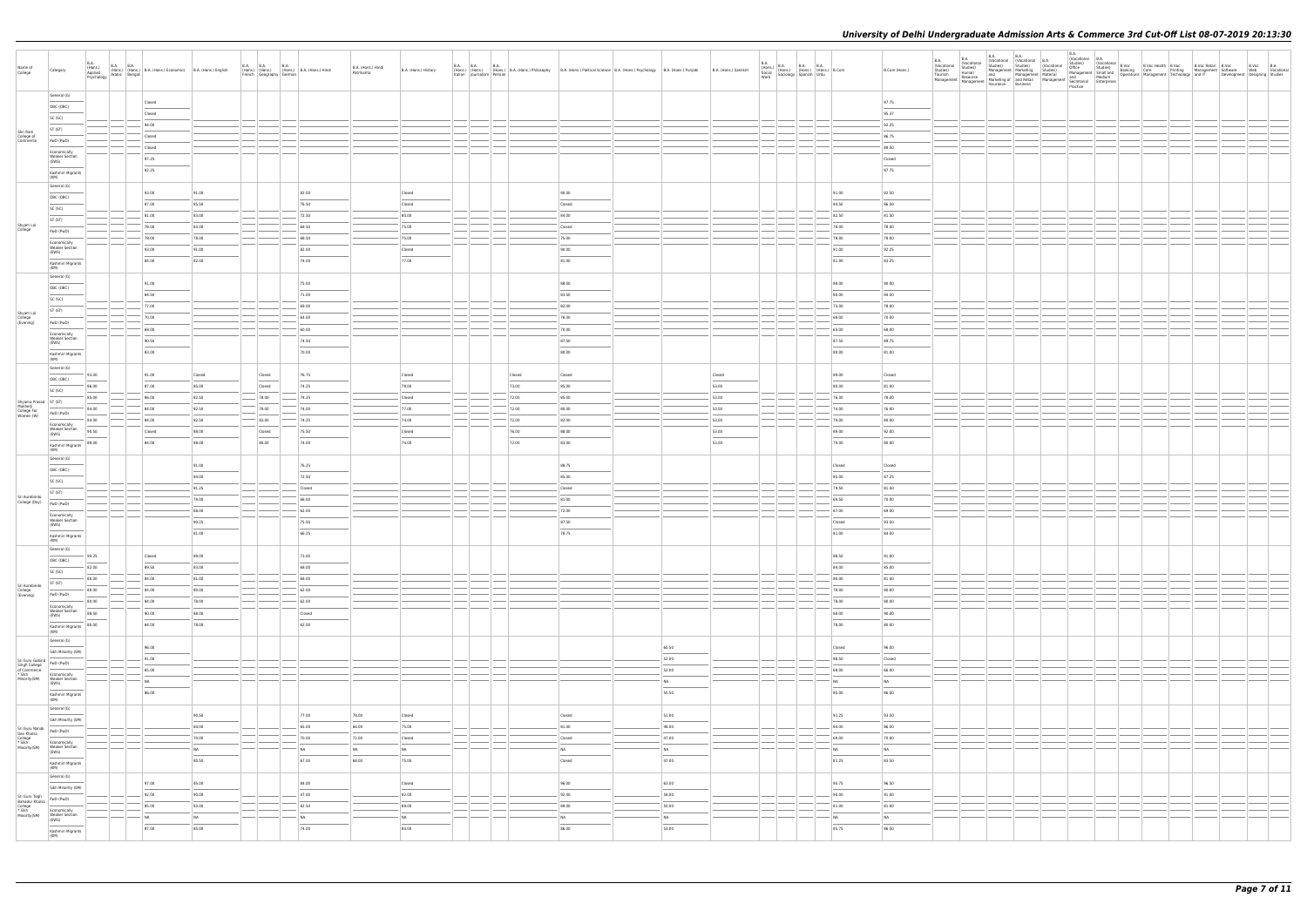| Name of<br>College                                                                                                                                                                                                                                       | Category                                |                                                                                                                                                                                                                                                                                                                                                                                                                                                                                     | $\begin{tabular}{  l   l   l   l   l   l   l   l   l   l   l   } \hline 8A & B.A. & B.A. & B.A. & (Hons.) & Economic's & B.A. & (Hons.) & English & Aysichology & Arabic & Benagali & \\\hline Aysichology & Arabic & Bengali & \\\hline \end{tabular}$ |                                | B.A. B.A. B.A. (Hons.) (Hons.) B.A. (Hons.) Hindi<br>French Geography German B.A. (Hons.) Hindi |                                            | B.A. (Hons.) Hindi<br>Patrikarita | B.A. (Hons.) History |        |                                            | B.A. B.A.<br>(Hons.) (Hons.) (Hons.) B.A. (Hons.) Philosophy B.A. (Hons.) Political Science B.A. (Hons.) Psychology B.A. (Hons.) Punjabi<br>  Italian   Journalism   Persian | B.A. (Hons.) Sanskrit | $\begin{tabular}{ c c c c } \hline B.A. & B.A. & B.A. & B.A. & B.A. & Hons.) & B.A. & Hons.) & B.Com & \\ Social & (Hons.) & (Hons.) & (Hons.) & B.Com & \\ Sociology & Spanish & Urdu & \\ \hline \end{tabular}$ |                                | B.Com (Hons.) | <b>B.A.</b> | <b>B.A.</b> | B.A. | B.A.<br>(Vocational B.A.<br>Practice |  |  | VOCauuriai<br>Office Studies) (Vocational B.Voc<br>Office Studies) (Vocational B.Voc & B.Voc Nebith B.Voc B.Voc Retail B.Voc<br>Management Software Management Technology and IT<br>Management Developmer<br>Nedium Operations Managemen | Development Designing Studies | B.Voc B.A<br>Web Vocational |
|----------------------------------------------------------------------------------------------------------------------------------------------------------------------------------------------------------------------------------------------------------|-----------------------------------------|-------------------------------------------------------------------------------------------------------------------------------------------------------------------------------------------------------------------------------------------------------------------------------------------------------------------------------------------------------------------------------------------------------------------------------------------------------------------------------------|---------------------------------------------------------------------------------------------------------------------------------------------------------------------------------------------------------------------------------------------------------|--------------------------------|-------------------------------------------------------------------------------------------------|--------------------------------------------|-----------------------------------|----------------------|--------|--------------------------------------------|------------------------------------------------------------------------------------------------------------------------------------------------------------------------------|-----------------------|-------------------------------------------------------------------------------------------------------------------------------------------------------------------------------------------------------------------|--------------------------------|---------------|-------------|-------------|------|--------------------------------------|--|--|------------------------------------------------------------------------------------------------------------------------------------------------------------------------------------------------------------------------------------------|-------------------------------|-----------------------------|
|                                                                                                                                                                                                                                                          | General (G)                             |                                                                                                                                                                                                                                                                                                                                                                                                                                                                                     | Closed                                                                                                                                                                                                                                                  |                                |                                                                                                 |                                            |                                   |                      |        |                                            |                                                                                                                                                                              |                       |                                                                                                                                                                                                                   |                                | 97.75         |             |             |      |                                      |  |  |                                                                                                                                                                                                                                          |                               |                             |
|                                                                                                                                                                                                                                                          | OBC (OBC)                               |                                                                                                                                                                                                                                                                                                                                                                                                                                                                                     | Closed                                                                                                                                                                                                                                                  |                                |                                                                                                 |                                            |                                   |                      |        |                                            |                                                                                                                                                                              |                       |                                                                                                                                                                                                                   |                                | 95.37         |             |             |      |                                      |  |  |                                                                                                                                                                                                                                          |                               |                             |
|                                                                                                                                                                                                                                                          | SC (SC)                                 |                                                                                                                                                                                                                                                                                                                                                                                                                                                                                     | 94.00                                                                                                                                                                                                                                                   |                                |                                                                                                 |                                            |                                   |                      |        |                                            |                                                                                                                                                                              |                       |                                                                                                                                                                                                                   |                                | 92.25         |             |             |      |                                      |  |  |                                                                                                                                                                                                                                          |                               |                             |
| Shri Ram<br>College of<br>Commerce                                                                                                                                                                                                                       | ST (ST)                                 |                                                                                                                                                                                                                                                                                                                                                                                                                                                                                     | Closed                                                                                                                                                                                                                                                  |                                |                                                                                                 |                                            |                                   |                      |        |                                            |                                                                                                                                                                              |                       |                                                                                                                                                                                                                   |                                | 86.75         |             |             |      |                                      |  |  |                                                                                                                                                                                                                                          |                               |                             |
|                                                                                                                                                                                                                                                          | PwD (PwD)                               |                                                                                                                                                                                                                                                                                                                                                                                                                                                                                     | Closed                                                                                                                                                                                                                                                  |                                |                                                                                                 |                                            |                                   |                      |        |                                            |                                                                                                                                                                              |                       |                                                                                                                                                                                                                   |                                | 88.50         |             |             |      |                                      |  |  |                                                                                                                                                                                                                                          |                               |                             |
|                                                                                                                                                                                                                                                          | Economically<br><b>Weaker Section</b>   |                                                                                                                                                                                                                                                                                                                                                                                                                                                                                     |                                                                                                                                                                                                                                                         |                                |                                                                                                 |                                            |                                   |                      |        |                                            |                                                                                                                                                                              |                       |                                                                                                                                                                                                                   |                                |               |             |             |      |                                      |  |  |                                                                                                                                                                                                                                          |                               |                             |
|                                                                                                                                                                                                                                                          | (EWS)                                   |                                                                                                                                                                                                                                                                                                                                                                                                                                                                                     | 97.25                                                                                                                                                                                                                                                   |                                |                                                                                                 |                                            |                                   |                      |        |                                            |                                                                                                                                                                              |                       |                                                                                                                                                                                                                   |                                | Closed        |             |             |      |                                      |  |  |                                                                                                                                                                                                                                          |                               |                             |
|                                                                                                                                                                                                                                                          | Kashmiri Migrants<br>(KM)               |                                                                                                                                                                                                                                                                                                                                                                                                                                                                                     | 92.25                                                                                                                                                                                                                                                   |                                |                                                                                                 |                                            |                                   |                      |        |                                            |                                                                                                                                                                              |                       |                                                                                                                                                                                                                   |                                | 87.75         |             |             |      |                                      |  |  |                                                                                                                                                                                                                                          |                               |                             |
|                                                                                                                                                                                                                                                          | General (G)                             |                                                                                                                                                                                                                                                                                                                                                                                                                                                                                     |                                                                                                                                                                                                                                                         |                                |                                                                                                 |                                            |                                   |                      |        |                                            |                                                                                                                                                                              |                       |                                                                                                                                                                                                                   |                                |               |             |             |      |                                      |  |  |                                                                                                                                                                                                                                          |                               |                             |
|                                                                                                                                                                                                                                                          | OBC (OBC)                               |                                                                                                                                                                                                                                                                                                                                                                                                                                                                                     | 93.00                                                                                                                                                                                                                                                   | 91.00                          |                                                                                                 | 82.00                                      |                                   | Closed               |        | 90.00                                      |                                                                                                                                                                              |                       |                                                                                                                                                                                                                   | 91.00                          | 92.50         |             |             |      |                                      |  |  |                                                                                                                                                                                                                                          |                               |                             |
|                                                                                                                                                                                                                                                          | SC (SC)                                 |                                                                                                                                                                                                                                                                                                                                                                                                                                                                                     | 87.00                                                                                                                                                                                                                                                   | 85.50                          |                                                                                                 | 76.50                                      |                                   | Closed               |        | Closed                                     |                                                                                                                                                                              |                       |                                                                                                                                                                                                                   | 84.50                          | 86.50         |             |             |      |                                      |  |  |                                                                                                                                                                                                                                          |                               |                             |
|                                                                                                                                                                                                                                                          | ST (ST)                                 |                                                                                                                                                                                                                                                                                                                                                                                                                                                                                     | 81.00                                                                                                                                                                                                                                                   | 83.00                          |                                                                                                 | 72.50                                      |                                   | 80.00                |        | 84.00                                      |                                                                                                                                                                              |                       |                                                                                                                                                                                                                   | 82.50                          | 81.50         |             |             |      |                                      |  |  |                                                                                                                                                                                                                                          |                               |                             |
| Shyam Lal<br>College                                                                                                                                                                                                                                     | PwD (PwD)                               |                                                                                                                                                                                                                                                                                                                                                                                                                                                                                     | 78.00                                                                                                                                                                                                                                                   | 83.00                          |                                                                                                 | 68.50                                      |                                   | 75.00                |        | Closed                                     |                                                                                                                                                                              |                       |                                                                                                                                                                                                                   | 78.00                          | 78.00         |             |             |      |                                      |  |  |                                                                                                                                                                                                                                          |                               |                             |
|                                                                                                                                                                                                                                                          | Economically                            |                                                                                                                                                                                                                                                                                                                                                                                                                                                                                     | 78.00                                                                                                                                                                                                                                                   | 78.00                          |                                                                                                 | 68.50                                      |                                   | 75.00                |        | 75.00                                      |                                                                                                                                                                              |                       |                                                                                                                                                                                                                   | 78.00                          | 78.00         |             |             |      |                                      |  |  |                                                                                                                                                                                                                                          |                               |                             |
|                                                                                                                                                                                                                                                          | <b>Weaker Section</b><br>(EWS)          |                                                                                                                                                                                                                                                                                                                                                                                                                                                                                     | 93.00                                                                                                                                                                                                                                                   | 91.00                          |                                                                                                 | 82.00                                      |                                   | Closed               |        | 90.00                                      |                                                                                                                                                                              |                       |                                                                                                                                                                                                                   | 91.00                          | 92.25         |             |             |      |                                      |  |  |                                                                                                                                                                                                                                          |                               |                             |
|                                                                                                                                                                                                                                                          | Kashmiri Migrants                       |                                                                                                                                                                                                                                                                                                                                                                                                                                                                                     | 84.00                                                                                                                                                                                                                                                   | 82.00                          |                                                                                                 | 74.00                                      |                                   | 77.00                |        | 81.00                                      |                                                                                                                                                                              |                       |                                                                                                                                                                                                                   | 81.90                          | 83.25         |             |             |      |                                      |  |  |                                                                                                                                                                                                                                          |                               |                             |
|                                                                                                                                                                                                                                                          | (KM)                                    |                                                                                                                                                                                                                                                                                                                                                                                                                                                                                     |                                                                                                                                                                                                                                                         |                                |                                                                                                 |                                            |                                   |                      |        |                                            |                                                                                                                                                                              |                       |                                                                                                                                                                                                                   |                                |               |             |             |      |                                      |  |  |                                                                                                                                                                                                                                          |                               |                             |
|                                                                                                                                                                                                                                                          | General (G)                             |                                                                                                                                                                                                                                                                                                                                                                                                                                                                                     | 91.00                                                                                                                                                                                                                                                   |                                |                                                                                                 | 75.00                                      |                                   |                      |        | 88.00                                      |                                                                                                                                                                              |                       |                                                                                                                                                                                                                   | 88.00                          | 90.00         |             |             |      |                                      |  |  |                                                                                                                                                                                                                                          |                               |                             |
|                                                                                                                                                                                                                                                          | OBC (OBC)                               |                                                                                                                                                                                                                                                                                                                                                                                                                                                                                     | 84.50                                                                                                                                                                                                                                                   |                                |                                                                                                 | 71.00                                      |                                   |                      |        | 83.50                                      |                                                                                                                                                                              |                       |                                                                                                                                                                                                                   | 80.00                          | 84.50         |             |             |      |                                      |  |  |                                                                                                                                                                                                                                          |                               |                             |
|                                                                                                                                                                                                                                                          | SC (SC)                                 |                                                                                                                                                                                                                                                                                                                                                                                                                                                                                     | 77.00                                                                                                                                                                                                                                                   |                                |                                                                                                 | 69.00                                      |                                   |                      |        | 82.00                                      |                                                                                                                                                                              |                       |                                                                                                                                                                                                                   | 75.00                          | 78.00         |             |             |      |                                      |  |  |                                                                                                                                                                                                                                          |                               |                             |
| Shyam Lal<br>College<br>(Evening)                                                                                                                                                                                                                        | ST (ST)                                 |                                                                                                                                                                                                                                                                                                                                                                                                                                                                                     | 70.00                                                                                                                                                                                                                                                   |                                |                                                                                                 | 64.00                                      |                                   |                      |        | 78.00                                      |                                                                                                                                                                              |                       |                                                                                                                                                                                                                   | 68.00                          | 70.00         |             |             |      |                                      |  |  |                                                                                                                                                                                                                                          |                               |                             |
|                                                                                                                                                                                                                                                          | PwD (PwD)                               |                                                                                                                                                                                                                                                                                                                                                                                                                                                                                     | 68.00                                                                                                                                                                                                                                                   |                                |                                                                                                 | 60.00                                      |                                   |                      |        | 70.00                                      |                                                                                                                                                                              |                       |                                                                                                                                                                                                                   | 65.00                          | 68.00         |             |             |      |                                      |  |  |                                                                                                                                                                                                                                          |                               |                             |
|                                                                                                                                                                                                                                                          | Economically<br><b>Weaker Section</b>   |                                                                                                                                                                                                                                                                                                                                                                                                                                                                                     | 90.50                                                                                                                                                                                                                                                   |                                |                                                                                                 | 74.50                                      |                                   |                      |        | 87.50                                      |                                                                                                                                                                              |                       |                                                                                                                                                                                                                   | 87.50                          | 89.75         |             |             |      |                                      |  |  |                                                                                                                                                                                                                                          |                               |                             |
|                                                                                                                                                                                                                                                          | (EWS)                                   |                                                                                                                                                                                                                                                                                                                                                                                                                                                                                     | 83.00                                                                                                                                                                                                                                                   |                                |                                                                                                 | 70.00                                      |                                   |                      |        | 80.00                                      |                                                                                                                                                                              |                       |                                                                                                                                                                                                                   | 80.00                          | 81.00         |             |             |      |                                      |  |  |                                                                                                                                                                                                                                          |                               |                             |
|                                                                                                                                                                                                                                                          | Kashmiri Migrants<br>(KM)               |                                                                                                                                                                                                                                                                                                                                                                                                                                                                                     |                                                                                                                                                                                                                                                         |                                |                                                                                                 |                                            |                                   |                      |        |                                            |                                                                                                                                                                              |                       |                                                                                                                                                                                                                   |                                |               |             |             |      |                                      |  |  |                                                                                                                                                                                                                                          |                               |                             |
|                                                                                                                                                                                                                                                          | General (G)                             | 93.00                                                                                                                                                                                                                                                                                                                                                                                                                                                                               | 91.00                                                                                                                                                                                                                                                   | Closed                         | Closed                                                                                          | 76.75                                      |                                   | Closed               | Closed | Closed                                     |                                                                                                                                                                              | Closed                |                                                                                                                                                                                                                   | 89.00                          | Closed        |             |             |      |                                      |  |  |                                                                                                                                                                                                                                          |                               |                             |
|                                                                                                                                                                                                                                                          | OBC (OBC)                               | 86.00                                                                                                                                                                                                                                                                                                                                                                                                                                                                               | 87.00                                                                                                                                                                                                                                                   | 85.00                          | Closed                                                                                          | 74.25                                      |                                   | 78.00                | 73.00  | 85.00                                      |                                                                                                                                                                              | 53.00                 |                                                                                                                                                                                                                   | 80.00                          | 81.00         |             |             |      |                                      |  |  |                                                                                                                                                                                                                                          |                               |                             |
|                                                                                                                                                                                                                                                          | SC (SC)                                 | 85.00                                                                                                                                                                                                                                                                                                                                                                                                                                                                               | 86.00                                                                                                                                                                                                                                                   | 82.50                          | 78.00                                                                                           | 74.25                                      |                                   | Closed               | 72.00  | 85.00                                      |                                                                                                                                                                              | 53.00                 |                                                                                                                                                                                                                   | 76.00                          | 78.00         |             |             |      |                                      |  |  |                                                                                                                                                                                                                                          |                               |                             |
| Shyama Prasad   ST (ST)                                                                                                                                                                                                                                  |                                         |                                                                                                                                                                                                                                                                                                                                                                                                                                                                                     | 84.00                                                                                                                                                                                                                                                   | 82.50                          |                                                                                                 | 74.00                                      |                                   | 77.00                | 72.00  | 80.00                                      |                                                                                                                                                                              | 53.00                 |                                                                                                                                                                                                                   | 74.00                          | 76.00         |             |             |      |                                      |  |  |                                                                                                                                                                                                                                          |                               |                             |
| Mukherji<br>College For<br>Women (W)                                                                                                                                                                                                                     | PwD (PwD)                               | 84.00                                                                                                                                                                                                                                                                                                                                                                                                                                                                               |                                                                                                                                                                                                                                                         |                                | 79.00                                                                                           |                                            |                                   |                      |        |                                            |                                                                                                                                                                              |                       |                                                                                                                                                                                                                   |                                |               |             |             |      |                                      |  |  |                                                                                                                                                                                                                                          |                               |                             |
|                                                                                                                                                                                                                                                          | Economically                            | 84.00                                                                                                                                                                                                                                                                                                                                                                                                                                                                               | 84.00                                                                                                                                                                                                                                                   | 82.50                          | $- 83.00$                                                                                       | 74.25                                      |                                   | 74.00                | 72.00  | 82.00                                      |                                                                                                                                                                              | 53.00                 |                                                                                                                                                                                                                   | 79.00                          | 80.00         |             |             |      |                                      |  |  |                                                                                                                                                                                                                                          |                               |                             |
|                                                                                                                                                                                                                                                          | Weaker Section<br>(EWS)                 | 90.50                                                                                                                                                                                                                                                                                                                                                                                                                                                                               | Closed                                                                                                                                                                                                                                                  | 88.00                          | Closed                                                                                          | 75.50                                      |                                   | Closed               | 76.00  | 88.00                                      |                                                                                                                                                                              | 53.00                 |                                                                                                                                                                                                                   | 89.00                          | 92.00         |             |             |      |                                      |  |  |                                                                                                                                                                                                                                          |                               |                             |
|                                                                                                                                                                                                                                                          | Kashmiri Migrants<br>(KM)               | 89.00                                                                                                                                                                                                                                                                                                                                                                                                                                                                               | 84.00                                                                                                                                                                                                                                                   | 88.00                          | 80.00                                                                                           | 74.00                                      |                                   | 74.00                | 72.00  | 83.00                                      |                                                                                                                                                                              | 53.00                 |                                                                                                                                                                                                                   | 79.00                          | 80.00         |             |             |      |                                      |  |  |                                                                                                                                                                                                                                          |                               |                             |
|                                                                                                                                                                                                                                                          | General (G)                             |                                                                                                                                                                                                                                                                                                                                                                                                                                                                                     |                                                                                                                                                                                                                                                         |                                |                                                                                                 |                                            |                                   |                      |        |                                            |                                                                                                                                                                              |                       |                                                                                                                                                                                                                   |                                |               |             |             |      |                                      |  |  |                                                                                                                                                                                                                                          |                               |                             |
|                                                                                                                                                                                                                                                          | OBC (OBC)                               |                                                                                                                                                                                                                                                                                                                                                                                                                                                                                     |                                                                                                                                                                                                                                                         | 91.00                          |                                                                                                 | 76.25                                      |                                   |                      |        | 88.75                                      |                                                                                                                                                                              |                       |                                                                                                                                                                                                                   | Closed                         | Closed        |             |             |      |                                      |  |  |                                                                                                                                                                                                                                          |                               |                             |
|                                                                                                                                                                                                                                                          | SC (SC)                                 |                                                                                                                                                                                                                                                                                                                                                                                                                                                                                     |                                                                                                                                                                                                                                                         | 84.00                          |                                                                                                 | 72.50                                      |                                   |                      |        | 85.00                                      |                                                                                                                                                                              |                       |                                                                                                                                                                                                                   | 85.00                          | 87.25         |             |             |      |                                      |  |  |                                                                                                                                                                                                                                          |                               |                             |
| Sri Aurobindo                                                                                                                                                                                                                                            | ST (ST)                                 |                                                                                                                                                                                                                                                                                                                                                                                                                                                                                     |                                                                                                                                                                                                                                                         | 81.25                          |                                                                                                 | Closed                                     |                                   |                      |        | Closed                                     |                                                                                                                                                                              |                       |                                                                                                                                                                                                                   | 79.50                          | 81.50         |             |             |      |                                      |  |  |                                                                                                                                                                                                                                          |                               |                             |
| College (Day) PwD (PwD)                                                                                                                                                                                                                                  |                                         |                                                                                                                                                                                                                                                                                                                                                                                                                                                                                     |                                                                                                                                                                                                                                                         | 79.00                          |                                                                                                 | 66.00                                      |                                   |                      |        | 81.00                                      |                                                                                                                                                                              |                       |                                                                                                                                                                                                                   | 69.50                          | 70.00         |             |             |      |                                      |  |  |                                                                                                                                                                                                                                          |                               |                             |
|                                                                                                                                                                                                                                                          | Economically<br><b>Weaker Section</b>   |                                                                                                                                                                                                                                                                                                                                                                                                                                                                                     |                                                                                                                                                                                                                                                         | 68.00                          |                                                                                                 | 62.00                                      |                                   |                      |        | 72.00                                      |                                                                                                                                                                              |                       |                                                                                                                                                                                                                   | 67.00                          | 69.00         |             |             |      |                                      |  |  |                                                                                                                                                                                                                                          |                               |                             |
|                                                                                                                                                                                                                                                          | (EWS)                                   |                                                                                                                                                                                                                                                                                                                                                                                                                                                                                     |                                                                                                                                                                                                                                                         | 90.25                          |                                                                                                 | 75.50                                      |                                   |                      |        | 87.50                                      |                                                                                                                                                                              |                       |                                                                                                                                                                                                                   | Closed                         | 93.50         |             |             |      |                                      |  |  |                                                                                                                                                                                                                                          |                               |                             |
|                                                                                                                                                                                                                                                          | Kashmiri Migrants<br>(KM)               |                                                                                                                                                                                                                                                                                                                                                                                                                                                                                     |                                                                                                                                                                                                                                                         | 81.00                          |                                                                                                 | 66.25                                      |                                   |                      |        | 78.75                                      |                                                                                                                                                                              |                       |                                                                                                                                                                                                                   | 81.00                          | 84.00         |             |             |      |                                      |  |  |                                                                                                                                                                                                                                          |                               |                             |
|                                                                                                                                                                                                                                                          | General (G)                             |                                                                                                                                                                                                                                                                                                                                                                                                                                                                                     |                                                                                                                                                                                                                                                         |                                |                                                                                                 |                                            |                                   |                      |        |                                            |                                                                                                                                                                              |                       |                                                                                                                                                                                                                   |                                |               |             |             |      |                                      |  |  |                                                                                                                                                                                                                                          |                               |                             |
|                                                                                                                                                                                                                                                          | OBC (OBC)                               | 90.25<br>$\frac{1}{2} \left( \frac{1}{2} \right) \left( \frac{1}{2} \right) \left( \frac{1}{2} \right) \left( \frac{1}{2} \right) \left( \frac{1}{2} \right) \left( \frac{1}{2} \right) \left( \frac{1}{2} \right) \left( \frac{1}{2} \right) \left( \frac{1}{2} \right) \left( \frac{1}{2} \right) \left( \frac{1}{2} \right) \left( \frac{1}{2} \right) \left( \frac{1}{2} \right) \left( \frac{1}{2} \right) \left( \frac{1}{2} \right) \left( \frac{1}{2} \right) \left( \frac$ | Closed                                                                                                                                                                                                                                                  | 89.00                          |                                                                                                 | 73.00                                      |                                   |                      |        |                                            |                                                                                                                                                                              |                       |                                                                                                                                                                                                                   | 88.50                          | 91.00         |             |             |      |                                      |  |  |                                                                                                                                                                                                                                          |                               |                             |
|                                                                                                                                                                                                                                                          | SC (SC)                                 | 82.00                                                                                                                                                                                                                                                                                                                                                                                                                                                                               | 89.50                                                                                                                                                                                                                                                   | 83.00                          |                                                                                                 | 68.00                                      |                                   |                      |        |                                            |                                                                                                                                                                              |                       |                                                                                                                                                                                                                   | 84.00                          | 85.00         |             |             |      |                                      |  |  |                                                                                                                                                                                                                                          |                               |                             |
| Sri Aurobindo                                                                                                                                                                                                                                            | ST (ST)                                 | 80.00                                                                                                                                                                                                                                                                                                                                                                                                                                                                               | 84.00                                                                                                                                                                                                                                                   | 81.00                          |                                                                                                 | 68.00                                      |                                   |                      |        |                                            |                                                                                                                                                                              |                       |                                                                                                                                                                                                                   | 80.00                          | 81.00         |             |             |      |                                      |  |  |                                                                                                                                                                                                                                          |                               |                             |
| College<br>(Evening)                                                                                                                                                                                                                                     | PwD (PwD)                               | 80.00                                                                                                                                                                                                                                                                                                                                                                                                                                                                               | 84.00                                                                                                                                                                                                                                                   | 80.00                          |                                                                                                 | 62.00                                      |                                   |                      |        |                                            |                                                                                                                                                                              |                       |                                                                                                                                                                                                                   | 78.00                          | 80.00         |             |             |      |                                      |  |  |                                                                                                                                                                                                                                          |                               |                             |
|                                                                                                                                                                                                                                                          | Economically                            | 80.00                                                                                                                                                                                                                                                                                                                                                                                                                                                                               | 84.00                                                                                                                                                                                                                                                   | 78.00                          |                                                                                                 | 62.00                                      |                                   |                      |        |                                            |                                                                                                                                                                              |                       |                                                                                                                                                                                                                   | 78.00                          | 80.00         |             |             |      |                                      |  |  |                                                                                                                                                                                                                                          |                               |                             |
|                                                                                                                                                                                                                                                          | <b>Weaker Section</b><br>(EWS)          | 88.50                                                                                                                                                                                                                                                                                                                                                                                                                                                                               | 90.00                                                                                                                                                                                                                                                   | 88.00                          |                                                                                                 | Closed                                     |                                   |                      |        |                                            |                                                                                                                                                                              |                       |                                                                                                                                                                                                                   | 88.00                          | 90.00         |             |             |      |                                      |  |  |                                                                                                                                                                                                                                          |                               |                             |
|                                                                                                                                                                                                                                                          | Kashmiri Migrants<br>(KM)               | 80.00                                                                                                                                                                                                                                                                                                                                                                                                                                                                               | 84.00                                                                                                                                                                                                                                                   | 78.00                          |                                                                                                 | 62.00                                      |                                   |                      |        |                                            |                                                                                                                                                                              |                       |                                                                                                                                                                                                                   | 78.00                          | 80.00         |             |             |      |                                      |  |  |                                                                                                                                                                                                                                          |                               |                             |
|                                                                                                                                                                                                                                                          | General (G)                             |                                                                                                                                                                                                                                                                                                                                                                                                                                                                                     |                                                                                                                                                                                                                                                         |                                |                                                                                                 |                                            |                                   |                      |        |                                            |                                                                                                                                                                              |                       |                                                                                                                                                                                                                   |                                |               |             |             |      |                                      |  |  |                                                                                                                                                                                                                                          |                               |                             |
|                                                                                                                                                                                                                                                          | Sikh Minority (SM)                      |                                                                                                                                                                                                                                                                                                                                                                                                                                                                                     | 96.00<br>$\overline{\phantom{a}}$                                                                                                                                                                                                                       |                                |                                                                                                 |                                            |                                   |                      |        |                                            | 60.50                                                                                                                                                                        |                       |                                                                                                                                                                                                                   | Closed<br>$\sim$               | 96.00         |             |             |      |                                      |  |  |                                                                                                                                                                                                                                          |                               |                             |
| Sri Guru Gobind<br>PwD (PwD)                                                                                                                                                                                                                             |                                         |                                                                                                                                                                                                                                                                                                                                                                                                                                                                                     | 91.00                                                                                                                                                                                                                                                   |                                |                                                                                                 |                                            |                                   |                      |        |                                            | 52.00                                                                                                                                                                        |                       |                                                                                                                                                                                                                   | 88.50                          | Closed        |             |             |      |                                      |  |  |                                                                                                                                                                                                                                          |                               |                             |
| Singh College<br>of Commerce<br>* Sikh<br>Minority(SM)                                                                                                                                                                                                   |                                         |                                                                                                                                                                                                                                                                                                                                                                                                                                                                                     | 65.00                                                                                                                                                                                                                                                   |                                |                                                                                                 |                                            |                                   |                      |        |                                            | 52.00                                                                                                                                                                        |                       |                                                                                                                                                                                                                   | 68.00                          | 66.00         |             |             |      |                                      |  |  |                                                                                                                                                                                                                                          |                               |                             |
|                                                                                                                                                                                                                                                          | Economically<br>Weaker Section<br>(EWS) |                                                                                                                                                                                                                                                                                                                                                                                                                                                                                     | NA<br>$\overline{\phantom{a}}$                                                                                                                                                                                                                          |                                |                                                                                                 |                                            |                                   |                      |        |                                            | NA                                                                                                                                                                           |                       |                                                                                                                                                                                                                   | NA                             | NA            |             |             |      |                                      |  |  |                                                                                                                                                                                                                                          |                               |                             |
|                                                                                                                                                                                                                                                          | Kashmiri Migrants<br>(KM)               |                                                                                                                                                                                                                                                                                                                                                                                                                                                                                     | 86.00                                                                                                                                                                                                                                                   |                                |                                                                                                 |                                            |                                   |                      |        |                                            | 50.50                                                                                                                                                                        |                       |                                                                                                                                                                                                                   | 85.00                          | 86.00         |             |             |      |                                      |  |  |                                                                                                                                                                                                                                          |                               |                             |
|                                                                                                                                                                                                                                                          | General (G)                             |                                                                                                                                                                                                                                                                                                                                                                                                                                                                                     |                                                                                                                                                                                                                                                         |                                |                                                                                                 |                                            |                                   |                      |        |                                            |                                                                                                                                                                              |                       |                                                                                                                                                                                                                   |                                |               |             |             |      |                                      |  |  |                                                                                                                                                                                                                                          |                               |                             |
|                                                                                                                                                                                                                                                          | Sikh Minority (SM)                      |                                                                                                                                                                                                                                                                                                                                                                                                                                                                                     |                                                                                                                                                                                                                                                         | 90.50                          |                                                                                                 | 77.00                                      | 78.00                             | Closed               |        | Closed                                     | 51.00                                                                                                                                                                        |                       |                                                                                                                                                                                                                   | 91.25                          | 93.50         |             |             |      |                                      |  |  |                                                                                                                                                                                                                                          |                               |                             |
|                                                                                                                                                                                                                                                          |                                         |                                                                                                                                                                                                                                                                                                                                                                                                                                                                                     |                                                                                                                                                                                                                                                         | 84.00                          |                                                                                                 | 65.00                                      | 66.00                             | 75.00                |        | 81.00                                      | 48.00                                                                                                                                                                        |                       |                                                                                                                                                                                                                   | 84.00                          | 86.00         |             |             |      |                                      |  |  |                                                                                                                                                                                                                                          |                               |                             |
| Sri Guru Nanak<br>Dev Khalsa<br>College<br>* Sikh<br>Minority(SM)<br>Weaker Section<br>Compared Minority<br>Compared Minority<br>Compared Minority<br>Compared Minority<br>Compared Minority<br>Compared Minority<br>Compared Minority<br>Compared Minor | Economically                            |                                                                                                                                                                                                                                                                                                                                                                                                                                                                                     |                                                                                                                                                                                                                                                         | 70.00                          |                                                                                                 | 70.00                                      | 71.00                             | Closed               |        | Closed                                     | 47.00                                                                                                                                                                        |                       |                                                                                                                                                                                                                   | 69.00                          | 70.00         |             |             |      |                                      |  |  |                                                                                                                                                                                                                                          |                               |                             |
|                                                                                                                                                                                                                                                          | Weaker Section<br>(EWS)                 |                                                                                                                                                                                                                                                                                                                                                                                                                                                                                     |                                                                                                                                                                                                                                                         | NA<br>$\overline{\phantom{a}}$ |                                                                                                 | N <sub>A</sub><br>$\overline{\phantom{a}}$ | <b>NA</b>                         | NA                   |        | N <sub>A</sub><br>$\overline{\phantom{a}}$ | NA<br>$\frac{1}{2}$                                                                                                                                                          |                       |                                                                                                                                                                                                                   | NA<br>$\overline{\phantom{a}}$ | NA            |             |             |      |                                      |  |  |                                                                                                                                                                                                                                          |                               |                             |
|                                                                                                                                                                                                                                                          | Kashmiri Migrants                       |                                                                                                                                                                                                                                                                                                                                                                                                                                                                                     |                                                                                                                                                                                                                                                         | 80.50                          |                                                                                                 | 67.00                                      | 68.00                             | 75.00                |        | Closed                                     | 47.00                                                                                                                                                                        |                       |                                                                                                                                                                                                                   | 81.25                          | 83.50         |             |             |      |                                      |  |  |                                                                                                                                                                                                                                          |                               |                             |
|                                                                                                                                                                                                                                                          | (KM)<br>General (G)                     |                                                                                                                                                                                                                                                                                                                                                                                                                                                                                     |                                                                                                                                                                                                                                                         |                                |                                                                                                 |                                            |                                   |                      |        |                                            |                                                                                                                                                                              |                       |                                                                                                                                                                                                                   |                                |               |             |             |      |                                      |  |  |                                                                                                                                                                                                                                          |                               |                             |
|                                                                                                                                                                                                                                                          | Sikh Minority (SM)                      |                                                                                                                                                                                                                                                                                                                                                                                                                                                                                     | 97.00                                                                                                                                                                                                                                                   | 95.00                          |                                                                                                 | 84.00                                      |                                   | Closed               |        | 96.00                                      | 63.00                                                                                                                                                                        |                       |                                                                                                                                                                                                                   | 95.75                          | 96.50         |             |             |      |                                      |  |  |                                                                                                                                                                                                                                          |                               |                             |
| Sri Guru Tegh                                                                                                                                                                                                                                            | PwD (PwD)                               |                                                                                                                                                                                                                                                                                                                                                                                                                                                                                     | 92.00                                                                                                                                                                                                                                                   | 90.00                          |                                                                                                 | 47.00                                      |                                   | 82.00                |        | 92.00                                      | 58.00                                                                                                                                                                        |                       |                                                                                                                                                                                                                   | 90.00                          | 91.00         |             |             |      |                                      |  |  |                                                                                                                                                                                                                                          |                               |                             |
| Bahadur Khalsa<br>College<br>* Sikh<br>Minority(SM)                                                                                                                                                                                                      |                                         |                                                                                                                                                                                                                                                                                                                                                                                                                                                                                     | 85.00                                                                                                                                                                                                                                                   | 83.00                          |                                                                                                 | 82.50                                      |                                   | 88.00                |        | 89.00                                      | 50.00                                                                                                                                                                        |                       |                                                                                                                                                                                                                   | 81.00                          | 81.00         |             |             |      |                                      |  |  |                                                                                                                                                                                                                                          |                               |                             |
|                                                                                                                                                                                                                                                          | Economically<br>Weaker Section<br>(EWS) |                                                                                                                                                                                                                                                                                                                                                                                                                                                                                     | NA                                                                                                                                                                                                                                                      | <b>NA</b>                      |                                                                                                 | NA                                         |                                   | NA                   |        | NA                                         | NA                                                                                                                                                                           |                       |                                                                                                                                                                                                                   | NA                             | NA            |             |             |      |                                      |  |  |                                                                                                                                                                                                                                          |                               |                             |
|                                                                                                                                                                                                                                                          | Kashmiri Migrants                       |                                                                                                                                                                                                                                                                                                                                                                                                                                                                                     | 87.00                                                                                                                                                                                                                                                   | 85.00                          |                                                                                                 | $\overline{\phantom{a}}$<br>74.00          |                                   | 84.00                |        | 86.00                                      | 53.00                                                                                                                                                                        |                       |                                                                                                                                                                                                                   | 85.75                          | 86.50         |             |             |      |                                      |  |  |                                                                                                                                                                                                                                          |                               |                             |
|                                                                                                                                                                                                                                                          | (KM)                                    |                                                                                                                                                                                                                                                                                                                                                                                                                                                                                     |                                                                                                                                                                                                                                                         |                                |                                                                                                 |                                            |                                   |                      |        |                                            |                                                                                                                                                                              |                       |                                                                                                                                                                                                                   |                                |               |             |             |      |                                      |  |  |                                                                                                                                                                                                                                          |                               |                             |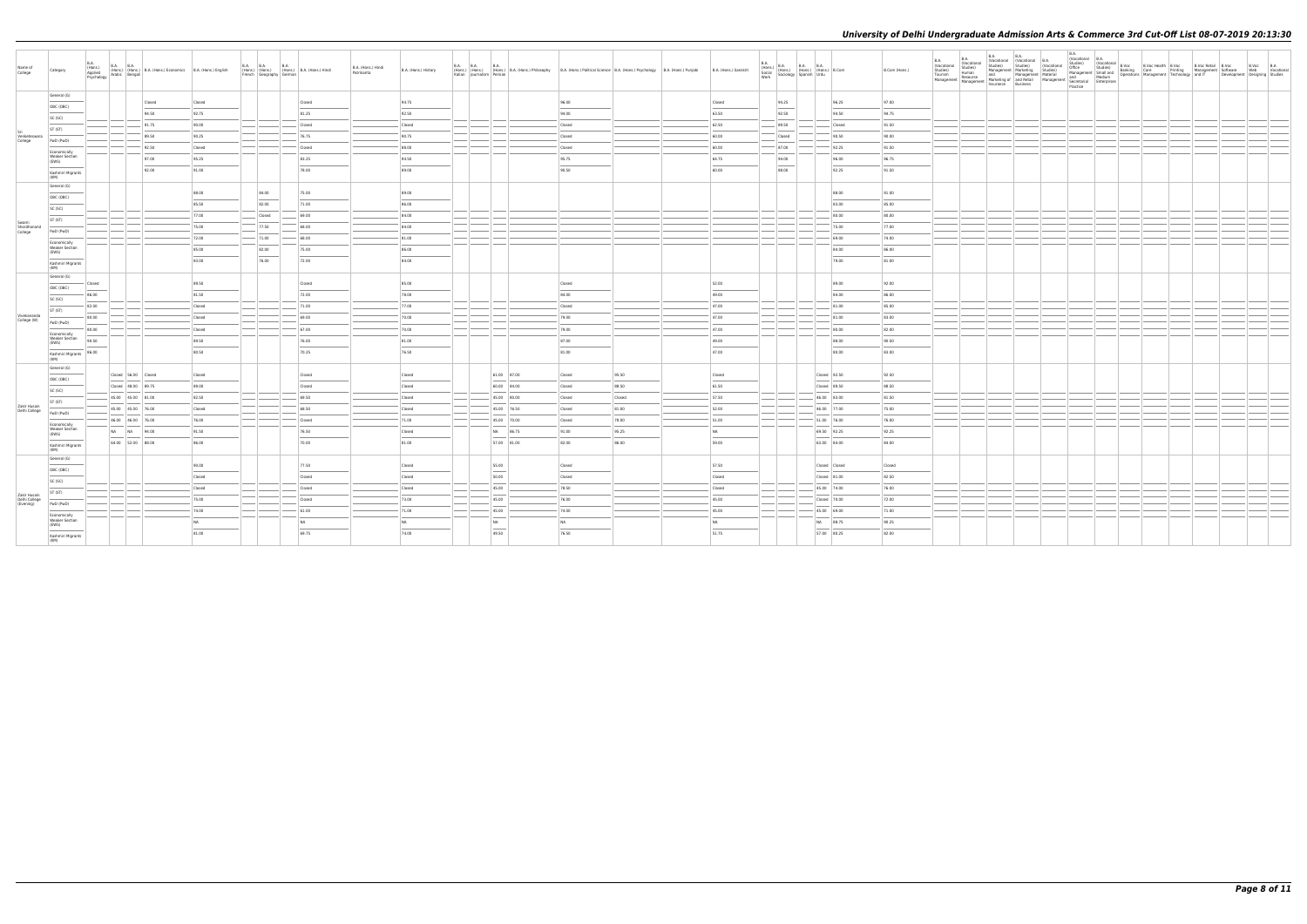| Name of<br>College                         | Category                                       | <b>B.A.</b><br><b>B.A. B.A.</b><br>(Hons.)<br>Applied<br>(Hons.) (Hons.) B.A. (Hons.) Economics B.A. (Hons.) English<br>Arabic Bengali<br>Psychology |           | <b>B.A. B.A.</b><br>French Geography German | <b>B.A.</b> | (Hons.) (Hons.) (Hons.) B.A. (Hons.) Hindi | B.A. (Hons.) Hindi<br>Patrikarita | B.A. (Hons.) History | <b>B.A. B.A. B.A.</b><br>Italian   Journalism   Persian |             | (Hons.) (Hons.) (Hons.) B.A. (Hons.) Philosophy B.A. (Hons.) Political Science B.A. (Hons.) Psychology B.A. (Hons.) Punjabi |        | B.A. (Hons.) Sanskrit | <b>B.A.</b><br>(Hons.)<br>Social<br>Work | $B.A.$ B.A. B.A.<br>(Hons.) (Hons.) (Hons.) B.Com<br>Sociology Spanish Urdu | B.Com (Hons.) | <b>B.A.</b><br>(Vocational<br>Studies)<br>Tourism<br>Management | <b>B.A.</b><br>(Vocational<br>Studies)<br>Human<br>Studies) Studies) Management Marketing Studies) Management Marketing Management Marketing Management Marketing Management Marketing Management Marketing Management Marketing Management and Medium<br>Management Marketing of a | B.A. B.A. Vocational B.A.<br>Studies) Studies (Vocational B.A. | (Vocational | B.A.<br>(Vocational B.A.<br>Studies)<br>Office<br>Practice | $\begin{array}{ c c c c }\n\hline\n\text{(Vocational B.Voc} \\ \text{Studies)}\n\end{array}$ | B.Voc Health B.Voc | B.Voc Retail B.Voc<br>Office Studies)<br>Management Small and Banking Care Printing Management Software<br>and Medium Deperations Management Technology and IT Developme | Development Designing Studies | B.Voc B.A<br>Web Vocational |
|--------------------------------------------|------------------------------------------------|------------------------------------------------------------------------------------------------------------------------------------------------------|-----------|---------------------------------------------|-------------|--------------------------------------------|-----------------------------------|----------------------|---------------------------------------------------------|-------------|-----------------------------------------------------------------------------------------------------------------------------|--------|-----------------------|------------------------------------------|-----------------------------------------------------------------------------|---------------|-----------------------------------------------------------------|-------------------------------------------------------------------------------------------------------------------------------------------------------------------------------------------------------------------------------------------------------------------------------------|----------------------------------------------------------------|-------------|------------------------------------------------------------|----------------------------------------------------------------------------------------------|--------------------|--------------------------------------------------------------------------------------------------------------------------------------------------------------------------|-------------------------------|-----------------------------|
|                                            | General (G)                                    | Closed                                                                                                                                               | Closed    |                                             |             | Closed                                     |                                   | 94.75                |                                                         |             | 96.00                                                                                                                       |        | Closed                | 94.25                                    | 96.25                                                                       | 97.00         |                                                                 |                                                                                                                                                                                                                                                                                     |                                                                |             |                                                            |                                                                                              |                    |                                                                                                                                                                          |                               |                             |
|                                            | OBC (OBC)                                      |                                                                                                                                                      |           |                                             |             |                                            |                                   |                      |                                                         |             |                                                                                                                             |        |                       |                                          |                                                                             |               |                                                                 |                                                                                                                                                                                                                                                                                     |                                                                |             |                                                            |                                                                                              |                    |                                                                                                                                                                          |                               |                             |
|                                            | SC (SC)                                        | 94.50                                                                                                                                                | 92.75     |                                             |             | 81.25                                      |                                   | 92.50                |                                                         |             | 94.00                                                                                                                       |        | 63.50                 | 92.50                                    | 94.50                                                                       | 94.75         |                                                                 |                                                                                                                                                                                                                                                                                     |                                                                |             |                                                            |                                                                                              |                    |                                                                                                                                                                          |                               |                             |
|                                            | ST (ST)                                        | 91.75                                                                                                                                                | 90.00     |                                             |             | Closed                                     |                                   | Closed               |                                                         |             | Closed                                                                                                                      |        | 62.50                 | 89.50                                    | Closed                                                                      | 91.50         |                                                                 |                                                                                                                                                                                                                                                                                     |                                                                |             |                                                            |                                                                                              |                    |                                                                                                                                                                          |                               |                             |
| Venketeswara<br>College                    | PwD (PwD)                                      | 89.50                                                                                                                                                | 90.25     |                                             |             | 76.75                                      |                                   | 90.75                |                                                         |             | Closed                                                                                                                      |        | 60.00                 | Closed                                   | 90.50                                                                       | 90.00         |                                                                 |                                                                                                                                                                                                                                                                                     |                                                                |             |                                                            |                                                                                              |                    |                                                                                                                                                                          |                               |                             |
|                                            | Economically                                   | 92.50                                                                                                                                                | Closed    |                                             |             | Closed                                     |                                   | 88.00                |                                                         |             | Closed                                                                                                                      |        | 60.00                 | 87.00                                    | 92.25                                                                       | 91.50         |                                                                 |                                                                                                                                                                                                                                                                                     |                                                                |             |                                                            |                                                                                              |                    |                                                                                                                                                                          |                               |                             |
|                                            | <b>Weaker Section</b><br>(EWS)                 | 97.00                                                                                                                                                | 95.25     |                                             |             | 83.25                                      |                                   | 94.50                |                                                         |             | 95.75                                                                                                                       |        | 64.75                 | 94.00                                    | 96.00                                                                       | 96.75         |                                                                 |                                                                                                                                                                                                                                                                                     |                                                                |             |                                                            |                                                                                              |                    |                                                                                                                                                                          |                               |                             |
|                                            | Kashmiri Migrants<br>(KM)                      | 92.00                                                                                                                                                | 91.00     |                                             |             | 78.00                                      |                                   | 89.00                |                                                         |             | 90.50                                                                                                                       |        | 60.00                 | 88.00                                    | 92.25                                                                       | 91.50         |                                                                 |                                                                                                                                                                                                                                                                                     |                                                                |             |                                                            |                                                                                              |                    |                                                                                                                                                                          |                               |                             |
|                                            | General (G)                                    |                                                                                                                                                      |           |                                             |             |                                            |                                   |                      |                                                         |             |                                                                                                                             |        |                       |                                          |                                                                             |               |                                                                 |                                                                                                                                                                                                                                                                                     |                                                                |             |                                                            |                                                                                              |                    |                                                                                                                                                                          |                               |                             |
|                                            | OBC (OBC)                                      |                                                                                                                                                      | 88.00     | 84.00                                       |             | 75.00                                      |                                   | 89.00                |                                                         |             |                                                                                                                             |        |                       |                                          | 88.00                                                                       | 91.00         |                                                                 |                                                                                                                                                                                                                                                                                     |                                                                |             |                                                            |                                                                                              |                    |                                                                                                                                                                          |                               |                             |
|                                            | SC (SC)                                        |                                                                                                                                                      | 85.50     | 82.00                                       |             | 71.00                                      |                                   | 86.00                |                                                         |             |                                                                                                                             |        |                       |                                          | 83.00                                                                       | 85.00         |                                                                 |                                                                                                                                                                                                                                                                                     |                                                                |             |                                                            |                                                                                              |                    |                                                                                                                                                                          |                               |                             |
|                                            | ST (ST)                                        |                                                                                                                                                      | 77.00     | Closed                                      |             | $-69.00$                                   |                                   | 84.00                |                                                         |             |                                                                                                                             |        |                       |                                          | 80.00                                                                       | 80.00         |                                                                 |                                                                                                                                                                                                                                                                                     |                                                                |             |                                                            |                                                                                              |                    |                                                                                                                                                                          |                               |                             |
| Swami<br>Shardhanand                       |                                                |                                                                                                                                                      | 75.00     | 77.50                                       |             | 68.00                                      |                                   | 84.00                |                                                         |             |                                                                                                                             |        |                       |                                          | 75.00                                                                       | 77.00         |                                                                 |                                                                                                                                                                                                                                                                                     |                                                                |             |                                                            |                                                                                              |                    |                                                                                                                                                                          |                               |                             |
| College                                    | PwD (PwD)                                      |                                                                                                                                                      | 72.00     | $- 71.00$                                   |             | 68.00                                      |                                   | 81.00                |                                                         |             |                                                                                                                             |        |                       |                                          | 69.00                                                                       | 74.00         |                                                                 |                                                                                                                                                                                                                                                                                     |                                                                |             |                                                            |                                                                                              |                    |                                                                                                                                                                          |                               |                             |
|                                            | Economically<br><b>Weaker Section</b>          |                                                                                                                                                      | 85.00     | 82.00                                       |             | 75.00                                      |                                   | 86.00                |                                                         |             |                                                                                                                             |        |                       |                                          | 84.00                                                                       | 86.00         |                                                                 |                                                                                                                                                                                                                                                                                     |                                                                |             |                                                            |                                                                                              |                    |                                                                                                                                                                          |                               |                             |
|                                            | (EWS)                                          |                                                                                                                                                      | 83.00     | 76.00                                       |             | 72.00                                      |                                   | 84.00                |                                                         |             |                                                                                                                             |        |                       |                                          | 79.00                                                                       | 81.00         |                                                                 |                                                                                                                                                                                                                                                                                     |                                                                |             |                                                            |                                                                                              |                    |                                                                                                                                                                          |                               |                             |
|                                            | Kashmiri Migrants<br>(KM)                      |                                                                                                                                                      |           |                                             |             |                                            |                                   |                      |                                                         |             |                                                                                                                             |        |                       |                                          |                                                                             |               |                                                                 |                                                                                                                                                                                                                                                                                     |                                                                |             |                                                            |                                                                                              |                    |                                                                                                                                                                          |                               |                             |
|                                            | General (G)                                    | Closed                                                                                                                                               | 89.50     |                                             |             | Closed                                     |                                   | 85.00                |                                                         |             | Closed                                                                                                                      |        | 52.00                 |                                          | 89.00                                                                       | 92.00         |                                                                 |                                                                                                                                                                                                                                                                                     |                                                                |             |                                                            |                                                                                              |                    |                                                                                                                                                                          |                               |                             |
|                                            | OBC (OBC)                                      |                                                                                                                                                      |           |                                             |             |                                            |                                   |                      |                                                         |             |                                                                                                                             |        |                       |                                          |                                                                             |               |                                                                 |                                                                                                                                                                                                                                                                                     |                                                                |             |                                                            |                                                                                              |                    |                                                                                                                                                                          |                               |                             |
|                                            | SC (SC)                                        | 86.00                                                                                                                                                | 81.50     |                                             |             | 72.00                                      |                                   | 78.00                |                                                         |             | 84.00                                                                                                                       |        | 49.00                 |                                          | 84.00                                                                       | 86.00         |                                                                 |                                                                                                                                                                                                                                                                                     |                                                                |             |                                                            |                                                                                              |                    |                                                                                                                                                                          |                               |                             |
|                                            | ST (ST)                                        | 82.00                                                                                                                                                | Closed    |                                             |             | 71.00                                      |                                   | 77.00                |                                                         |             | Closed                                                                                                                      |        | 47.00                 |                                          | 81.00                                                                       | 85.00         |                                                                 |                                                                                                                                                                                                                                                                                     |                                                                |             |                                                            |                                                                                              |                    |                                                                                                                                                                          |                               |                             |
| Vivekananda<br>College (W)                 | PwD (PwD)                                      | 80.00                                                                                                                                                | Closed    |                                             |             | 69.00                                      |                                   | 70.00                |                                                         |             | 79.00                                                                                                                       |        | 47.00                 |                                          | 81.00                                                                       | 83.00         |                                                                 |                                                                                                                                                                                                                                                                                     |                                                                |             |                                                            |                                                                                              |                    |                                                                                                                                                                          |                               |                             |
|                                            | Economically                                   | 80.00                                                                                                                                                | Closed    |                                             |             | 67.00                                      |                                   | 70.00                |                                                         |             | 79.00                                                                                                                       |        | 47.00                 |                                          | 80.00                                                                       | 82.00         |                                                                 |                                                                                                                                                                                                                                                                                     |                                                                |             |                                                            |                                                                                              |                    |                                                                                                                                                                          |                               |                             |
|                                            | <b>Weaker Section</b><br>(EWS)                 | 90.50                                                                                                                                                | 89.50     |                                             |             | 76.00                                      |                                   | 81.00                |                                                         |             | 87.00                                                                                                                       |        | 49.00                 |                                          | 88.00                                                                       | 90.50         |                                                                 |                                                                                                                                                                                                                                                                                     |                                                                |             |                                                            |                                                                                              |                    |                                                                                                                                                                          |                               |                             |
|                                            | Kashmiri Migrants<br>(KM)                      | 86.00                                                                                                                                                | 80.50     |                                             |             | 70.25                                      |                                   | 76.50                |                                                         |             | 81.00                                                                                                                       |        | 47.00                 |                                          | 80.00                                                                       | 83.00         |                                                                 |                                                                                                                                                                                                                                                                                     |                                                                |             |                                                            |                                                                                              |                    |                                                                                                                                                                          |                               |                             |
|                                            | General (G)                                    | Closed 56.00 Closed                                                                                                                                  |           |                                             |             |                                            |                                   |                      |                                                         | 61.00 87.00 |                                                                                                                             | 95.50  |                       |                                          | Closed 92.50                                                                | 92.50         |                                                                 |                                                                                                                                                                                                                                                                                     |                                                                |             |                                                            |                                                                                              |                    |                                                                                                                                                                          |                               |                             |
|                                            | OBC (OBC)                                      |                                                                                                                                                      | Closed    |                                             |             | Closed                                     |                                   | Closed               |                                                         |             | Closed                                                                                                                      |        | Closed                |                                          |                                                                             |               |                                                                 |                                                                                                                                                                                                                                                                                     |                                                                |             |                                                            |                                                                                              |                    |                                                                                                                                                                          |                               |                             |
|                                            | SC (SC)                                        | Closed 48.00 89.75                                                                                                                                   | 89.00     |                                             |             | Closed                                     |                                   | Closed               |                                                         | 60.00 84.00 | Closed                                                                                                                      | 88.50  | 61.50                 |                                          | Closed 89.50                                                                | 88.50         |                                                                 |                                                                                                                                                                                                                                                                                     |                                                                |             |                                                            |                                                                                              |                    |                                                                                                                                                                          |                               |                             |
|                                            | ST (ST)                                        | 45.00 45.00 81.00                                                                                                                                    | 82.50     |                                             |             | 69.50                                      |                                   | Closed               |                                                         | 45.00 80.00 | Closed                                                                                                                      | Closed | 57.50                 |                                          | 46.00 83.00                                                                 | 81.50         |                                                                 |                                                                                                                                                                                                                                                                                     |                                                                |             |                                                            |                                                                                              |                    |                                                                                                                                                                          |                               |                             |
| Zakir Husain<br>Delhi College              | PwD (PwD)                                      | 45.00 45.00 76.00                                                                                                                                    | Closed    |                                             |             | 68.50                                      |                                   | Closed               |                                                         | 45.00 76.50 | Closed                                                                                                                      | 81.00  | 52.00                 |                                          | 46.00 77.00                                                                 | 75.00         |                                                                 |                                                                                                                                                                                                                                                                                     |                                                                |             |                                                            |                                                                                              |                    |                                                                                                                                                                          |                               |                             |
|                                            | Economically                                   | 46.00 46.00 76.00                                                                                                                                    | 76.00     |                                             |             | Closed                                     |                                   | 71.00                |                                                         | 45.00 70.00 | Closed                                                                                                                      | 78.00  | 51.00                 |                                          | 51.00 76.00                                                                 | 76.00         |                                                                 |                                                                                                                                                                                                                                                                                     |                                                                |             |                                                            |                                                                                              |                    |                                                                                                                                                                          |                               |                             |
|                                            | <b>Weaker Section</b><br>(EWS)                 | NA NA 94.00                                                                                                                                          | 91.50     |                                             |             | 76.50                                      |                                   | Closed               |                                                         | NA 86.75    | 91.00                                                                                                                       | 95.25  | <b>NA</b>             |                                          | 69.50 92.25                                                                 | 92.25         |                                                                 |                                                                                                                                                                                                                                                                                     |                                                                |             |                                                            |                                                                                              |                    |                                                                                                                                                                          |                               |                             |
|                                            | Kashmiri Migrants<br>(KM)                      | 64.00 52.00 88.00                                                                                                                                    | 86.00     |                                             |             | 70.00                                      |                                   | 81.00                |                                                         | 57.00 81.00 | 82.00                                                                                                                       | 86.00  | 59.00                 |                                          | 63.00 84.00                                                                 | 84.00         |                                                                 |                                                                                                                                                                                                                                                                                     |                                                                |             |                                                            |                                                                                              |                    |                                                                                                                                                                          |                               |                             |
|                                            | General (G)                                    |                                                                                                                                                      |           |                                             |             |                                            |                                   |                      |                                                         |             |                                                                                                                             |        |                       |                                          |                                                                             |               |                                                                 |                                                                                                                                                                                                                                                                                     |                                                                |             |                                                            |                                                                                              |                    |                                                                                                                                                                          |                               |                             |
|                                            | OBC (OBC)                                      |                                                                                                                                                      | 90.00     |                                             |             | 77.50                                      |                                   | Closed               | 55.00                                                   |             | Closed                                                                                                                      |        | 57.50                 |                                          | Closed Closed                                                               | Closed        |                                                                 |                                                                                                                                                                                                                                                                                     |                                                                |             |                                                            |                                                                                              |                    |                                                                                                                                                                          |                               |                             |
|                                            | SC (SC)                                        |                                                                                                                                                      | Closed    |                                             |             | Closed                                     |                                   | Closed               | 50.00                                                   |             | Closed                                                                                                                      |        | Closed                |                                          | Closed 81.00                                                                | 82.50         |                                                                 |                                                                                                                                                                                                                                                                                     |                                                                |             |                                                            |                                                                                              |                    |                                                                                                                                                                          |                               |                             |
|                                            | ST (ST)                                        |                                                                                                                                                      | Closed    |                                             |             | Closed                                     |                                   | Closed               | 45.00                                                   |             | 78.50                                                                                                                       |        | Closed                |                                          | 45.00 74.00                                                                 | 76.00         |                                                                 |                                                                                                                                                                                                                                                                                     |                                                                |             |                                                            |                                                                                              |                    |                                                                                                                                                                          |                               |                             |
| Zakir Husain<br>Delhi College<br>(Evening) | PwD (PwD)                                      |                                                                                                                                                      | 75.00     |                                             |             | Closed                                     |                                   | 73.00                | 45.00                                                   |             | 76.00                                                                                                                       |        | 45.00                 |                                          | Closed 70.00                                                                | 72.00         |                                                                 |                                                                                                                                                                                                                                                                                     |                                                                |             |                                                            |                                                                                              |                    |                                                                                                                                                                          |                               |                             |
|                                            |                                                |                                                                                                                                                      | 74.00     |                                             |             | 61.00                                      |                                   | 71.00                | 45.00                                                   |             | 74.00                                                                                                                       |        | 45.00                 |                                          | 45.00 69.00                                                                 | 71.00         |                                                                 |                                                                                                                                                                                                                                                                                     |                                                                |             |                                                            |                                                                                              |                    |                                                                                                                                                                          |                               |                             |
|                                            | Economically<br><b>Weaker Section</b><br>(EWS) |                                                                                                                                                      | <b>NA</b> |                                             |             | NA                                         |                                   | NA                   | NA                                                      |             | <b>NA</b>                                                                                                                   |        | <b>NA</b>             |                                          | NA 88.75                                                                    | 90.25         |                                                                 |                                                                                                                                                                                                                                                                                     |                                                                |             |                                                            |                                                                                              |                    |                                                                                                                                                                          |                               |                             |
|                                            | Kashmiri Migrants                              |                                                                                                                                                      | 81.00     |                                             |             | 69.75                                      |                                   | 74.00                | 49.50                                                   |             | 76.50                                                                                                                       |        | 51.75                 |                                          | 57.00 80.25                                                                 | 82.00         |                                                                 |                                                                                                                                                                                                                                                                                     |                                                                |             |                                                            |                                                                                              |                    |                                                                                                                                                                          |                               |                             |
|                                            | (KM)                                           |                                                                                                                                                      |           |                                             |             |                                            |                                   |                      |                                                         |             |                                                                                                                             |        |                       |                                          |                                                                             |               |                                                                 |                                                                                                                                                                                                                                                                                     |                                                                |             |                                                            |                                                                                              |                    |                                                                                                                                                                          |                               |                             |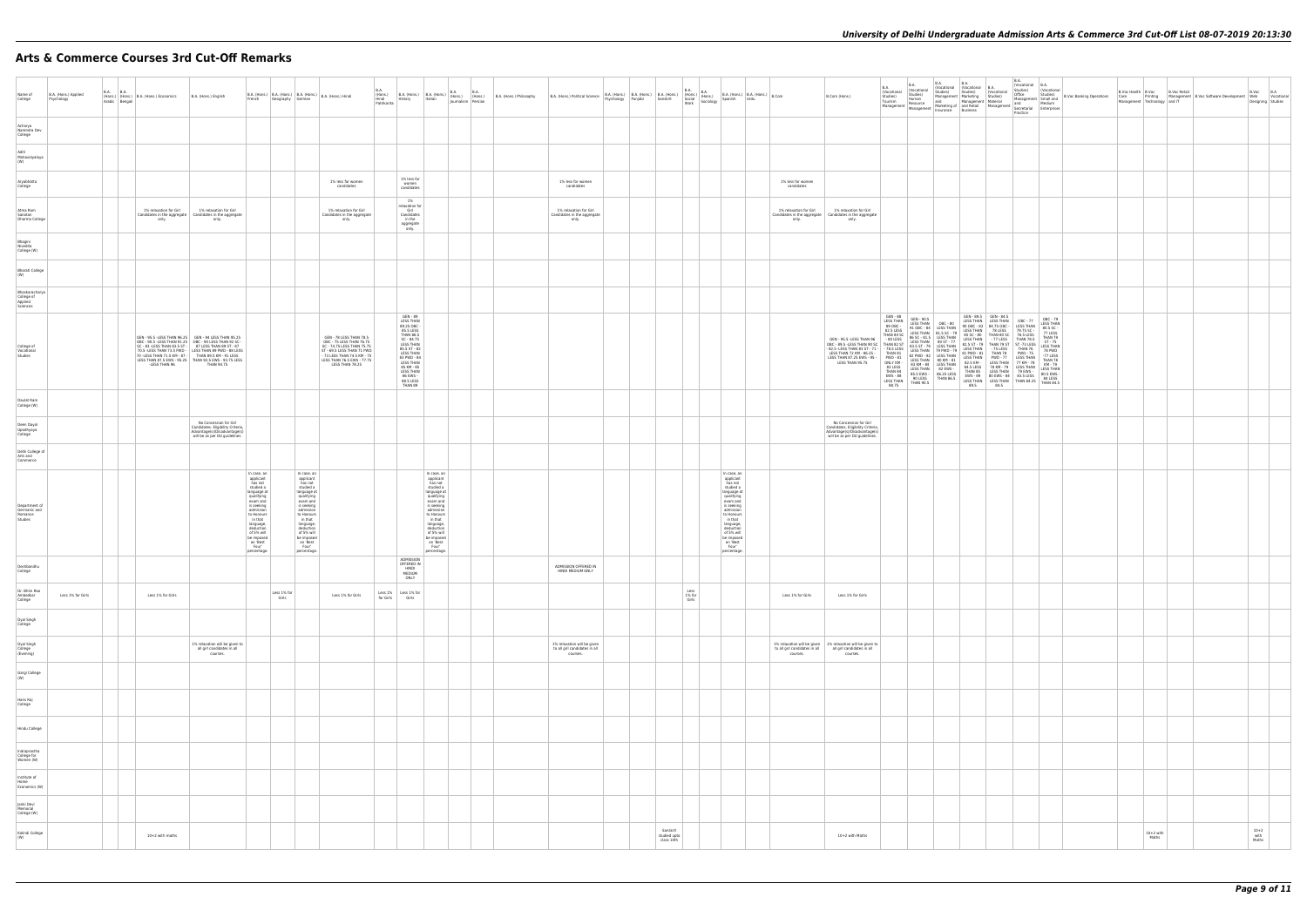# **Arts & Commerce Courses 3rd Cut-Off Remarks**

| Name of<br>College                                  | B.A. (Hons.) Applied<br>Psychology |  | B.A. B.A. (Hons.) B.A. (Hons.) Economics<br>Arabic Bengali | B.A. (Hons.) English                                                                                                                                                                                                                                                                                                                                              | French                                                                                                                                                                                                                                  | Geography German     |                                                                                                                                                                                                                                         | B.A. (Hons.) B.A. (Hons.) B.A. (Hons.) B.A. (Hons.) Hindi                                                                                                                                       | B.A.<br>Patrikarita | B.A. (Hons.) B.A. (Hons.) B.A. (Hons.) B.A. (Hons.) Hons.) Hons.) (Hons.) (Hons.) (Hons.) (Hons.) Partikarita                                                                                                      |                          | B.A. (Hons.) Philosophy |                                                                          |  |                                        |                            |                                                                                                                                                                                                                                         |                                           | B.Com (Hons.)                                                                                                                                                                                                                                               | B.A.<br>(Vocational<br>Studies)<br>Tourism                         | B.A.<br>(Vocational<br>Studies)<br>Human<br>Resource<br>Management   Management | <b>B.A.</b><br>(Vocational (Vocational<br>Studies)<br>Management Marketing<br>and<br>Marketing of Management<br>Insurance Business                                                                                                                                                                                                   | $B_A$<br>Studies)                                                                                                      |
|-----------------------------------------------------|------------------------------------|--|------------------------------------------------------------|-------------------------------------------------------------------------------------------------------------------------------------------------------------------------------------------------------------------------------------------------------------------------------------------------------------------------------------------------------------------|-----------------------------------------------------------------------------------------------------------------------------------------------------------------------------------------------------------------------------------------|----------------------|-----------------------------------------------------------------------------------------------------------------------------------------------------------------------------------------------------------------------------------------|-------------------------------------------------------------------------------------------------------------------------------------------------------------------------------------------------|---------------------|--------------------------------------------------------------------------------------------------------------------------------------------------------------------------------------------------------------------|--------------------------|-------------------------|--------------------------------------------------------------------------|--|----------------------------------------|----------------------------|-----------------------------------------------------------------------------------------------------------------------------------------------------------------------------------------------------------------------------------------|-------------------------------------------|-------------------------------------------------------------------------------------------------------------------------------------------------------------------------------------------------------------------------------------------------------------|--------------------------------------------------------------------|---------------------------------------------------------------------------------|--------------------------------------------------------------------------------------------------------------------------------------------------------------------------------------------------------------------------------------------------------------------------------------------------------------------------------------|------------------------------------------------------------------------------------------------------------------------|
| Acharya<br>Narendra Dev<br>College                  |                                    |  |                                                            |                                                                                                                                                                                                                                                                                                                                                                   |                                                                                                                                                                                                                                         |                      |                                                                                                                                                                                                                                         |                                                                                                                                                                                                 |                     |                                                                                                                                                                                                                    |                          |                         |                                                                          |  |                                        |                            |                                                                                                                                                                                                                                         |                                           |                                                                                                                                                                                                                                                             |                                                                    |                                                                                 |                                                                                                                                                                                                                                                                                                                                      |                                                                                                                        |
| Aditi<br>Mahavidyalaya<br>(W)                       |                                    |  |                                                            |                                                                                                                                                                                                                                                                                                                                                                   |                                                                                                                                                                                                                                         |                      |                                                                                                                                                                                                                                         |                                                                                                                                                                                                 |                     |                                                                                                                                                                                                                    |                          |                         |                                                                          |  |                                        |                            |                                                                                                                                                                                                                                         |                                           |                                                                                                                                                                                                                                                             |                                                                    |                                                                                 |                                                                                                                                                                                                                                                                                                                                      |                                                                                                                        |
| Aryabhatta<br>College                               |                                    |  |                                                            |                                                                                                                                                                                                                                                                                                                                                                   |                                                                                                                                                                                                                                         |                      |                                                                                                                                                                                                                                         | 1% less for women<br>candidates                                                                                                                                                                 |                     | 1% less for<br>women<br>candidates                                                                                                                                                                                 |                          |                         | 1% less for women<br>candidates                                          |  |                                        |                            |                                                                                                                                                                                                                                         | 1% less for women<br>candidates           |                                                                                                                                                                                                                                                             |                                                                    |                                                                                 |                                                                                                                                                                                                                                                                                                                                      |                                                                                                                        |
| Atma Ram<br>Sanatan<br>Dharma College               |                                    |  | 1% relaxation for Girl<br>only.                            | 1% relaxation for Girl<br>Candidates in the aggregate   Candidates in the aggregate<br>only.                                                                                                                                                                                                                                                                      |                                                                                                                                                                                                                                         |                      |                                                                                                                                                                                                                                         | 1% relaxation for Girl<br>Candidates in the aggregate<br>only.                                                                                                                                  |                     | 1%<br>relaxation for<br>Girl<br>Candidates<br>in the                                                                                                                                                               |                          |                         | 1% relaxation for Girl<br>Candidates in the aggregate<br>only.           |  |                                        |                            |                                                                                                                                                                                                                                         | 1% relaxation for Girl<br>only.           | 1% relaxation for Girl<br>Candidates in the aggregate   Candidates in the aggregate<br>only.                                                                                                                                                                |                                                                    |                                                                                 |                                                                                                                                                                                                                                                                                                                                      |                                                                                                                        |
| Bhagini<br>Nivedita<br>College (W)                  |                                    |  |                                                            |                                                                                                                                                                                                                                                                                                                                                                   |                                                                                                                                                                                                                                         |                      |                                                                                                                                                                                                                                         |                                                                                                                                                                                                 |                     | aggregate<br>only.                                                                                                                                                                                                 |                          |                         |                                                                          |  |                                        |                            |                                                                                                                                                                                                                                         |                                           |                                                                                                                                                                                                                                                             |                                                                    |                                                                                 |                                                                                                                                                                                                                                                                                                                                      |                                                                                                                        |
| Bharati College<br>(W)                              |                                    |  |                                                            |                                                                                                                                                                                                                                                                                                                                                                   |                                                                                                                                                                                                                                         |                      |                                                                                                                                                                                                                                         |                                                                                                                                                                                                 |                     |                                                                                                                                                                                                                    |                          |                         |                                                                          |  |                                        |                            |                                                                                                                                                                                                                                         |                                           |                                                                                                                                                                                                                                                             |                                                                    |                                                                                 |                                                                                                                                                                                                                                                                                                                                      |                                                                                                                        |
| Bhaskaracharya<br>College of<br>Applied<br>Sciences |                                    |  |                                                            |                                                                                                                                                                                                                                                                                                                                                                   |                                                                                                                                                                                                                                         |                      |                                                                                                                                                                                                                                         |                                                                                                                                                                                                 |                     |                                                                                                                                                                                                                    |                          |                         |                                                                          |  |                                        |                            |                                                                                                                                                                                                                                         |                                           |                                                                                                                                                                                                                                                             |                                                                    |                                                                                 |                                                                                                                                                                                                                                                                                                                                      |                                                                                                                        |
| College of<br>Vocational<br>Studies                 |                                    |  | -LESS THAN 96                                              | GEN - 95.5 - LESS THAN 96.25 GEN - 94 LESS THAN 95.25<br>08C - 90.5 - LESS THAN 91.25 0BC - 90 LESS THAN 92 SC - 83 - LESS THAN 83.5 ST - 87 LESS THAN 89 ST - 87<br>70.5 - LESS THAN 73.5 PWD - LESS THAN 89 PWD - 88 LESS<br>70 - LESS THAN 71.5 KM - 87 - THAN 89.5 KM - 91 LESS<br>LESS THAN 87.5 EWS - 95.25 THAN 92.5 EWS - 93.75 LESS<br><b>THAN 94.75</b> |                                                                                                                                                                                                                                         |                      |                                                                                                                                                                                                                                         | GEN - 78 LESS THAN 78.5<br>OBC - 75 LESS THAN 76.75<br>SC - 74.75 LESS THAN 75.75<br>ST - 69.5 LESS THAN 71 PWD<br>- 73 LESS THAN 74.5 KM - 75<br>LESS THAN 76.5 EWS - 77.75<br>LESS THAN 78.25 |                     | GEN - 89<br>LESS THAN<br>89.25 OBC -<br>85.5 LESS<br><b>THAN 86.5</b><br>SC - 84.75<br>LESS THAN<br>85.5 ST - 82<br><b>LESS THAN</b><br>83 PWD - 84<br>85 KM - 85<br>LESS THAN<br>86 EWS -<br>88.5 LESS<br>THAN 89 |                          |                         |                                                                          |  |                                        |                            |                                                                                                                                                                                                                                         |                                           | GEN - 95.5 - LESS THAN 96 - 96 - 95.5 - SEC - 91.5 - 11.7 - LESS THAN - 90 - 15.5 - 16.5 - 16.5 - 17.7 - 16.5 - 16.5 - 16.5 - 16.5 - 16.5 - 16.5 - 16.5 - 17.7 - 16.5 - 16.5 - 16.6 - 16.5 - 16.5 - 16.6 - 16.5 - 16.6 - 16.5<br>LESS THAN 87.25 EWS - 95 - | $GEN - 88$<br>83 LESS<br>THAN 84<br>EWS - 88<br>LESS THAN<br>88.75 | GEN - 90.5                                                                      | LESS THAN GEN - 90.5<br>89 OBC - LESS THAN OBC - 80<br>89 OBC - 91 OBC - 84 LESS THAN<br>82.5 LESS - LESS THAN 81.5 SC - 79<br>THAN 84 SC - 86 SC - 81.5 LESS THAN<br>83 KM - 84 LESS THAN<br>LESS THAN 82 EWS -<br>85.5 EWS - 86.25 LESS<br>85.5 EWS - 86.25 LESS   EWS - 0.<br>90 LESS   THAN 86.5   LESS THAN<br>THAN 90.5   89.5 | GEN - 89.5<br>LESS THAN<br>90 OBC - 83<br>LESS THAN<br>85 SC - 80<br>LESS THAN<br>82.5 ST - 79<br>84.5 LESS<br>THAN 85 |
| Daulat Ram<br>College (W)                           |                                    |  |                                                            |                                                                                                                                                                                                                                                                                                                                                                   |                                                                                                                                                                                                                                         |                      |                                                                                                                                                                                                                                         |                                                                                                                                                                                                 |                     |                                                                                                                                                                                                                    |                          |                         |                                                                          |  |                                        |                            |                                                                                                                                                                                                                                         |                                           |                                                                                                                                                                                                                                                             |                                                                    |                                                                                 |                                                                                                                                                                                                                                                                                                                                      |                                                                                                                        |
| Deen Dayal<br>Upadhyaya<br>College                  |                                    |  |                                                            | No Concession for Girl<br>Candidates. Eligibility Criteria,<br>Advantage(s)/Disadvantage(s)<br>will be as per DU guidelines.                                                                                                                                                                                                                                      |                                                                                                                                                                                                                                         |                      |                                                                                                                                                                                                                                         |                                                                                                                                                                                                 |                     |                                                                                                                                                                                                                    |                          |                         |                                                                          |  |                                        |                            |                                                                                                                                                                                                                                         |                                           | No Concession for Girl<br>Candidates. Eligibility Criteria,<br>Advantage(s)/Disadvantage(s)<br>will be as per DU guidelines.                                                                                                                                |                                                                    |                                                                                 |                                                                                                                                                                                                                                                                                                                                      |                                                                                                                        |
| Delhi College of<br>Arts and<br>Commerce            |                                    |  |                                                            |                                                                                                                                                                                                                                                                                                                                                                   |                                                                                                                                                                                                                                         |                      |                                                                                                                                                                                                                                         |                                                                                                                                                                                                 |                     |                                                                                                                                                                                                                    |                          |                         |                                                                          |  |                                        |                            |                                                                                                                                                                                                                                         |                                           |                                                                                                                                                                                                                                                             |                                                                    |                                                                                 |                                                                                                                                                                                                                                                                                                                                      |                                                                                                                        |
| Department of<br>Germanic and<br>Romance<br>Studies |                                    |  |                                                            |                                                                                                                                                                                                                                                                                                                                                                   | In case, an<br>applicant<br>has not<br>studied a<br>language at<br>qualifying<br>exam and<br>is seeking<br>admission<br>to Honours<br>in that<br>language,<br>deduction<br>of 5% will<br>be imposed<br>on 'Best<br>Four'<br>percentage. |                      | In case, an<br>applicant<br>has not<br>studied a<br>language at<br>qualifying<br>exam and<br>is seeking<br>admission<br>to Honours<br>in that<br>language,<br>deduction<br>of 5% will<br>be imposed<br>on 'Best<br>Four'<br>percentage. |                                                                                                                                                                                                 |                     | In case, an<br>applicant<br>has not<br>studied a<br>language at<br>exam and<br>is seeking<br>admission<br>in that<br>language,<br>deduction<br>of 5% will<br>be imposed<br>on 'Best<br>Four'<br>percentage.        | qualifying<br>to Honours |                         |                                                                          |  |                                        |                            | In case, an<br>applicant<br>has not<br>studied a<br>language at<br>qualifying<br>exam and<br>is seeking<br>admission<br>to Honours<br>in that<br>language,<br>deduction<br>of 5% will<br>be imposed<br>on 'Best<br>Four'<br>percentage. |                                           |                                                                                                                                                                                                                                                             |                                                                    |                                                                                 |                                                                                                                                                                                                                                                                                                                                      |                                                                                                                        |
| Deshbandhu<br>College                               |                                    |  |                                                            |                                                                                                                                                                                                                                                                                                                                                                   |                                                                                                                                                                                                                                         |                      |                                                                                                                                                                                                                                         |                                                                                                                                                                                                 |                     | ADMISSION<br>OFFERED IN<br><b>HINDI</b><br>MEDIUM<br>ONLY                                                                                                                                                          |                          |                         | ADMISSION OFFERED IN<br><b>HINDI MEDIUM ONLY</b>                         |  |                                        |                            |                                                                                                                                                                                                                                         |                                           |                                                                                                                                                                                                                                                             |                                                                    |                                                                                 |                                                                                                                                                                                                                                                                                                                                      |                                                                                                                        |
| Dr. Bhim Rao<br>Ambedkar<br>College                 | Less 1% for Girls                  |  | Less 1% for Girls                                          |                                                                                                                                                                                                                                                                                                                                                                   |                                                                                                                                                                                                                                         | Less 1% for<br>Girls |                                                                                                                                                                                                                                         | Less 1% for Girls                                                                                                                                                                               |                     | Less 1% Less 1% for<br>for Girls Girls                                                                                                                                                                             |                          |                         |                                                                          |  |                                        | Less<br>$1\%$ for<br>Girls |                                                                                                                                                                                                                                         | Less 1% for Girls                         | Less 1% for Girls                                                                                                                                                                                                                                           |                                                                    |                                                                                 |                                                                                                                                                                                                                                                                                                                                      |                                                                                                                        |
| Dyal Singh<br>College                               |                                    |  |                                                            |                                                                                                                                                                                                                                                                                                                                                                   |                                                                                                                                                                                                                                         |                      |                                                                                                                                                                                                                                         |                                                                                                                                                                                                 |                     |                                                                                                                                                                                                                    |                          |                         |                                                                          |  |                                        |                            |                                                                                                                                                                                                                                         |                                           |                                                                                                                                                                                                                                                             |                                                                    |                                                                                 |                                                                                                                                                                                                                                                                                                                                      |                                                                                                                        |
| Dyal Singh<br>College<br>(Evening)                  |                                    |  |                                                            | 1% relaxation will be given to<br>all girl candidates in all<br>courses.                                                                                                                                                                                                                                                                                          |                                                                                                                                                                                                                                         |                      |                                                                                                                                                                                                                                         |                                                                                                                                                                                                 |                     |                                                                                                                                                                                                                    |                          |                         | 1% relaxation will be given<br>to all girl candidates in all<br>courses. |  |                                        |                            |                                                                                                                                                                                                                                         | to all girl candidates in all<br>courses. | 1% relaxation will be given 1% relaxation will be given to<br>all girl candidates in all<br>courses.                                                                                                                                                        |                                                                    |                                                                                 |                                                                                                                                                                                                                                                                                                                                      |                                                                                                                        |
| Gargi College<br>(W)                                |                                    |  |                                                            |                                                                                                                                                                                                                                                                                                                                                                   |                                                                                                                                                                                                                                         |                      |                                                                                                                                                                                                                                         |                                                                                                                                                                                                 |                     |                                                                                                                                                                                                                    |                          |                         |                                                                          |  |                                        |                            |                                                                                                                                                                                                                                         |                                           |                                                                                                                                                                                                                                                             |                                                                    |                                                                                 |                                                                                                                                                                                                                                                                                                                                      |                                                                                                                        |
| Hans Raj<br>College                                 |                                    |  |                                                            |                                                                                                                                                                                                                                                                                                                                                                   |                                                                                                                                                                                                                                         |                      |                                                                                                                                                                                                                                         |                                                                                                                                                                                                 |                     |                                                                                                                                                                                                                    |                          |                         |                                                                          |  |                                        |                            |                                                                                                                                                                                                                                         |                                           |                                                                                                                                                                                                                                                             |                                                                    |                                                                                 |                                                                                                                                                                                                                                                                                                                                      |                                                                                                                        |
| Hindu College                                       |                                    |  |                                                            |                                                                                                                                                                                                                                                                                                                                                                   |                                                                                                                                                                                                                                         |                      |                                                                                                                                                                                                                                         |                                                                                                                                                                                                 |                     |                                                                                                                                                                                                                    |                          |                         |                                                                          |  |                                        |                            |                                                                                                                                                                                                                                         |                                           |                                                                                                                                                                                                                                                             |                                                                    |                                                                                 |                                                                                                                                                                                                                                                                                                                                      |                                                                                                                        |
| Indraprastha<br>College for<br>Women (W)            |                                    |  |                                                            |                                                                                                                                                                                                                                                                                                                                                                   |                                                                                                                                                                                                                                         |                      |                                                                                                                                                                                                                                         |                                                                                                                                                                                                 |                     |                                                                                                                                                                                                                    |                          |                         |                                                                          |  |                                        |                            |                                                                                                                                                                                                                                         |                                           |                                                                                                                                                                                                                                                             |                                                                    |                                                                                 |                                                                                                                                                                                                                                                                                                                                      |                                                                                                                        |
| Institute of<br>Home<br>Economics (W)               |                                    |  |                                                            |                                                                                                                                                                                                                                                                                                                                                                   |                                                                                                                                                                                                                                         |                      |                                                                                                                                                                                                                                         |                                                                                                                                                                                                 |                     |                                                                                                                                                                                                                    |                          |                         |                                                                          |  |                                        |                            |                                                                                                                                                                                                                                         |                                           |                                                                                                                                                                                                                                                             |                                                                    |                                                                                 |                                                                                                                                                                                                                                                                                                                                      |                                                                                                                        |
| Janki Devi<br>Memorial<br>College (W)               |                                    |  |                                                            |                                                                                                                                                                                                                                                                                                                                                                   |                                                                                                                                                                                                                                         |                      |                                                                                                                                                                                                                                         |                                                                                                                                                                                                 |                     |                                                                                                                                                                                                                    |                          |                         |                                                                          |  |                                        |                            |                                                                                                                                                                                                                                         |                                           |                                                                                                                                                                                                                                                             |                                                                    |                                                                                 |                                                                                                                                                                                                                                                                                                                                      |                                                                                                                        |
| Kalindi College<br>(W)                              |                                    |  | 10+2 with maths                                            |                                                                                                                                                                                                                                                                                                                                                                   |                                                                                                                                                                                                                                         |                      |                                                                                                                                                                                                                                         |                                                                                                                                                                                                 |                     |                                                                                                                                                                                                                    |                          |                         |                                                                          |  | Sanskrit<br>studied upto<br>class 10th |                            |                                                                                                                                                                                                                                         |                                           | 10+2 with Maths                                                                                                                                                                                                                                             |                                                                    |                                                                                 |                                                                                                                                                                                                                                                                                                                                      |                                                                                                                        |

| B.A.<br>(Vocational<br>Studies)<br>Material<br>Management                                                                                                            | B.A.<br>(Vocational<br>Studies)<br>Office<br>Management<br>and<br>Secretarial<br>Practice                                                                                                 | B.A.<br>(Vocational<br>Studies)<br>Small and<br>Medium<br>Enterprises                                                                                                              | <b>B.Voc Banking Operations</b> | B.Voc Health<br>Care<br>Management Technology | B.Voc<br>Printing | <b>B.Voc Retail</b><br>Management<br>and IT | <b>B.Voc Software Development</b> | B.Voc<br>Web<br>Designing | B.A<br>Vocational<br>Studies |
|----------------------------------------------------------------------------------------------------------------------------------------------------------------------|-------------------------------------------------------------------------------------------------------------------------------------------------------------------------------------------|------------------------------------------------------------------------------------------------------------------------------------------------------------------------------------|---------------------------------|-----------------------------------------------|-------------------|---------------------------------------------|-----------------------------------|---------------------------|------------------------------|
|                                                                                                                                                                      |                                                                                                                                                                                           |                                                                                                                                                                                    |                                 |                                               |                   |                                             |                                   |                           |                              |
|                                                                                                                                                                      |                                                                                                                                                                                           |                                                                                                                                                                                    |                                 |                                               |                   |                                             |                                   |                           |                              |
|                                                                                                                                                                      |                                                                                                                                                                                           |                                                                                                                                                                                    |                                 |                                               |                   |                                             |                                   |                           |                              |
|                                                                                                                                                                      |                                                                                                                                                                                           |                                                                                                                                                                                    |                                 |                                               |                   |                                             |                                   |                           |                              |
|                                                                                                                                                                      |                                                                                                                                                                                           |                                                                                                                                                                                    |                                 |                                               |                   |                                             |                                   |                           |                              |
|                                                                                                                                                                      |                                                                                                                                                                                           |                                                                                                                                                                                    |                                 |                                               |                   |                                             |                                   |                           |                              |
|                                                                                                                                                                      |                                                                                                                                                                                           |                                                                                                                                                                                    |                                 |                                               |                   |                                             |                                   |                           |                              |
| GEN - 84.5<br>LESS THAN<br>84.75 OBC -<br>THAN 80 SC<br>-77 LESS<br>THAN 79 ST<br>-75 LESS<br>THAN 78<br>LESS THAN<br>78 KM - 79<br>LESS THAN<br>80 EWS - 84<br>84.5 | OBC - 77<br>LESS THAN<br>79.75 SC -<br>76.5 LESS<br><b>THAN 78.5</b><br>ST -73 LESS<br>THAN 76<br>PWD - 75<br>LESS THAN<br>77 KM - 78<br>LESS THAN<br>79 EWS -<br>83.5 LESS<br>THAN 84.25 | OBC - 79<br>LESS THAN<br>80.5 SC -<br>77 LESS<br>THAN 79<br>ST - 75<br><b>LESS THAN</b><br>78 PWD<br>-77 LESS<br>THAN 78<br>KM - 79<br>LESS THAN<br>80.5 EWS -<br><b>THAN 84.5</b> |                                 |                                               |                   |                                             |                                   |                           |                              |
|                                                                                                                                                                      |                                                                                                                                                                                           |                                                                                                                                                                                    |                                 |                                               |                   |                                             |                                   |                           |                              |
|                                                                                                                                                                      |                                                                                                                                                                                           |                                                                                                                                                                                    |                                 |                                               |                   |                                             |                                   |                           |                              |
|                                                                                                                                                                      |                                                                                                                                                                                           |                                                                                                                                                                                    |                                 |                                               |                   |                                             |                                   |                           |                              |
|                                                                                                                                                                      |                                                                                                                                                                                           |                                                                                                                                                                                    |                                 |                                               |                   |                                             |                                   |                           |                              |
|                                                                                                                                                                      |                                                                                                                                                                                           |                                                                                                                                                                                    |                                 |                                               |                   |                                             |                                   |                           |                              |
|                                                                                                                                                                      |                                                                                                                                                                                           |                                                                                                                                                                                    |                                 |                                               |                   |                                             |                                   |                           |                              |
|                                                                                                                                                                      |                                                                                                                                                                                           |                                                                                                                                                                                    |                                 |                                               |                   |                                             |                                   |                           |                              |
|                                                                                                                                                                      |                                                                                                                                                                                           |                                                                                                                                                                                    |                                 |                                               |                   |                                             |                                   |                           |                              |
|                                                                                                                                                                      |                                                                                                                                                                                           |                                                                                                                                                                                    |                                 |                                               |                   |                                             |                                   |                           |                              |
|                                                                                                                                                                      |                                                                                                                                                                                           |                                                                                                                                                                                    |                                 |                                               |                   |                                             |                                   |                           |                              |
|                                                                                                                                                                      |                                                                                                                                                                                           |                                                                                                                                                                                    |                                 |                                               |                   |                                             |                                   |                           |                              |
|                                                                                                                                                                      |                                                                                                                                                                                           |                                                                                                                                                                                    |                                 |                                               |                   |                                             |                                   |                           |                              |
|                                                                                                                                                                      |                                                                                                                                                                                           |                                                                                                                                                                                    |                                 |                                               |                   |                                             |                                   |                           |                              |
|                                                                                                                                                                      |                                                                                                                                                                                           |                                                                                                                                                                                    |                                 |                                               |                   |                                             |                                   |                           |                              |
|                                                                                                                                                                      |                                                                                                                                                                                           |                                                                                                                                                                                    |                                 |                                               | $10+2$ with $M$   |                                             |                                   | $10 + 2$<br>with<br>Maths |                              |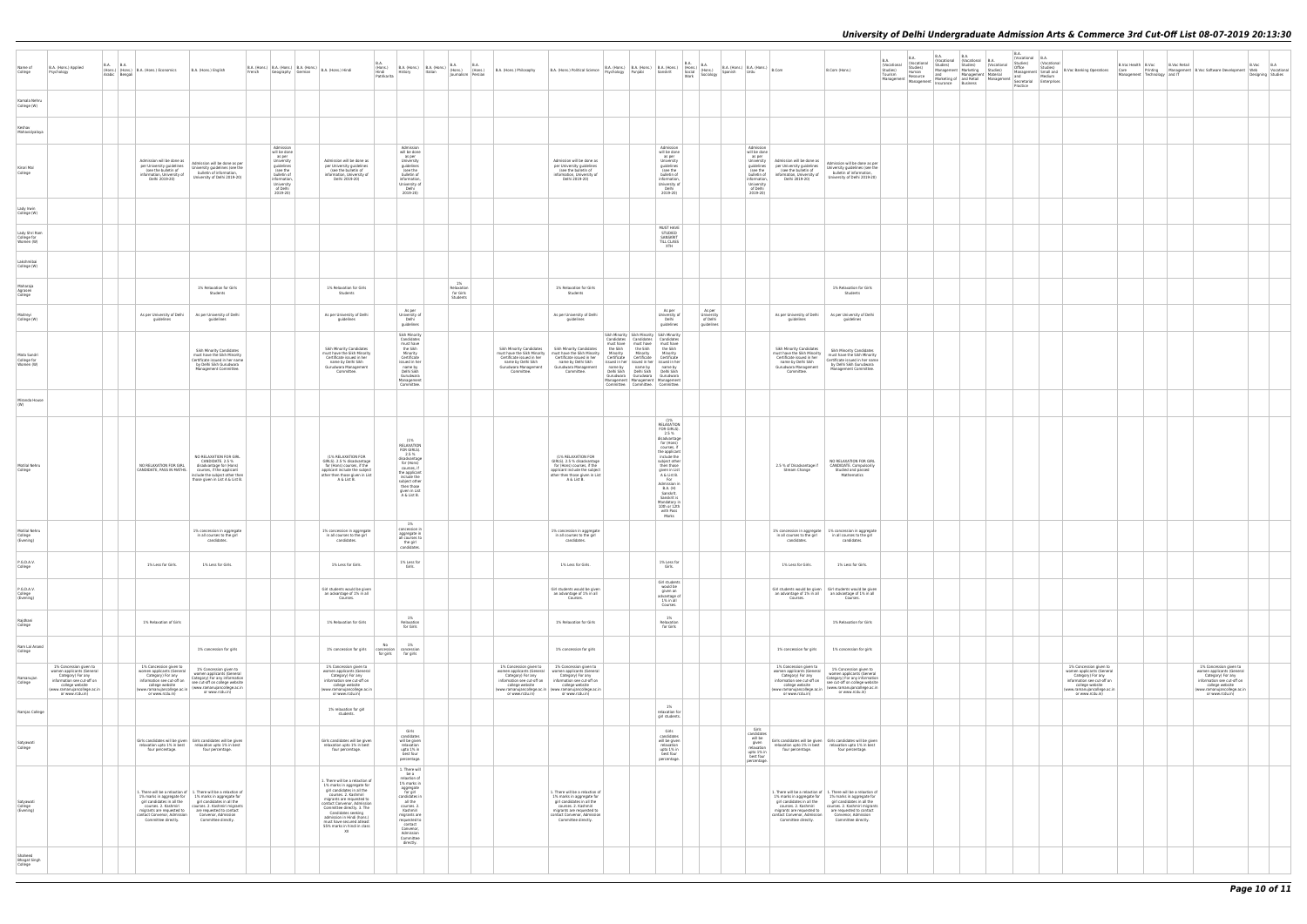| B.A.<br>(Vocational<br>Studies)<br>Material<br>Management | B.A.<br>(Vocational<br>Studies)<br>Office<br>Management<br>and<br>Secretarial<br>Practice | B.A.<br>(Vocational<br>Studies)<br>Small and<br>Medium<br>Enterprises | <b>B.Voc Banking Operations</b>                                                                                                                                             | B.Voc Health   B.Voc<br>Care<br>Management | Printing<br>Technology | <b>B.Voc Retail</b> | Management B.Voc Software Development<br>and IT                                                                                                                                | $\mathsf{B}.\mathsf{Voc}$<br>Web<br>Designing | B.A<br>Vocational<br>Studies |
|-----------------------------------------------------------|-------------------------------------------------------------------------------------------|-----------------------------------------------------------------------|-----------------------------------------------------------------------------------------------------------------------------------------------------------------------------|--------------------------------------------|------------------------|---------------------|--------------------------------------------------------------------------------------------------------------------------------------------------------------------------------|-----------------------------------------------|------------------------------|
|                                                           |                                                                                           |                                                                       |                                                                                                                                                                             |                                            |                        |                     |                                                                                                                                                                                |                                               |                              |
|                                                           |                                                                                           |                                                                       |                                                                                                                                                                             |                                            |                        |                     |                                                                                                                                                                                |                                               |                              |
|                                                           |                                                                                           |                                                                       |                                                                                                                                                                             |                                            |                        |                     |                                                                                                                                                                                |                                               |                              |
|                                                           |                                                                                           |                                                                       |                                                                                                                                                                             |                                            |                        |                     |                                                                                                                                                                                |                                               |                              |
|                                                           |                                                                                           |                                                                       |                                                                                                                                                                             |                                            |                        |                     |                                                                                                                                                                                |                                               |                              |
|                                                           |                                                                                           |                                                                       |                                                                                                                                                                             |                                            |                        |                     |                                                                                                                                                                                |                                               |                              |
|                                                           |                                                                                           |                                                                       |                                                                                                                                                                             |                                            |                        |                     |                                                                                                                                                                                |                                               |                              |
|                                                           |                                                                                           |                                                                       |                                                                                                                                                                             |                                            |                        |                     |                                                                                                                                                                                |                                               |                              |
|                                                           |                                                                                           |                                                                       |                                                                                                                                                                             |                                            |                        |                     |                                                                                                                                                                                |                                               |                              |
|                                                           |                                                                                           |                                                                       |                                                                                                                                                                             |                                            |                        |                     |                                                                                                                                                                                |                                               |                              |
|                                                           |                                                                                           |                                                                       |                                                                                                                                                                             |                                            |                        |                     |                                                                                                                                                                                |                                               |                              |
|                                                           |                                                                                           |                                                                       |                                                                                                                                                                             |                                            |                        |                     |                                                                                                                                                                                |                                               |                              |
|                                                           |                                                                                           |                                                                       |                                                                                                                                                                             |                                            |                        |                     |                                                                                                                                                                                |                                               |                              |
|                                                           |                                                                                           |                                                                       |                                                                                                                                                                             |                                            |                        |                     |                                                                                                                                                                                |                                               |                              |
|                                                           |                                                                                           |                                                                       |                                                                                                                                                                             |                                            |                        |                     |                                                                                                                                                                                |                                               |                              |
|                                                           |                                                                                           |                                                                       |                                                                                                                                                                             |                                            |                        |                     |                                                                                                                                                                                |                                               |                              |
|                                                           |                                                                                           |                                                                       |                                                                                                                                                                             |                                            |                        |                     |                                                                                                                                                                                |                                               |                              |
|                                                           |                                                                                           |                                                                       |                                                                                                                                                                             |                                            |                        |                     |                                                                                                                                                                                |                                               |                              |
|                                                           |                                                                                           |                                                                       | 1% Concession given to<br>women applicants (General<br>category) For any<br>information see cut-off on<br>college website<br>(www.ranumujancollege.ac.in<br>or www.rcdu.in) |                                            |                        |                     | $1\%$ Concession given to<br>women applicants (General<br>Category) For any<br>information see cut-off on<br>college website<br>(www.ramanujancollege.ac.in<br>or www.rcdu.in) |                                               |                              |
|                                                           |                                                                                           |                                                                       |                                                                                                                                                                             |                                            |                        |                     |                                                                                                                                                                                |                                               |                              |
|                                                           |                                                                                           |                                                                       |                                                                                                                                                                             |                                            |                        |                     |                                                                                                                                                                                |                                               |                              |
|                                                           |                                                                                           |                                                                       |                                                                                                                                                                             |                                            |                        |                     |                                                                                                                                                                                |                                               |                              |
|                                                           |                                                                                           |                                                                       |                                                                                                                                                                             |                                            |                        |                     |                                                                                                                                                                                |                                               |                              |
|                                                           |                                                                                           |                                                                       |                                                                                                                                                                             |                                            |                        |                     |                                                                                                                                                                                |                                               |                              |
|                                                           |                                                                                           |                                                                       |                                                                                                                                                                             |                                            |                        |                     |                                                                                                                                                                                |                                               |                              |

| Name of<br>College                        | B.A. (Hons.) Applied<br>Psychology                                                                                                                                          | B.A.<br>Arabic Bengali | B.A. | (Hons.) (Hons.) B.A. (Hons.) Economics                                                                                                                                      | B.A. (Hons.) English                                                                                                                                                                                                                                              | French | Geography German                                                                                                                                 | B.A. (Hons.)   B.A. (Hons.)   B.A. (Hons.)   B.A. (Hons.) Hindi                                                                                                                                                                                                                                                                     | B.A.<br>(Hons.)<br>Hindi<br>Patrikarita | History                                                                                                                                                                                                                             | $\begin{array}{ c c c c c c } \hline \text{B.A. (Hons.)} & \text{B.A.} \hline \text{Hol.} & \text{Hons.} \hline \end{array}$<br>Italian | (Hons.)<br>Journalism Persian             | <b>B.A.</b><br>(Hons.) | B.A. (Hons.) Philosophy                                                                                                                          | B.A. (Hons.) Political Science                                                                                                                                                                            |                                                                                        |                                                                                                                 | $\begin{array}{ l l } \hline \text{B.A. (Hons.)} & \text{B.A. (Hons.)} & \text{B.A. (Hons.)} & \text{(Hons.)} \\ \hline \text{Psychology} & \text{Punjabi} & \text{Sanskrit} & \text{Social} & \text{(Hons.)} \\ \hline \end{array}$                                                                             | B.A.<br>Work | (Hons.)<br>Sociology                           | Spanish | $B.A.$ (Hons.) $B.A.$ (Hons.) $B.Com$<br>  Urdu                                                                                                  |                                                                                                                                                                             | B.Com (Hons.)                                                                                                                                                                                                                                                            | <b>B.A.</b><br>(Vocational<br>Studies)<br>Tourism<br>Management | B.A.<br>(Vocational<br>Studies)<br>Human<br>Resource<br>Management | B.A.<br>Studies)<br>Insurance | B.A.<br>(Vocational (Vocational<br>Studies)<br>Management   Marketing<br>and Managemer<br>Marketing of and Retail<br><b>Business</b> |
|-------------------------------------------|-----------------------------------------------------------------------------------------------------------------------------------------------------------------------------|------------------------|------|-----------------------------------------------------------------------------------------------------------------------------------------------------------------------------|-------------------------------------------------------------------------------------------------------------------------------------------------------------------------------------------------------------------------------------------------------------------|--------|--------------------------------------------------------------------------------------------------------------------------------------------------|-------------------------------------------------------------------------------------------------------------------------------------------------------------------------------------------------------------------------------------------------------------------------------------------------------------------------------------|-----------------------------------------|-------------------------------------------------------------------------------------------------------------------------------------------------------------------------------------------------------------------------------------|-----------------------------------------------------------------------------------------------------------------------------------------|-------------------------------------------|------------------------|--------------------------------------------------------------------------------------------------------------------------------------------------|-----------------------------------------------------------------------------------------------------------------------------------------------------------------------------------------------------------|----------------------------------------------------------------------------------------|-----------------------------------------------------------------------------------------------------------------|------------------------------------------------------------------------------------------------------------------------------------------------------------------------------------------------------------------------------------------------------------------------------------------------------------------|--------------|------------------------------------------------|---------|--------------------------------------------------------------------------------------------------------------------------------------------------|-----------------------------------------------------------------------------------------------------------------------------------------------------------------------------|--------------------------------------------------------------------------------------------------------------------------------------------------------------------------------------------------------------------------------------------------------------------------|-----------------------------------------------------------------|--------------------------------------------------------------------|-------------------------------|--------------------------------------------------------------------------------------------------------------------------------------|
| Kamala Nehru<br>College (W)               |                                                                                                                                                                             |                        |      |                                                                                                                                                                             |                                                                                                                                                                                                                                                                   |        |                                                                                                                                                  |                                                                                                                                                                                                                                                                                                                                     |                                         |                                                                                                                                                                                                                                     |                                                                                                                                         |                                           |                        |                                                                                                                                                  |                                                                                                                                                                                                           |                                                                                        |                                                                                                                 |                                                                                                                                                                                                                                                                                                                  |              |                                                |         |                                                                                                                                                  |                                                                                                                                                                             |                                                                                                                                                                                                                                                                          |                                                                 |                                                                    |                               |                                                                                                                                      |
| Keshav<br>Mahavidyalaya                   |                                                                                                                                                                             |                        |      |                                                                                                                                                                             |                                                                                                                                                                                                                                                                   |        |                                                                                                                                                  |                                                                                                                                                                                                                                                                                                                                     |                                         |                                                                                                                                                                                                                                     |                                                                                                                                         |                                           |                        |                                                                                                                                                  |                                                                                                                                                                                                           |                                                                                        |                                                                                                                 |                                                                                                                                                                                                                                                                                                                  |              |                                                |         |                                                                                                                                                  |                                                                                                                                                                             |                                                                                                                                                                                                                                                                          |                                                                 |                                                                    |                               |                                                                                                                                      |
| Kirori Mal<br>College                     |                                                                                                                                                                             |                        |      | Admission will be done as<br>per University quidelines<br>(see the bulletin of<br>information, University of<br>Delhi 2019-20)                                              | Admission will be done as per<br>University guidelines (see the<br>bulletin of information,<br>University of Delhi 2019-20)                                                                                                                                       |        | Admission<br>will be done<br>as per<br>University<br>guidelines<br>(see the<br>bulletin of<br>information.<br>University<br>of Delhi<br>2019-20) | Admission will be done as<br>per University guidelines<br>(see the bulletin of<br>information, University of<br>Delhi 2019-20)                                                                                                                                                                                                      |                                         | Admission<br>will be done<br>as per<br>University<br>guidelines<br>(see the<br>bulletin of<br>information<br>University of<br>Delhi<br>2019-20)                                                                                     |                                                                                                                                         |                                           |                        |                                                                                                                                                  | Admission will be done as<br>per University guidelines<br>(see the bulletin of<br>information, University of<br>Delhi 2019-20)                                                                            |                                                                                        |                                                                                                                 | Admission<br>will be done<br>as per<br>University<br>guidelines<br>(see the<br>bulletin of<br>information.<br>University of<br>Delhi<br>2019-20)                                                                                                                                                                 |              |                                                |         | Admission<br>will be done<br>as per<br>University<br>guidelines<br>(see the<br>bulletin of<br>information.<br>University<br>of Delhi<br>2019-20) | Admission will be done as<br>per University quidelines<br>(see the bulletin of<br>information, University of<br>Delhi 2019-20)                                              | Admission will be done as per<br>University guidelines (see the<br>bulletin of information,<br>University of Delhi 2019-20)                                                                                                                                              |                                                                 |                                                                    |                               |                                                                                                                                      |
| Lady Irwin<br>College (W)                 |                                                                                                                                                                             |                        |      |                                                                                                                                                                             |                                                                                                                                                                                                                                                                   |        |                                                                                                                                                  |                                                                                                                                                                                                                                                                                                                                     |                                         |                                                                                                                                                                                                                                     |                                                                                                                                         |                                           |                        |                                                                                                                                                  |                                                                                                                                                                                                           |                                                                                        |                                                                                                                 |                                                                                                                                                                                                                                                                                                                  |              |                                                |         |                                                                                                                                                  |                                                                                                                                                                             |                                                                                                                                                                                                                                                                          |                                                                 |                                                                    |                               |                                                                                                                                      |
| Lady Shri Ram<br>College for<br>Women (W) |                                                                                                                                                                             |                        |      |                                                                                                                                                                             |                                                                                                                                                                                                                                                                   |        |                                                                                                                                                  |                                                                                                                                                                                                                                                                                                                                     |                                         |                                                                                                                                                                                                                                     |                                                                                                                                         |                                           |                        |                                                                                                                                                  |                                                                                                                                                                                                           |                                                                                        |                                                                                                                 | MUST HAVE<br>STUDIED<br>SANSKRIT<br>TILL CLASS<br>XTH                                                                                                                                                                                                                                                            |              |                                                |         |                                                                                                                                                  |                                                                                                                                                                             |                                                                                                                                                                                                                                                                          |                                                                 |                                                                    |                               |                                                                                                                                      |
| Lakshmibai<br>College (W)                 |                                                                                                                                                                             |                        |      |                                                                                                                                                                             |                                                                                                                                                                                                                                                                   |        |                                                                                                                                                  |                                                                                                                                                                                                                                                                                                                                     |                                         |                                                                                                                                                                                                                                     |                                                                                                                                         |                                           |                        |                                                                                                                                                  |                                                                                                                                                                                                           |                                                                                        |                                                                                                                 |                                                                                                                                                                                                                                                                                                                  |              |                                                |         |                                                                                                                                                  |                                                                                                                                                                             |                                                                                                                                                                                                                                                                          |                                                                 |                                                                    |                               |                                                                                                                                      |
| Maharaja<br>Agrasen<br>College            |                                                                                                                                                                             |                        |      |                                                                                                                                                                             | 1% Relaxation for Girls<br>Students                                                                                                                                                                                                                               |        |                                                                                                                                                  | 1% Relaxation for Girls<br>Students                                                                                                                                                                                                                                                                                                 |                                         |                                                                                                                                                                                                                                     |                                                                                                                                         | 1%<br>Relaxation<br>for Girls<br>Students |                        |                                                                                                                                                  | 1% Relaxation for Girls<br>Students                                                                                                                                                                       |                                                                                        |                                                                                                                 |                                                                                                                                                                                                                                                                                                                  |              |                                                |         |                                                                                                                                                  |                                                                                                                                                                             | 1% Relaxation for Girls<br>Students                                                                                                                                                                                                                                      |                                                                 |                                                                    |                               |                                                                                                                                      |
| Maitreyi<br>College (W)                   |                                                                                                                                                                             |                        |      | As per University of Delhi<br>quidelines                                                                                                                                    | As per University of Delhi<br>guidelines                                                                                                                                                                                                                          |        |                                                                                                                                                  | As per University of Delhi<br>guidelines                                                                                                                                                                                                                                                                                            |                                         | As per<br>University of<br>Delhi<br>guidelines                                                                                                                                                                                      |                                                                                                                                         |                                           |                        |                                                                                                                                                  | As per University of Delhi<br>guidelines                                                                                                                                                                  |                                                                                        |                                                                                                                 | As per<br>University of<br>Delhi<br>quidelines                                                                                                                                                                                                                                                                   |              | As per<br>University<br>of Delhi<br>guidelines |         |                                                                                                                                                  | As per University of Delhi<br>guidelines                                                                                                                                    | As per University of Delhi<br>guidelines                                                                                                                                                                                                                                 |                                                                 |                                                                    |                               |                                                                                                                                      |
| Mata Sundri<br>College for<br>Women (W)   |                                                                                                                                                                             |                        |      |                                                                                                                                                                             | Sikh Minority Candidates<br>must have the Sikh Minority<br>Certificate issued in her name<br>by Delhi Sikh Gurudwara<br>Management Committee.                                                                                                                     |        |                                                                                                                                                  | <b>Sikh Minority Candidates</b><br>must have the Sikh Minority<br>Certificate issued in her<br>name by Delhi Sikh<br>Gurudwara Management<br>Committee.                                                                                                                                                                             |                                         | Sikh Minority<br>Candidates<br>must have<br>the Sikh<br>Minority<br>Certificate<br>issued in her<br>name by<br>Delhi Sikh<br>Gurudwara<br>Management<br>Committee.                                                                  |                                                                                                                                         |                                           |                        | Sikh Minority Candidates<br>must have the Sikh Minority<br>Certificate issued in her<br>name by Delhi Sikh<br>Gurudwara Management<br>Committee. | Sikh Minority Candidates<br>must have the Sikh Minority<br>Certificate issued in her<br>name by Delhi Sikh<br>Gurudwara Management<br>Committee.                                                          | must have<br>the Sikh<br>Minority<br>Certificate<br>name by<br>Delhi Sikh<br>Gurudwara | Candidates Candidates<br>must have<br>the Sikh<br>Minority<br>Certificate<br>name by<br>Delhi Sikh<br>Gurudwara | Sikh Minority Sikh Minority Sikh Minority<br>Candidates<br>must have<br>the Sikh<br>Minority<br>Certificate<br>issued in her issued in her issued in her<br>name by<br>Delhi Sikh<br>Gurudwara<br>Management Management Management<br>Committee.   Committee.   Committee.                                       |              |                                                |         |                                                                                                                                                  | Sikh Minority Candidates<br>must have the Sikh Minority<br>Certificate issued in her<br>name by Delhi Sikh<br>Gurudwara Management<br>Committee.                            | Sikh Minority Candidates<br>must have the Sikh Minority<br>Certificate issued in her name<br>by Delhi Sikh Gurudwara<br>Management Committee.                                                                                                                            |                                                                 |                                                                    |                               |                                                                                                                                      |
| Miranda House<br>(W)                      |                                                                                                                                                                             |                        |      |                                                                                                                                                                             |                                                                                                                                                                                                                                                                   |        |                                                                                                                                                  |                                                                                                                                                                                                                                                                                                                                     |                                         |                                                                                                                                                                                                                                     |                                                                                                                                         |                                           |                        |                                                                                                                                                  |                                                                                                                                                                                                           |                                                                                        |                                                                                                                 |                                                                                                                                                                                                                                                                                                                  |              |                                                |         |                                                                                                                                                  |                                                                                                                                                                             |                                                                                                                                                                                                                                                                          |                                                                 |                                                                    |                               |                                                                                                                                      |
| Motilal Nehru<br>College                  |                                                                                                                                                                             |                        |      | NO RELAXATION FOR GIRL<br>CANDIDATE, PASS IN MATHS.                                                                                                                         | NO RELAXATION FOR GIRL<br>CANDIDATE. 2.5 %<br>disadvantage for (Hons)<br>courses, if the applicant<br>include the subject other then<br>those given in List A & List B.                                                                                           |        |                                                                                                                                                  | (1% RELAXATION FOR<br>GIRLS). 2.5 % disadvantage<br>for (Hons) courses, if the<br>applicant include the subject<br>other then those given in List<br>A & List B.                                                                                                                                                                    |                                         | (1%<br>RELAXATION<br>FOR GIRLS).<br>2.5%<br>disadvantage<br>for (Hons)<br>courses, if<br>the applicant<br>include the<br>subject other<br>then those<br>given in List<br>A & List B.                                                |                                                                                                                                         |                                           |                        |                                                                                                                                                  | (1% RELAXATION FOR<br>GIRLS). 2.5 % disadvantage<br>for (Hons) courses, if the<br>applicant include the subject<br>other then those given in List<br>A & List B.                                          |                                                                                        |                                                                                                                 | (1%<br>RELAXATION<br>FOR GIRLS).<br>2.5%<br>disadvantage<br>for (Hons)<br>courses, if<br>the applicant<br>include the<br>subject other<br>then those<br>given in List<br>A & List B.<br>For<br>Admission in<br><b>B.A.</b> (H)<br>Sanskrit.<br>Sanskrit is<br>Mandatory in<br>10th or 12th<br>with Pass<br>Marks |              |                                                |         |                                                                                                                                                  | 2.5 % of Disadvantage if<br>Stream Change                                                                                                                                   | NO RELAXATION FOR GIRL<br>CANDIDATE. Compulsorily<br>Studied and passed<br>Mathematics                                                                                                                                                                                   |                                                                 |                                                                    |                               |                                                                                                                                      |
| Motilal Nehru<br>College<br>(Evening)     |                                                                                                                                                                             |                        |      |                                                                                                                                                                             | 1% concession in aggregate<br>in all courses to the girl<br>candidate:                                                                                                                                                                                            |        |                                                                                                                                                  | 1% concession in aggregate<br>in all courses to the girl<br>candidates                                                                                                                                                                                                                                                              |                                         | 1%<br>concession in<br>aggregate in<br>all courses ti<br>the girl<br>candidates.                                                                                                                                                    |                                                                                                                                         |                                           |                        |                                                                                                                                                  | 1% concession in aggregate<br>in all courses to the girl<br>candidates                                                                                                                                    |                                                                                        |                                                                                                                 |                                                                                                                                                                                                                                                                                                                  |              |                                                |         |                                                                                                                                                  | in all courses to the girl<br>candidates                                                                                                                                    | 1% concession in aggregate 1% concession in aggregate<br>in all courses to the girl<br>candidate:                                                                                                                                                                        |                                                                 |                                                                    |                               |                                                                                                                                      |
| P.G.D.A.V.<br>College                     |                                                                                                                                                                             |                        |      | 1% Less for Girls.                                                                                                                                                          | 1% Less for Girls.                                                                                                                                                                                                                                                |        |                                                                                                                                                  | 1% Less for Girls.                                                                                                                                                                                                                                                                                                                  |                                         | 1% Less for<br>Girls.                                                                                                                                                                                                               |                                                                                                                                         |                                           |                        |                                                                                                                                                  | 1% Less for Girls.                                                                                                                                                                                        |                                                                                        |                                                                                                                 | 1% Less for<br>Girls.                                                                                                                                                                                                                                                                                            |              |                                                |         |                                                                                                                                                  | 1% Less for Girls.                                                                                                                                                          | 1% Less for Girls.                                                                                                                                                                                                                                                       |                                                                 |                                                                    |                               |                                                                                                                                      |
| P.G.D.A.V.<br>College<br>(Evening)        |                                                                                                                                                                             |                        |      |                                                                                                                                                                             |                                                                                                                                                                                                                                                                   |        |                                                                                                                                                  | Girl students would be given<br>an advantage of 1% in all<br>Courses.                                                                                                                                                                                                                                                               |                                         |                                                                                                                                                                                                                                     |                                                                                                                                         |                                           |                        |                                                                                                                                                  | Girl students would be given<br>an advantage of 1% in all<br>Courses.                                                                                                                                     |                                                                                        |                                                                                                                 | Girl students<br>would be<br>given an<br>advantage of<br>1% in all                                                                                                                                                                                                                                               |              |                                                |         |                                                                                                                                                  | an advantage of 1% in all<br>Courses.                                                                                                                                       | Girl students would be given   Girl students would be given<br>an advantage of 1% in all<br>Courses.                                                                                                                                                                     |                                                                 |                                                                    |                               |                                                                                                                                      |
| Raidhani<br>College                       |                                                                                                                                                                             |                        |      | 1% Relaxation of Girls                                                                                                                                                      |                                                                                                                                                                                                                                                                   |        |                                                                                                                                                  | 1% Relaxation for Girls                                                                                                                                                                                                                                                                                                             |                                         | 1%<br>Relaxation<br>for Girls                                                                                                                                                                                                       |                                                                                                                                         |                                           |                        |                                                                                                                                                  | 1% Relaxation for Girls                                                                                                                                                                                   |                                                                                        |                                                                                                                 | Courses.<br>$1\%$<br>Relaxation<br>for Girls                                                                                                                                                                                                                                                                     |              |                                                |         |                                                                                                                                                  |                                                                                                                                                                             | 1% Relaxation for Girls                                                                                                                                                                                                                                                  |                                                                 |                                                                    |                               |                                                                                                                                      |
| Ram Lal Anand<br>College                  |                                                                                                                                                                             |                        |      |                                                                                                                                                                             | 1% concession for girls                                                                                                                                                                                                                                           |        |                                                                                                                                                  | 1% concession for girls                                                                                                                                                                                                                                                                                                             | No<br>concession<br>for girls           | 1%<br>concession<br>for girls                                                                                                                                                                                                       |                                                                                                                                         |                                           |                        |                                                                                                                                                  | 1% concession for girls                                                                                                                                                                                   |                                                                                        |                                                                                                                 |                                                                                                                                                                                                                                                                                                                  |              |                                                |         |                                                                                                                                                  | 1% concession for girls                                                                                                                                                     | 1% concession for girls                                                                                                                                                                                                                                                  |                                                                 |                                                                    |                               |                                                                                                                                      |
| Ramanujan<br>College                      | 1% Concession given to<br>women applicants (General<br>Category) For any<br>information see cut-off on<br>college website<br>(www.ramanujancollege.ac.in<br>or www.rcdu.in) |                        |      | 1% Concession given to<br>women applicants (General<br>Category) For any<br>information see cut-off on<br>college website<br>(www.ramanujancollege.ac.in<br>or www.rcdu.in) | 1% Concession given to<br>women applicants (General<br>Category) For any information<br>see cut-off on college website<br>(www.ramanujancollege.ac.in<br>or www.rcdu.in)                                                                                          |        |                                                                                                                                                  | 1% Concession given to<br>women applicants (General<br>Category) For any<br>information see cut-off on<br>college website<br>(www.ramanujancollege.ac.in<br>or www.rcdu.in)                                                                                                                                                         |                                         |                                                                                                                                                                                                                                     |                                                                                                                                         |                                           |                        | 1% Concession given to<br>women applicants (General<br>Category) For any<br>information see cut-off on<br>college website<br>or www.rcdu.in)     | 1% Concession given to<br>women applicants (General<br>Category) For any<br>information see cut-off on<br>college website<br>(www.ramanujancollege.ac.in   (www.ramanujancollege.ac.in<br>or www.rcdu.in) |                                                                                        |                                                                                                                 |                                                                                                                                                                                                                                                                                                                  |              |                                                |         |                                                                                                                                                  | 1% Concession given to<br>women applicants (General<br>Category) For any<br>information see cut-off on<br>college website<br>(www.ramanujancollege.ac.in<br>or www.rcdu.in) | 1% Concession given to<br>women applicants (General<br>Category) For any information<br>see cut-off on college website<br>(www.ramanujancollege.ac.in<br>or www.rcdu.in)                                                                                                 |                                                                 |                                                                    |                               |                                                                                                                                      |
| Ramjas College                            |                                                                                                                                                                             |                        |      |                                                                                                                                                                             |                                                                                                                                                                                                                                                                   |        |                                                                                                                                                  | 1% relaxation for girl<br>students.                                                                                                                                                                                                                                                                                                 |                                         |                                                                                                                                                                                                                                     |                                                                                                                                         |                                           |                        |                                                                                                                                                  |                                                                                                                                                                                                           |                                                                                        |                                                                                                                 | $1\%$<br>relaxation for<br>girl students.                                                                                                                                                                                                                                                                        |              |                                                |         |                                                                                                                                                  |                                                                                                                                                                             |                                                                                                                                                                                                                                                                          |                                                                 |                                                                    |                               |                                                                                                                                      |
| Satyawati<br>College                      |                                                                                                                                                                             |                        |      | relaxation upto 1% in best<br>four percentage.                                                                                                                              | Girls candidates will be given   Girls candidates will be given<br>relaxation upto 1% in best<br>four percentage.                                                                                                                                                 |        |                                                                                                                                                  | Girls candidates will be given<br>relaxation upto 1% in best<br>four percentage.                                                                                                                                                                                                                                                    |                                         | Girls<br>candidates<br>will be given<br>relaxation<br>upto 1% in<br>best four<br>percentage.                                                                                                                                        |                                                                                                                                         |                                           |                        |                                                                                                                                                  |                                                                                                                                                                                                           |                                                                                        |                                                                                                                 | Girls<br>candidates<br>will be given<br>relaxation<br>upto 1% in<br>best four<br>percentage.                                                                                                                                                                                                                     |              |                                                |         | Girls<br>candidates<br>will be<br>given<br>relaxation<br>upto 1% in<br>best four<br>percentage.                                                  | relaxation upto 1% in best<br>four percentage.                                                                                                                              | Girls candidates will be given   Girls candidates will be given<br>relaxation upto 1% in best<br>four percentage.                                                                                                                                                        |                                                                 |                                                                    |                               |                                                                                                                                      |
| Satyawati<br>College<br>(Evening)         |                                                                                                                                                                             |                        |      | girl candidates in all the<br>courses. 2. Kashmiri<br>migrants are requested to<br>contact Convenor, Admission<br>Committee directly.                                       | 1. There will be a relaxtion of   1. There will be a relaxtion of<br>1% marks in aggregate for 1% marks in aggregate for<br>girl candidates in all the<br>courses. 2. Kashmiri migrants<br>are requested to contact<br>Convenor, Admission<br>Committee directly. |        |                                                                                                                                                  | 1. There will be a relaxtion of<br>1% marks in aggregate for<br>girl candidates in all the<br>courses, 2. Kashmiri<br>migrants are requested to<br>contact Convenor, Admission<br>Committee directly. 3. The<br>Candidates seeking<br>admission in Hindi (hons.)<br>must have secured atleast<br>55% marks in hindi in class<br>XII |                                         | 1. There will<br>be a<br>relaxtion of<br>1% marks in<br>aggregate<br>for girl<br>candidates in<br>all the<br>courses. 2.<br>Kashmiri<br>migrants are<br>requested to<br>contact<br>Convenor,<br>Admission<br>Committee<br>directly. |                                                                                                                                         |                                           |                        |                                                                                                                                                  | 1. There will be a relaxtion of<br>1% marks in aggregate for<br>girl candidates in all the<br>courses, 2. Kashmiri<br>migrants are requested to<br>contact Convenor, Admission<br>Committee directly.     |                                                                                        |                                                                                                                 |                                                                                                                                                                                                                                                                                                                  |              |                                                |         |                                                                                                                                                  | 1% marks in aggregate for<br>girl candidates in all the<br>courses. 2. Kashmiri<br>migrants are requested to<br>contact Convenor, Admission<br>Committee directly.          | 1. There will be a relaxtion of $\begin{array}{ c c } 1. \end{array}$ There will be a relaxtion of<br>1% marks in aggregate for<br>girl candidates in all the<br>courses. 2. Kashmiri migrants<br>are requested to contact<br>Convenor, Admission<br>Committee directly. |                                                                 |                                                                    |                               |                                                                                                                                      |
| Shaheed<br><b>Bhagat Singh</b><br>College |                                                                                                                                                                             |                        |      |                                                                                                                                                                             |                                                                                                                                                                                                                                                                   |        |                                                                                                                                                  |                                                                                                                                                                                                                                                                                                                                     |                                         |                                                                                                                                                                                                                                     |                                                                                                                                         |                                           |                        |                                                                                                                                                  |                                                                                                                                                                                                           |                                                                                        |                                                                                                                 |                                                                                                                                                                                                                                                                                                                  |              |                                                |         |                                                                                                                                                  |                                                                                                                                                                             |                                                                                                                                                                                                                                                                          |                                                                 |                                                                    |                               |                                                                                                                                      |